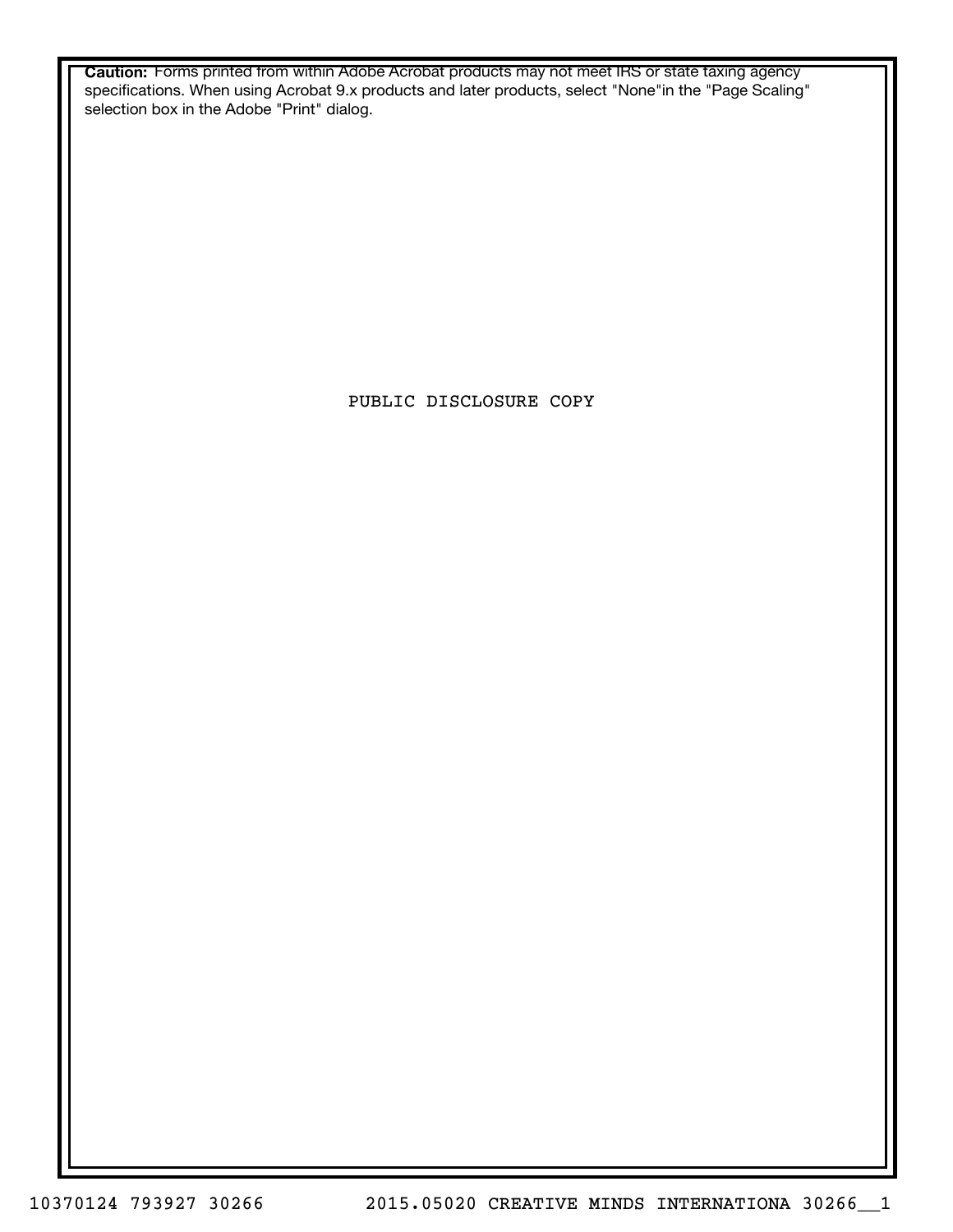**Caution:** Forms printed from within Adobe Acrobat products may not meet IRS or state taxing agency specifications. When using Acrobat 9.x products and later products, select "None"in the "Page Scaling" selection box in the Adobe "Print" dialog.

PUBLIC DISCLOSURE COPY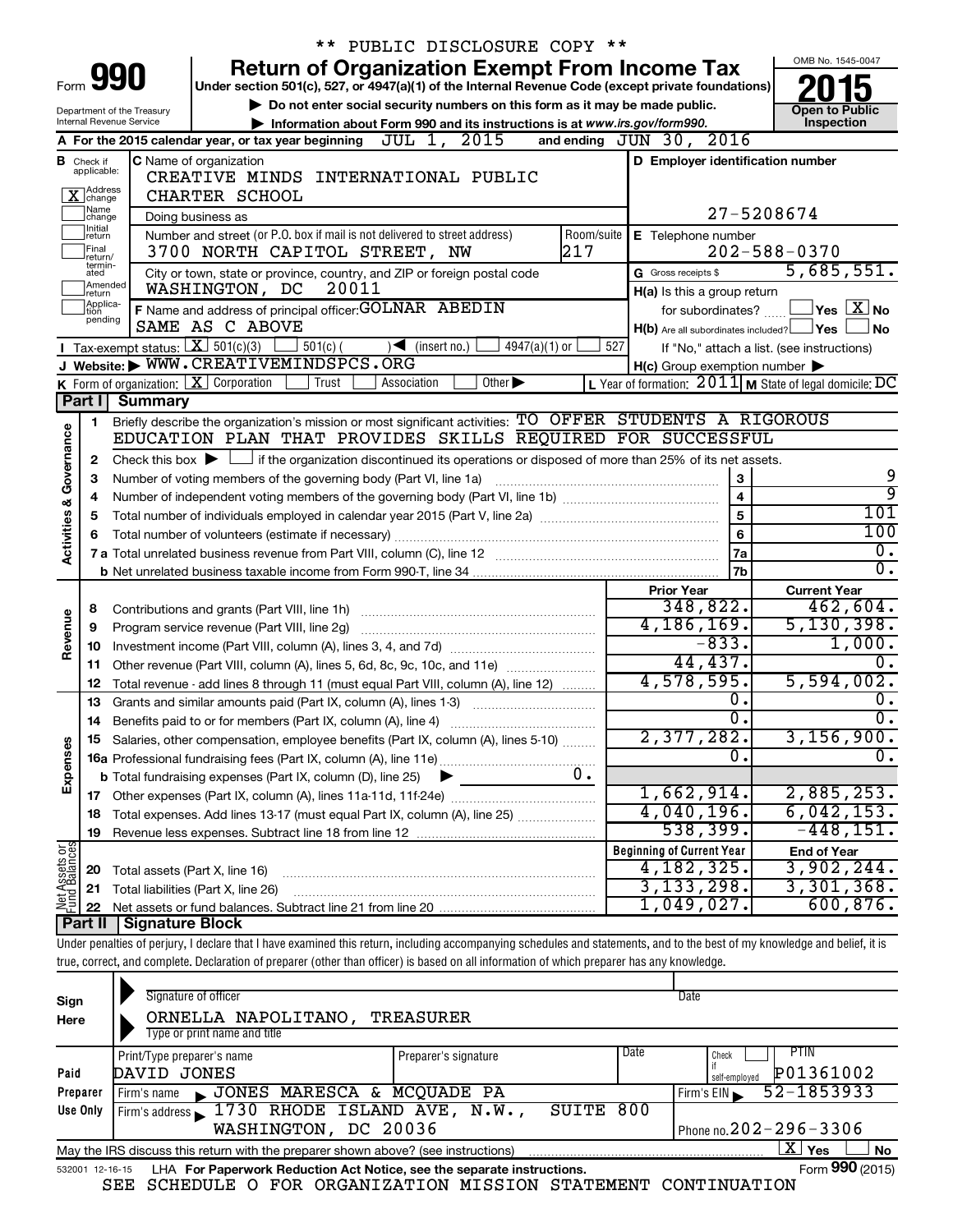|                                                                                                                                                                |                            |                                 | ** PUBLIC DISCLOSURE COPY **                                                                                                                                                                                                                                                                                             |                                                     |                         |                                                                         |  |  |  |
|----------------------------------------------------------------------------------------------------------------------------------------------------------------|----------------------------|---------------------------------|--------------------------------------------------------------------------------------------------------------------------------------------------------------------------------------------------------------------------------------------------------------------------------------------------------------------------|-----------------------------------------------------|-------------------------|-------------------------------------------------------------------------|--|--|--|
|                                                                                                                                                                |                            |                                 | <b>Return of Organization Exempt From Income Tax</b>                                                                                                                                                                                                                                                                     |                                                     |                         | OMB No. 1545-0047                                                       |  |  |  |
| Form                                                                                                                                                           |                            | 990                             | Under section 501(c), 527, or 4947(a)(1) of the Internal Revenue Code (except private foundations)                                                                                                                                                                                                                       |                                                     |                         |                                                                         |  |  |  |
|                                                                                                                                                                |                            | Department of the Treasury      | Do not enter social security numbers on this form as it may be made public.                                                                                                                                                                                                                                              |                                                     |                         | <b>Open to Public</b>                                                   |  |  |  |
|                                                                                                                                                                |                            | <b>Internal Revenue Service</b> | Information about Form 990 and its instructions is at www.irs.gov/form990.                                                                                                                                                                                                                                               |                                                     |                         | Inspection                                                              |  |  |  |
| A For the 2015 calendar year, or tax year beginning $JUL$ $1, 2015$<br>and ending JUN 30, 2016                                                                 |                            |                                 |                                                                                                                                                                                                                                                                                                                          |                                                     |                         |                                                                         |  |  |  |
| D Employer identification number<br><b>C</b> Name of organization<br><b>B</b> Check if applicable:                                                             |                            |                                 |                                                                                                                                                                                                                                                                                                                          |                                                     |                         |                                                                         |  |  |  |
| CREATIVE MINDS INTERNATIONAL PUBLIC<br>X Address<br>CHARTER SCHOOL                                                                                             |                            |                                 |                                                                                                                                                                                                                                                                                                                          |                                                     |                         |                                                                         |  |  |  |
| Name<br>27-5208674<br>Doing business as                                                                                                                        |                            |                                 |                                                                                                                                                                                                                                                                                                                          |                                                     |                         |                                                                         |  |  |  |
| change<br>Initial<br>Number and street (or P.O. box if mail is not delivered to street address)<br>Room/suite<br>E Telephone number<br>return                  |                            |                                 |                                                                                                                                                                                                                                                                                                                          |                                                     |                         |                                                                         |  |  |  |
| Final<br>217<br>$202 - 588 - 0370$<br>3700 NORTH CAPITOL STREET, NW                                                                                            |                            |                                 |                                                                                                                                                                                                                                                                                                                          |                                                     |                         |                                                                         |  |  |  |
|                                                                                                                                                                | return/<br>termin-<br>ated |                                 | 5,685,551.                                                                                                                                                                                                                                                                                                               |                                                     |                         |                                                                         |  |  |  |
|                                                                                                                                                                | Amended<br>return          |                                 | City or town, state or province, country, and ZIP or foreign postal code<br>20011<br>WASHINGTON, DC                                                                                                                                                                                                                      | G Gross receipts \$<br>H(a) Is this a group return  |                         |                                                                         |  |  |  |
|                                                                                                                                                                | Applica-<br>tion           |                                 | F Name and address of principal officer: GOLNAR ABEDIN                                                                                                                                                                                                                                                                   | for subordinates?                                   |                         | $\Box$ Yes $[\overline{\mathrm{X}}]$ No                                 |  |  |  |
|                                                                                                                                                                | pending                    |                                 | SAME AS C ABOVE                                                                                                                                                                                                                                                                                                          | H(b) Are all subordinates included? Ves             |                         | ⊿ No                                                                    |  |  |  |
|                                                                                                                                                                |                            |                                 | <b>T</b> Tax-exempt status: $X \overline{S}$ 501(c)(3)<br>$\frac{1}{2}$ 501(c) (<br>$\sqrt{\frac{1}{1}}$ (insert no.)<br>$4947(a)(1)$ or                                                                                                                                                                                 | 527                                                 |                         | If "No," attach a list. (see instructions)                              |  |  |  |
|                                                                                                                                                                |                            |                                 | J Website: WWW.CREATIVEMINDSPCS.ORG                                                                                                                                                                                                                                                                                      | $H(c)$ Group exemption number $\blacktriangleright$ |                         |                                                                         |  |  |  |
|                                                                                                                                                                |                            |                                 | K Form of organization: $X$ Corporation<br>Trust<br>Association<br>Other $\blacktriangleright$                                                                                                                                                                                                                           |                                                     |                         | <b>L</b> Year of formation: $2011$ <b>M</b> State of legal domicile: DC |  |  |  |
|                                                                                                                                                                | Part I                     | <b>Summary</b>                  |                                                                                                                                                                                                                                                                                                                          |                                                     |                         |                                                                         |  |  |  |
|                                                                                                                                                                | $\mathbf 1$                |                                 | Briefly describe the organization's mission or most significant activities: TO OFFER STUDENTS A RIGOROUS                                                                                                                                                                                                                 |                                                     |                         |                                                                         |  |  |  |
|                                                                                                                                                                |                            |                                 | EDUCATION PLAN THAT PROVIDES SKILLS REQUIRED FOR SUCCESSFUL                                                                                                                                                                                                                                                              |                                                     |                         |                                                                         |  |  |  |
| Governance<br>Check this box $\blacktriangleright$ $\Box$ if the organization discontinued its operations or disposed of more than 25% of its net assets.<br>2 |                            |                                 |                                                                                                                                                                                                                                                                                                                          |                                                     |                         |                                                                         |  |  |  |
|                                                                                                                                                                | 3                          |                                 | Number of voting members of the governing body (Part VI, line 1a)                                                                                                                                                                                                                                                        |                                                     | 3                       | 9                                                                       |  |  |  |
|                                                                                                                                                                |                            |                                 |                                                                                                                                                                                                                                                                                                                          |                                                     | $\overline{\mathbf{4}}$ | ब्र                                                                     |  |  |  |
|                                                                                                                                                                | 5                          |                                 |                                                                                                                                                                                                                                                                                                                          |                                                     | 5                       | 101<br>100                                                              |  |  |  |
| <b>Activities &amp;</b>                                                                                                                                        |                            |                                 |                                                                                                                                                                                                                                                                                                                          |                                                     | 6                       | $\overline{0}$ .                                                        |  |  |  |
|                                                                                                                                                                |                            |                                 |                                                                                                                                                                                                                                                                                                                          |                                                     | 7a                      | $\overline{0}$ .                                                        |  |  |  |
|                                                                                                                                                                |                            |                                 |                                                                                                                                                                                                                                                                                                                          |                                                     | 7b                      |                                                                         |  |  |  |
|                                                                                                                                                                | 8                          |                                 | Contributions and grants (Part VIII, line 1h)                                                                                                                                                                                                                                                                            | <b>Prior Year</b><br>348,822.                       |                         | <b>Current Year</b><br>462,604.                                         |  |  |  |
| Revenue                                                                                                                                                        | 9                          |                                 | Program service revenue (Part VIII, line 2g)                                                                                                                                                                                                                                                                             | 4, 186, 169.                                        |                         | 5, 130, 398.                                                            |  |  |  |
|                                                                                                                                                                | 10                         |                                 |                                                                                                                                                                                                                                                                                                                          | $-833.$                                             |                         | 1,000.                                                                  |  |  |  |
|                                                                                                                                                                | 11                         |                                 | Other revenue (Part VIII, column (A), lines 5, 6d, 8c, 9c, 10c, and 11e)                                                                                                                                                                                                                                                 | 44,437.                                             |                         | $\Omega$ .                                                              |  |  |  |
|                                                                                                                                                                | 12                         |                                 | Total revenue - add lines 8 through 11 (must equal Part VIII, column (A), line 12)                                                                                                                                                                                                                                       | 4,578,595.                                          |                         | 5,594,002.                                                              |  |  |  |
|                                                                                                                                                                | 13                         |                                 | Grants and similar amounts paid (Part IX, column (A), lines 1-3)                                                                                                                                                                                                                                                         |                                                     | $\overline{0}$ .        | $\overline{0}$ .                                                        |  |  |  |
|                                                                                                                                                                |                            |                                 |                                                                                                                                                                                                                                                                                                                          |                                                     | σ.                      | $\overline{0}$ .                                                        |  |  |  |
|                                                                                                                                                                |                            |                                 | 15 Salaries, other compensation, employee benefits (Part IX, column (A), lines 5-10)                                                                                                                                                                                                                                     | 2,377,282.                                          |                         | 3,156,900.                                                              |  |  |  |
| Expenses                                                                                                                                                       |                            |                                 |                                                                                                                                                                                                                                                                                                                          |                                                     | О.                      | $\overline{0}$ .                                                        |  |  |  |
|                                                                                                                                                                |                            |                                 | 0.<br><b>b</b> Total fundraising expenses (Part IX, column (D), line 25)                                                                                                                                                                                                                                                 |                                                     |                         |                                                                         |  |  |  |
|                                                                                                                                                                |                            |                                 |                                                                                                                                                                                                                                                                                                                          | 1,662,914.                                          |                         | 2,885,253.                                                              |  |  |  |
|                                                                                                                                                                | 18                         |                                 | Total expenses. Add lines 13-17 (must equal Part IX, column (A), line 25)                                                                                                                                                                                                                                                | 4,040,196.                                          |                         | 6,042,153.                                                              |  |  |  |
|                                                                                                                                                                | 19                         |                                 |                                                                                                                                                                                                                                                                                                                          | 538,399.                                            |                         | $-448, 151.$                                                            |  |  |  |
|                                                                                                                                                                |                            |                                 |                                                                                                                                                                                                                                                                                                                          | <b>Beginning of Current Year</b>                    |                         | <b>End of Year</b>                                                      |  |  |  |
|                                                                                                                                                                | 20                         | Total assets (Part X, line 16)  |                                                                                                                                                                                                                                                                                                                          | 4,182,325.                                          |                         | 3,902,244.                                                              |  |  |  |
| Net Assets or<br>Fund Balances                                                                                                                                 | 21                         |                                 | Total liabilities (Part X, line 26)                                                                                                                                                                                                                                                                                      | 3, 133, 298.                                        |                         | 3,301,368.                                                              |  |  |  |
|                                                                                                                                                                | 22                         |                                 |                                                                                                                                                                                                                                                                                                                          | 1,049,027.                                          |                         | 600, 876.                                                               |  |  |  |
|                                                                                                                                                                | Part II                    | <b>Signature Block</b>          |                                                                                                                                                                                                                                                                                                                          |                                                     |                         |                                                                         |  |  |  |
|                                                                                                                                                                |                            |                                 | Under penalties of perjury, I declare that I have examined this return, including accompanying schedules and statements, and to the best of my knowledge and belief, it is<br>true, correct, and complete. Declaration of preparer (other than officer) is based on all information of which preparer has any knowledge. |                                                     |                         |                                                                         |  |  |  |
|                                                                                                                                                                |                            |                                 |                                                                                                                                                                                                                                                                                                                          |                                                     |                         |                                                                         |  |  |  |
|                                                                                                                                                                |                            |                                 |                                                                                                                                                                                                                                                                                                                          |                                                     |                         |                                                                         |  |  |  |

| Sign<br>Here                                                                                                                     | Signature of officer<br>Date<br><b>TREASURER</b><br>ORNELLA NAPOLITANO,<br>Type or print name and title      |       |     |                            |  |  |  |  |  |  |
|----------------------------------------------------------------------------------------------------------------------------------|--------------------------------------------------------------------------------------------------------------|-------|-----|----------------------------|--|--|--|--|--|--|
| Date<br>PTIN<br>Check<br>Print/Type preparer's name<br>Preparer's signature<br>P01361002<br>DAVID JONES<br>Paid<br>self-employed |                                                                                                              |       |     |                            |  |  |  |  |  |  |
| Preparer                                                                                                                         | JONES MARESCA & MCQUADE PA<br>Firm's name<br>$\mathbf{r}$                                                    |       |     | 52-1853933<br>Firm's $EIN$ |  |  |  |  |  |  |
| Use Only                                                                                                                         | Firm's address 1730 RHODE ISLAND AVE, N.W.,                                                                  | SUITE | 800 |                            |  |  |  |  |  |  |
|                                                                                                                                  | Phone no. $202 - 296 - 3306$<br>WASHINGTON, DC 20036                                                         |       |     |                            |  |  |  |  |  |  |
|                                                                                                                                  | May the IRS discuss this return with the preparer shown above? (see instructions)                            |       |     | x.<br>Yes<br><b>No</b>     |  |  |  |  |  |  |
|                                                                                                                                  | Form 990 (2015)<br>LHA For Paperwork Reduction Act Notice, see the separate instructions.<br>532001 12-16-15 |       |     |                            |  |  |  |  |  |  |

SEE SCHEDULE O FOR ORGANIZATION MISSION STATEMENT CONTINUATION

**<sup>990</sup>**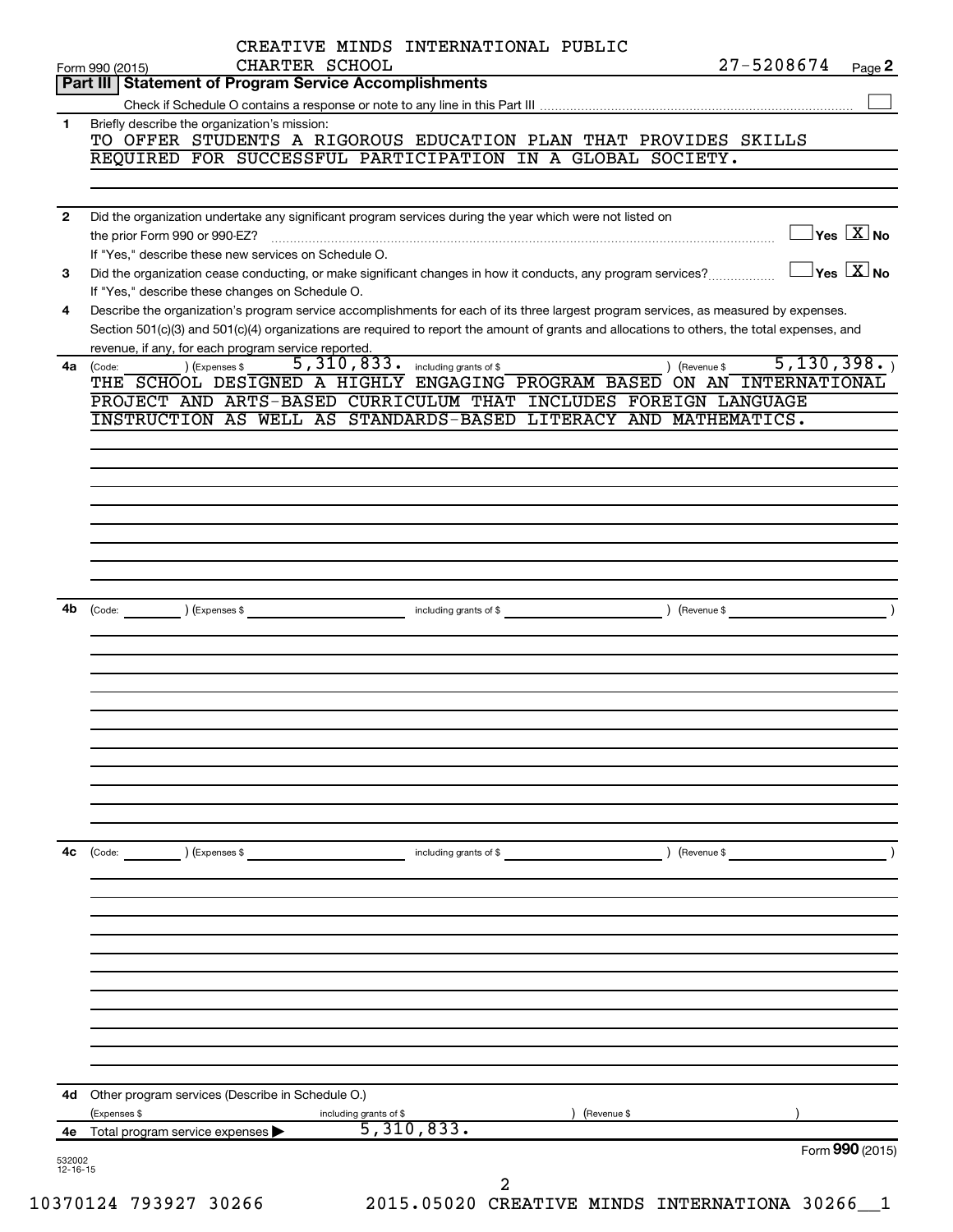| $12 - 16 - 15$ |                                                                                                                                                                 |                                     |                                                                                                                                              |                                         |
|----------------|-----------------------------------------------------------------------------------------------------------------------------------------------------------------|-------------------------------------|----------------------------------------------------------------------------------------------------------------------------------------------|-----------------------------------------|
| 532002         |                                                                                                                                                                 |                                     |                                                                                                                                              | Form 990 (2015)                         |
| 4е             | Total program service expenses                                                                                                                                  | 5,310,833.                          |                                                                                                                                              |                                         |
| 4d             | Other program services (Describe in Schedule O.)<br>(Expenses \$                                                                                                | including grants of \$              | (Revenue \$                                                                                                                                  |                                         |
|                |                                                                                                                                                                 |                                     |                                                                                                                                              |                                         |
|                |                                                                                                                                                                 |                                     |                                                                                                                                              |                                         |
|                |                                                                                                                                                                 |                                     |                                                                                                                                              |                                         |
|                |                                                                                                                                                                 |                                     |                                                                                                                                              |                                         |
|                |                                                                                                                                                                 |                                     |                                                                                                                                              |                                         |
|                |                                                                                                                                                                 |                                     |                                                                                                                                              |                                         |
|                |                                                                                                                                                                 |                                     |                                                                                                                                              |                                         |
| 4c             | ) (Expenses \$<br>(Code:                                                                                                                                        | including grants of \$              | (Revenue \$                                                                                                                                  |                                         |
|                |                                                                                                                                                                 |                                     |                                                                                                                                              |                                         |
|                |                                                                                                                                                                 |                                     |                                                                                                                                              |                                         |
|                |                                                                                                                                                                 |                                     |                                                                                                                                              |                                         |
|                |                                                                                                                                                                 |                                     |                                                                                                                                              |                                         |
|                |                                                                                                                                                                 |                                     |                                                                                                                                              |                                         |
|                |                                                                                                                                                                 |                                     |                                                                                                                                              |                                         |
|                |                                                                                                                                                                 |                                     |                                                                                                                                              |                                         |
| 4b             | (Code:                                                                                                                                                          |                                     | ) (Revenue \$                                                                                                                                |                                         |
|                |                                                                                                                                                                 |                                     |                                                                                                                                              |                                         |
|                |                                                                                                                                                                 |                                     |                                                                                                                                              |                                         |
|                |                                                                                                                                                                 |                                     |                                                                                                                                              |                                         |
|                |                                                                                                                                                                 |                                     |                                                                                                                                              |                                         |
|                |                                                                                                                                                                 |                                     |                                                                                                                                              |                                         |
|                |                                                                                                                                                                 |                                     | INSTRUCTION AS WELL AS STANDARDS-BASED LITERACY AND MATHEMATICS.                                                                             |                                         |
|                |                                                                                                                                                                 |                                     | THE SCHOOL DESIGNED A HIGHLY ENGAGING PROGRAM BASED ON AN INTERNATIONAL<br>PROJECT AND ARTS-BASED CURRICULUM THAT INCLUDES FOREIGN LANGUAGE  |                                         |
| 4a             | ) (Expenses \$<br>(Code:                                                                                                                                        | 5, 310, 833. including grants of \$ | 5,130,398.<br>) (Revenue \$                                                                                                                  |                                         |
|                | revenue, if any, for each program service reported.                                                                                                             |                                     | Section 501(c)(3) and 501(c)(4) organizations are required to report the amount of grants and allocations to others, the total expenses, and |                                         |
| 4              |                                                                                                                                                                 |                                     | Describe the organization's program service accomplishments for each of its three largest program services, as measured by expenses.         |                                         |
| 3              | Did the organization cease conducting, or make significant changes in how it conducts, any program services?<br>If "Yes," describe these changes on Schedule O. |                                     |                                                                                                                                              | $\Box$ Yes $[\overline{\mathrm{X}}]$ No |
|                | If "Yes," describe these new services on Schedule O.                                                                                                            |                                     |                                                                                                                                              |                                         |
| $\mathbf{2}$   | Did the organization undertake any significant program services during the year which were not listed on                                                        |                                     |                                                                                                                                              | $\Box$ Yes $\boxed{\text{X}}$ No        |
|                |                                                                                                                                                                 |                                     |                                                                                                                                              |                                         |
|                | REQUIRED FOR SUCCESSFUL PARTICIPATION IN A GLOBAL SOCIETY.                                                                                                      |                                     |                                                                                                                                              |                                         |
| 1.             | Briefly describe the organization's mission:                                                                                                                    |                                     | TO OFFER STUDENTS A RIGOROUS EDUCATION PLAN THAT PROVIDES SKILLS                                                                             |                                         |
|                |                                                                                                                                                                 |                                     |                                                                                                                                              |                                         |
|                | CHARTER SCHOOL<br>Form 990 (2015)<br>Part III   Statement of Program Service Accomplishments                                                                    |                                     | 27-5208674                                                                                                                                   | Page 2                                  |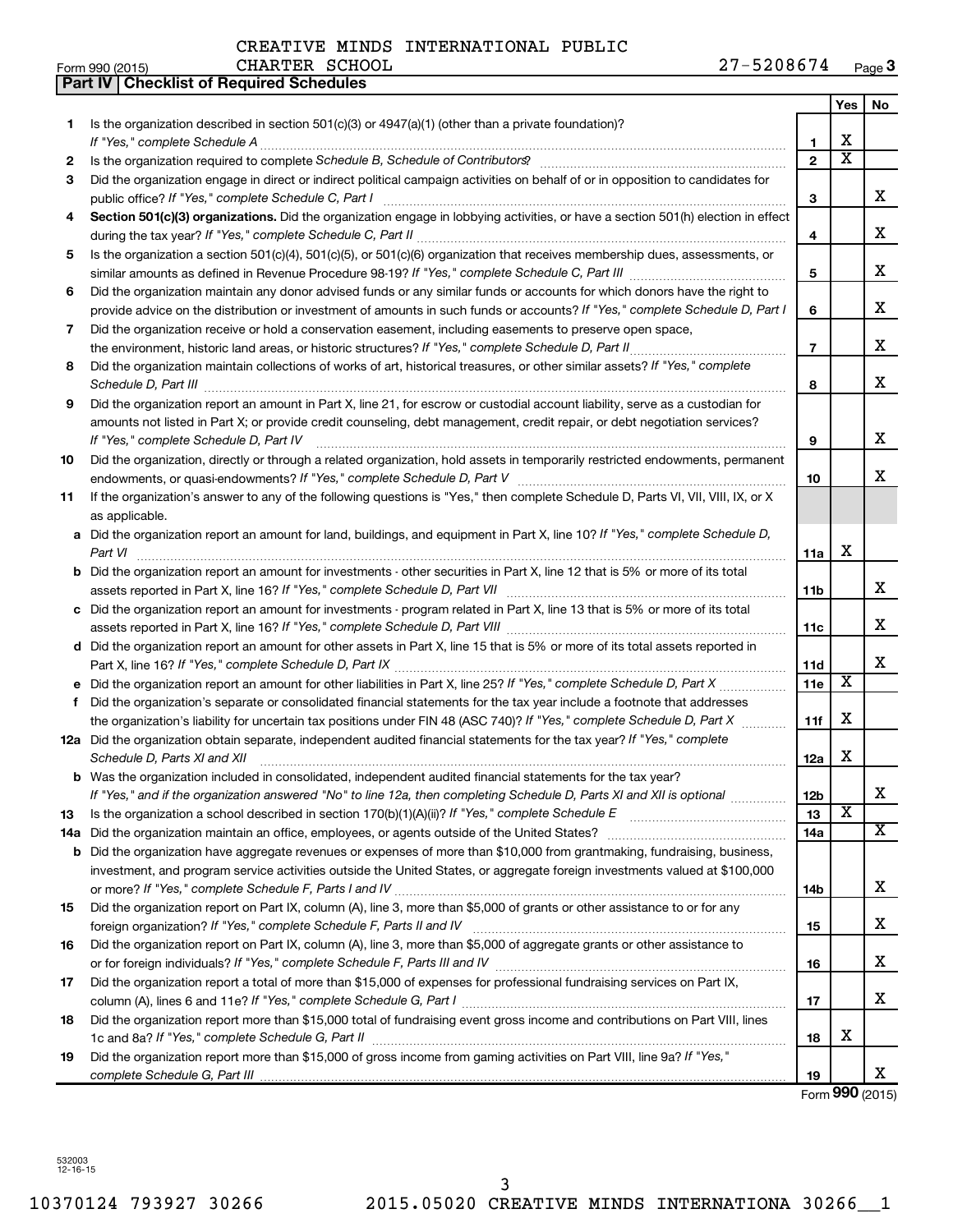208674 Page 3

|                 |                                                  |                | CREAIIVE MINUS INIERWAIIONAU FODUIC |  |            |      |
|-----------------|--------------------------------------------------|----------------|-------------------------------------|--|------------|------|
| Form 990 (2015) |                                                  | CHARTER SCHOOL |                                     |  | 27-5208674 | Page |
|                 | <b>Part IV   Checklist of Required Schedules</b> |                |                                     |  |            |      |

|           |                                                                                                                                                                                                                                                                                                                                                                     |                | Yes                     | No                      |
|-----------|---------------------------------------------------------------------------------------------------------------------------------------------------------------------------------------------------------------------------------------------------------------------------------------------------------------------------------------------------------------------|----------------|-------------------------|-------------------------|
| 1.        | Is the organization described in section $501(c)(3)$ or $4947(a)(1)$ (other than a private foundation)?                                                                                                                                                                                                                                                             |                |                         |                         |
|           |                                                                                                                                                                                                                                                                                                                                                                     | 1.             | х                       |                         |
| 2         |                                                                                                                                                                                                                                                                                                                                                                     | $\mathbf{2}$   | $\overline{\text{x}}$   |                         |
| 3         | Did the organization engage in direct or indirect political campaign activities on behalf of or in opposition to candidates for                                                                                                                                                                                                                                     | 3              |                         | x                       |
| 4         | Section 501(c)(3) organizations. Did the organization engage in lobbying activities, or have a section 501(h) election in effect                                                                                                                                                                                                                                    |                |                         |                         |
|           |                                                                                                                                                                                                                                                                                                                                                                     | 4              |                         | x                       |
| 5         | Is the organization a section 501(c)(4), 501(c)(5), or 501(c)(6) organization that receives membership dues, assessments, or                                                                                                                                                                                                                                        |                |                         |                         |
|           |                                                                                                                                                                                                                                                                                                                                                                     | 5              |                         | x                       |
| 6         | Did the organization maintain any donor advised funds or any similar funds or accounts for which donors have the right to                                                                                                                                                                                                                                           |                |                         |                         |
|           | provide advice on the distribution or investment of amounts in such funds or accounts? If "Yes," complete Schedule D, Part I                                                                                                                                                                                                                                        | 6              |                         | x                       |
| 7         | Did the organization receive or hold a conservation easement, including easements to preserve open space,                                                                                                                                                                                                                                                           |                |                         |                         |
|           |                                                                                                                                                                                                                                                                                                                                                                     | $\overline{7}$ |                         | x                       |
| 8         | Did the organization maintain collections of works of art, historical treasures, or other similar assets? If "Yes," complete<br>Schedule D, Part III <b>Marting Community</b> Contract of the Contract of the Contract of Contract Contract of the Contract of Contract of Contract of Contract of Contract of Contract of Contract of Contract of Contract of Cont | 8              |                         | x                       |
| 9         | Did the organization report an amount in Part X, line 21, for escrow or custodial account liability, serve as a custodian for                                                                                                                                                                                                                                       |                |                         |                         |
|           | amounts not listed in Part X; or provide credit counseling, debt management, credit repair, or debt negotiation services?                                                                                                                                                                                                                                           |                |                         |                         |
|           | If "Yes," complete Schedule D, Part IV                                                                                                                                                                                                                                                                                                                              | 9              |                         | х                       |
| 10        | Did the organization, directly or through a related organization, hold assets in temporarily restricted endowments, permanent                                                                                                                                                                                                                                       |                |                         |                         |
|           |                                                                                                                                                                                                                                                                                                                                                                     | 10             |                         | х                       |
| 11        | If the organization's answer to any of the following questions is "Yes," then complete Schedule D, Parts VI, VII, VIII, IX, or X                                                                                                                                                                                                                                    |                |                         |                         |
|           | as applicable.                                                                                                                                                                                                                                                                                                                                                      |                |                         |                         |
|           | a Did the organization report an amount for land, buildings, and equipment in Part X, line 10? If "Yes," complete Schedule D,<br>Part VI                                                                                                                                                                                                                            | 11a            | х                       |                         |
|           | <b>b</b> Did the organization report an amount for investments - other securities in Part X, line 12 that is 5% or more of its total                                                                                                                                                                                                                                |                |                         |                         |
|           | assets reported in Part X, line 16? If "Yes," complete Schedule D, Part VII [11] [11] [12] [12] [12] [12] [13] [                                                                                                                                                                                                                                                    | 11b            |                         | х                       |
| c         | Did the organization report an amount for investments - program related in Part X, line 13 that is 5% or more of its total                                                                                                                                                                                                                                          |                |                         |                         |
|           |                                                                                                                                                                                                                                                                                                                                                                     | 11c            |                         | х                       |
|           | d Did the organization report an amount for other assets in Part X, line 15 that is 5% or more of its total assets reported in                                                                                                                                                                                                                                      |                |                         |                         |
|           |                                                                                                                                                                                                                                                                                                                                                                     | 11d            |                         | x                       |
|           |                                                                                                                                                                                                                                                                                                                                                                     | <b>11e</b>     | $\overline{\textbf{x}}$ |                         |
| f         | Did the organization's separate or consolidated financial statements for the tax year include a footnote that addresses                                                                                                                                                                                                                                             |                |                         |                         |
|           | the organization's liability for uncertain tax positions under FIN 48 (ASC 740)? If "Yes," complete Schedule D, Part X                                                                                                                                                                                                                                              | 11f            | X                       |                         |
|           | 12a Did the organization obtain separate, independent audited financial statements for the tax year? If "Yes," complete                                                                                                                                                                                                                                             |                |                         |                         |
|           | Schedule D, Parts XI and XII                                                                                                                                                                                                                                                                                                                                        | 12a            | X                       |                         |
|           | <b>b</b> Was the organization included in consolidated, independent audited financial statements for the tax year?                                                                                                                                                                                                                                                  |                |                         |                         |
|           | If "Yes," and if the organization answered "No" to line 12a, then completing Schedule D, Parts XI and XII is optional                                                                                                                                                                                                                                               | 12b<br>13      | х                       | A                       |
| 13<br>14a |                                                                                                                                                                                                                                                                                                                                                                     | 14a            |                         | $\overline{\mathbf{x}}$ |
| b         | Did the organization have aggregate revenues or expenses of more than \$10,000 from grantmaking, fundraising, business,                                                                                                                                                                                                                                             |                |                         |                         |
|           | investment, and program service activities outside the United States, or aggregate foreign investments valued at \$100,000                                                                                                                                                                                                                                          |                |                         |                         |
|           |                                                                                                                                                                                                                                                                                                                                                                     | 14b            |                         | x                       |
| 15        | Did the organization report on Part IX, column (A), line 3, more than \$5,000 of grants or other assistance to or for any                                                                                                                                                                                                                                           |                |                         |                         |
|           |                                                                                                                                                                                                                                                                                                                                                                     | 15             |                         | x                       |
| 16        | Did the organization report on Part IX, column (A), line 3, more than \$5,000 of aggregate grants or other assistance to                                                                                                                                                                                                                                            |                |                         |                         |
|           |                                                                                                                                                                                                                                                                                                                                                                     | 16             |                         | x                       |
| 17        | Did the organization report a total of more than \$15,000 of expenses for professional fundraising services on Part IX,                                                                                                                                                                                                                                             |                |                         |                         |
|           |                                                                                                                                                                                                                                                                                                                                                                     | 17             |                         | x                       |
| 18        | Did the organization report more than \$15,000 total of fundraising event gross income and contributions on Part VIII, lines                                                                                                                                                                                                                                        |                |                         |                         |
|           |                                                                                                                                                                                                                                                                                                                                                                     | 18             | х                       |                         |
| 19        | Did the organization report more than \$15,000 of gross income from gaming activities on Part VIII, line 9a? If "Yes,"                                                                                                                                                                                                                                              | 19             |                         | x                       |
|           |                                                                                                                                                                                                                                                                                                                                                                     |                |                         |                         |

Form **990** (2015)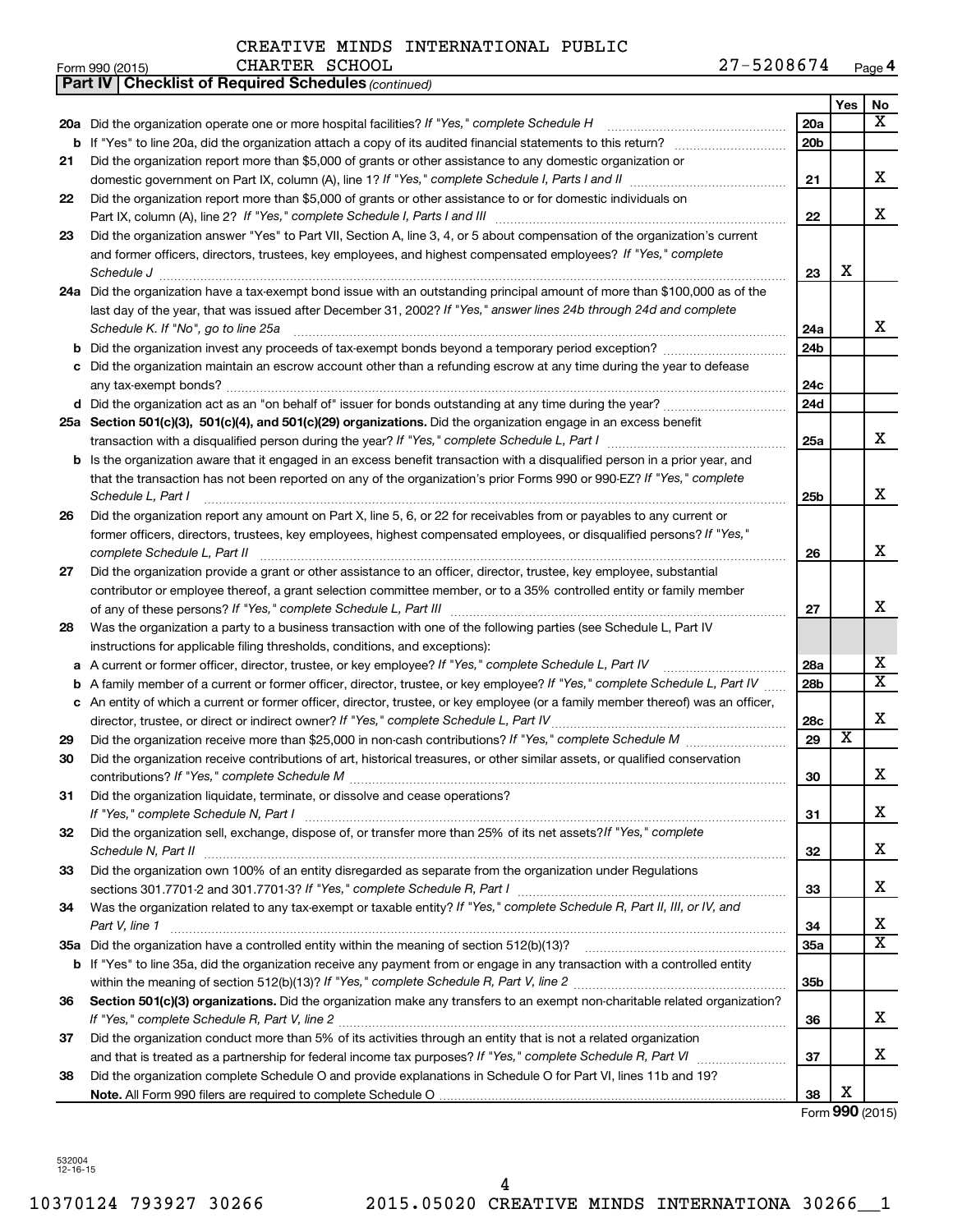|    | 27-5208674<br>CHARTER SCHOOL<br>Form 990 (2015)                                                                                                                             |                 |     | Page 4                  |
|----|-----------------------------------------------------------------------------------------------------------------------------------------------------------------------------|-----------------|-----|-------------------------|
|    | Part IV   Checklist of Required Schedules (continued)                                                                                                                       |                 |     |                         |
|    |                                                                                                                                                                             |                 | Yes | No                      |
|    |                                                                                                                                                                             | 20a             |     | x                       |
|    | <b>b</b> If "Yes" to line 20a, did the organization attach a copy of its audited financial statements to this return?                                                       | 20 <sub>b</sub> |     |                         |
| 21 | Did the organization report more than \$5,000 of grants or other assistance to any domestic organization or                                                                 |                 |     |                         |
|    |                                                                                                                                                                             | 21              |     | x                       |
| 22 | Did the organization report more than \$5,000 of grants or other assistance to or for domestic individuals on                                                               |                 |     |                         |
|    |                                                                                                                                                                             | 22              |     | х                       |
| 23 | Did the organization answer "Yes" to Part VII, Section A, line 3, 4, or 5 about compensation of the organization's current                                                  |                 |     |                         |
|    | and former officers, directors, trustees, key employees, and highest compensated employees? If "Yes," complete                                                              |                 |     |                         |
|    | Schedule J <b>Execute Schedule Schedule Schedule Schedule</b> J <b>Execute Schedule J Execute Schedule J</b>                                                                | 23              | X   |                         |
|    | 24a Did the organization have a tax-exempt bond issue with an outstanding principal amount of more than \$100,000 as of the                                                 |                 |     |                         |
|    | last day of the year, that was issued after December 31, 2002? If "Yes," answer lines 24b through 24d and complete                                                          |                 |     |                         |
|    | Schedule K. If "No", go to line 25a                                                                                                                                         | 24a             |     | x                       |
|    | <b>b</b> Did the organization invest any proceeds of tax-exempt bonds beyond a temporary period exception?                                                                  | 24 <sub>b</sub> |     |                         |
|    | c Did the organization maintain an escrow account other than a refunding escrow at any time during the year to defease                                                      |                 |     |                         |
|    |                                                                                                                                                                             | 24c             |     |                         |
|    |                                                                                                                                                                             | 24d             |     |                         |
|    | 25a Section 501(c)(3), 501(c)(4), and 501(c)(29) organizations. Did the organization engage in an excess benefit                                                            |                 |     |                         |
|    |                                                                                                                                                                             | 25a             |     | x                       |
|    | <b>b</b> Is the organization aware that it engaged in an excess benefit transaction with a disqualified person in a prior year, and                                         |                 |     |                         |
|    | that the transaction has not been reported on any of the organization's prior Forms 990 or 990-EZ? If "Yes," complete                                                       |                 |     |                         |
|    | Schedule L, Part I                                                                                                                                                          | 25b             |     | x                       |
| 26 | Did the organization report any amount on Part X, line 5, 6, or 22 for receivables from or payables to any current or                                                       |                 |     |                         |
|    | former officers, directors, trustees, key employees, highest compensated employees, or disqualified persons? If "Yes,"                                                      |                 |     |                         |
|    | complete Schedule L, Part II                                                                                                                                                | 26              |     | x                       |
| 27 | Did the organization provide a grant or other assistance to an officer, director, trustee, key employee, substantial                                                        |                 |     |                         |
|    | contributor or employee thereof, a grant selection committee member, or to a 35% controlled entity or family member                                                         |                 |     |                         |
|    |                                                                                                                                                                             | 27              |     | x                       |
| 28 | Was the organization a party to a business transaction with one of the following parties (see Schedule L, Part IV                                                           |                 |     |                         |
|    | instructions for applicable filing thresholds, conditions, and exceptions):                                                                                                 |                 |     |                         |
|    | a A current or former officer, director, trustee, or key employee? If "Yes," complete Schedule L, Part IV                                                                   | 28a             |     | X                       |
|    | <b>b</b> A family member of a current or former officer, director, trustee, or key employee? If "Yes," complete Schedule L, Part IV                                         | 28 <sub>b</sub> |     | $\overline{\mathtt{x}}$ |
|    | c An entity of which a current or former officer, director, trustee, or key employee (or a family member thereof) was an officer,                                           |                 |     |                         |
|    |                                                                                                                                                                             | 28c             |     | X                       |
| 29 |                                                                                                                                                                             | 29              | X   |                         |
| 30 | Did the organization receive contributions of art, historical treasures, or other similar assets, or qualified conservation                                                 |                 |     |                         |
|    |                                                                                                                                                                             | 30              |     | х                       |
| 31 | Did the organization liquidate, terminate, or dissolve and cease operations?                                                                                                |                 |     |                         |
|    |                                                                                                                                                                             | 31              |     | х                       |
| 32 | Did the organization sell, exchange, dispose of, or transfer more than 25% of its net assets? If "Yes," complete                                                            |                 |     |                         |
|    |                                                                                                                                                                             | 32              |     | х                       |
| 33 | Did the organization own 100% of an entity disregarded as separate from the organization under Regulations                                                                  |                 |     |                         |
|    | sections 301.7701-2 and 301.7701-3? If "Yes," complete Schedule R, Part I [1] [1] [1] [1] [1] [1] sections 301.7701-2 and 301.7701-3? If "Yes," complete Schedule R, Part I | 33              |     | х                       |
| 34 | Was the organization related to any tax-exempt or taxable entity? If "Yes," complete Schedule R, Part II, III, or IV, and                                                   |                 |     |                         |
|    | Part V, line 1                                                                                                                                                              | 34              |     | x                       |
|    |                                                                                                                                                                             | 35a             |     | $\overline{\mathtt{x}}$ |
|    | <b>b</b> If "Yes" to line 35a, did the organization receive any payment from or engage in any transaction with a controlled entity                                          |                 |     |                         |
|    |                                                                                                                                                                             | 35 <sub>b</sub> |     |                         |
| 36 | Section 501(c)(3) organizations. Did the organization make any transfers to an exempt non-charitable related organization?                                                  |                 |     |                         |
|    |                                                                                                                                                                             | 36              |     | х                       |
| 37 | Did the organization conduct more than 5% of its activities through an entity that is not a related organization                                                            |                 |     |                         |
|    |                                                                                                                                                                             | 37              |     | х                       |
| 38 | Did the organization complete Schedule O and provide explanations in Schedule O for Part VI, lines 11b and 19?                                                              |                 |     |                         |
|    |                                                                                                                                                                             | 38              | х   |                         |

Form **990** (2015)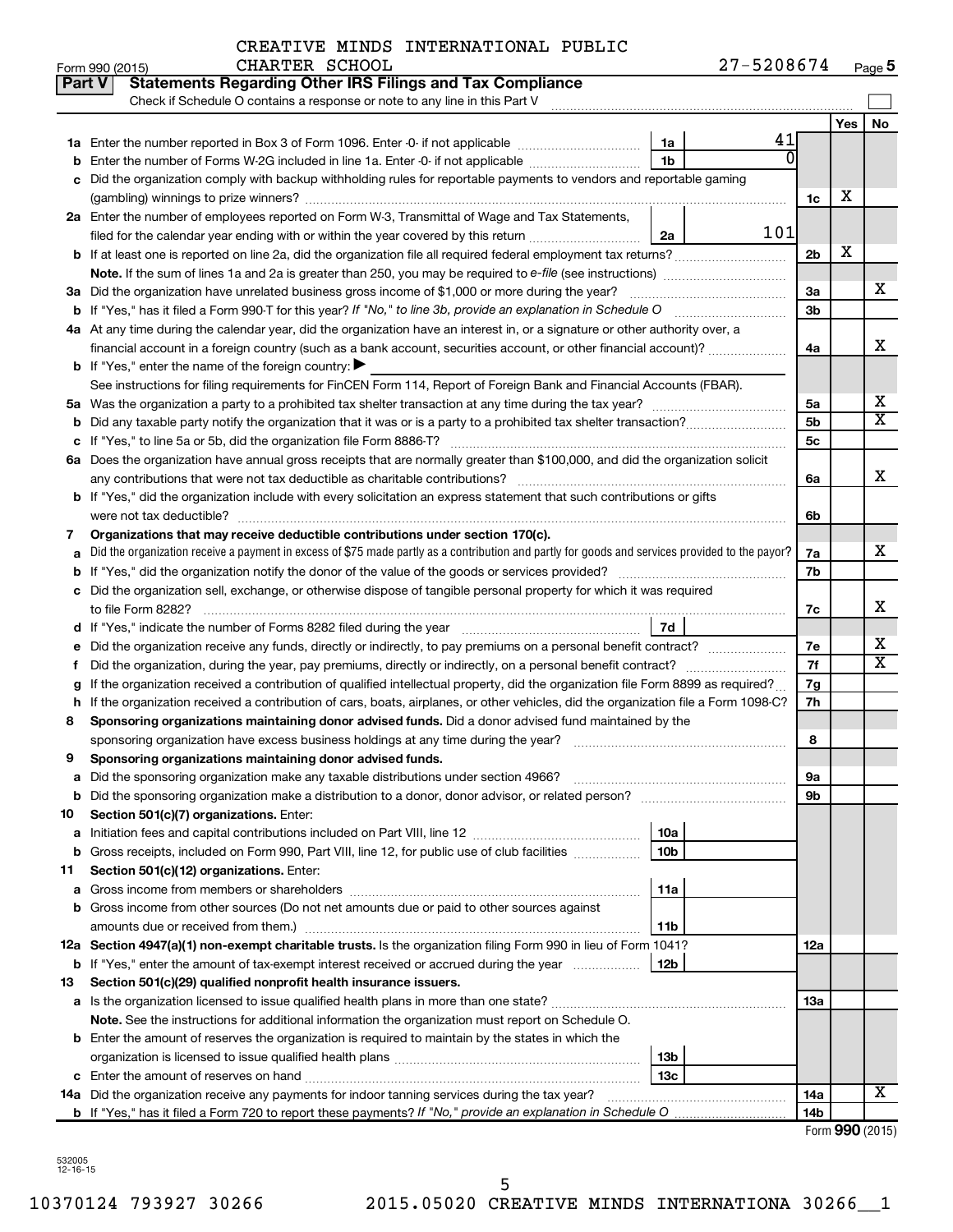#### CREATIVE MINDS INTERNATIONAL PUBLIC CHARTER SCHOOL

| Part V | <b>Statements Regarding Other IRS Filings and Tax Compliance</b><br>Check if Schedule O contains a response or note to any line in this Part V              |                        |                |     |                       |
|--------|-------------------------------------------------------------------------------------------------------------------------------------------------------------|------------------------|----------------|-----|-----------------------|
|        |                                                                                                                                                             |                        |                | Yes | <b>No</b>             |
|        |                                                                                                                                                             | 41<br>1a               |                |     |                       |
|        | Enter the number of Forms W-2G included in line 1a. Enter -0- if not applicable                                                                             | 1 <sub>b</sub>         |                |     |                       |
|        | Did the organization comply with backup withholding rules for reportable payments to vendors and reportable gaming                                          |                        |                |     |                       |
|        |                                                                                                                                                             |                        | 1c             | х   |                       |
|        | 2a Enter the number of employees reported on Form W-3, Transmittal of Wage and Tax Statements,                                                              |                        |                |     |                       |
|        | filed for the calendar year ending with or within the year covered by this return <i>[[[[[[[[[[[[[[]]]]</i> ]]                                              | 101<br>2a              |                |     |                       |
|        | b If at least one is reported on line 2a, did the organization file all required federal employment tax returns?                                            |                        | 2 <sub>b</sub> | х   |                       |
|        |                                                                                                                                                             |                        |                |     |                       |
|        | 3a Did the organization have unrelated business gross income of \$1,000 or more during the year?                                                            |                        | За             |     | х                     |
|        |                                                                                                                                                             |                        | 3b             |     |                       |
|        | 4a At any time during the calendar year, did the organization have an interest in, or a signature or other authority over, a                                |                        |                |     |                       |
|        | financial account in a foreign country (such as a bank account, securities account, or other financial account)?                                            |                        | 4a             |     | X                     |
|        | <b>b</b> If "Yes," enter the name of the foreign country: $\blacktriangleright$                                                                             |                        |                |     |                       |
|        | See instructions for filing requirements for FinCEN Form 114, Report of Foreign Bank and Financial Accounts (FBAR).                                         |                        |                |     |                       |
| 5а     |                                                                                                                                                             |                        | 5a             |     | х                     |
| b      |                                                                                                                                                             |                        | 5 <sub>b</sub> |     | $\overline{\text{X}}$ |
|        |                                                                                                                                                             |                        | 5с             |     |                       |
|        | 6a Does the organization have annual gross receipts that are normally greater than \$100,000, and did the organization solicit                              |                        |                |     |                       |
|        |                                                                                                                                                             |                        | 6a             |     | x                     |
|        | <b>b</b> If "Yes," did the organization include with every solicitation an express statement that such contributions or gifts                               |                        |                |     |                       |
|        | were not tax deductible?                                                                                                                                    |                        | 6b             |     |                       |
| 7      | Organizations that may receive deductible contributions under section 170(c).                                                                               |                        |                |     |                       |
|        | Did the organization receive a payment in excess of \$75 made partly as a contribution and partly for goods and services provided to the payor?             |                        | 7a             |     | x                     |
| b      |                                                                                                                                                             |                        | 7b             |     |                       |
|        | Did the organization sell, exchange, or otherwise dispose of tangible personal property for which it was required                                           |                        |                |     |                       |
|        | to file Form 8282?                                                                                                                                          |                        | 7c             |     | x                     |
|        |                                                                                                                                                             | 7d                     |                |     |                       |
|        |                                                                                                                                                             |                        | 7е             |     | х                     |
|        | Did the organization, during the year, pay premiums, directly or indirectly, on a personal benefit contract?                                                |                        | 7f             |     | X                     |
|        | If the organization received a contribution of qualified intellectual property, did the organization file Form 8899 as required?                            |                        | 7g             |     |                       |
| h      | If the organization received a contribution of cars, boats, airplanes, or other vehicles, did the organization file a Form 1098-C?                          |                        | 7h             |     |                       |
| 8      | Sponsoring organizations maintaining donor advised funds. Did a donor advised fund maintained by the                                                        |                        |                |     |                       |
|        |                                                                                                                                                             |                        | 8              |     |                       |
| 9      | Sponsoring organizations maintaining donor advised funds.                                                                                                   |                        |                |     |                       |
|        |                                                                                                                                                             |                        | υа             |     |                       |
|        | <b>b</b> Did the sponsoring organization make a distribution to a donor, donor advisor, or related person?                                                  |                        | 9b             |     |                       |
| 10     | Section 501(c)(7) organizations. Enter:                                                                                                                     |                        |                |     |                       |
| a      |                                                                                                                                                             | 10a<br>10 <sub>b</sub> |                |     |                       |
|        | b Gross receipts, included on Form 990, Part VIII, line 12, for public use of club facilities                                                               |                        |                |     |                       |
| 11     | Section 501(c)(12) organizations. Enter:                                                                                                                    |                        |                |     |                       |
| а      | <b>b</b> Gross income from other sources (Do not net amounts due or paid to other sources against                                                           | 11a                    |                |     |                       |
|        |                                                                                                                                                             |                        |                |     |                       |
|        | amounts due or received from them.)<br>12a Section 4947(a)(1) non-exempt charitable trusts. Is the organization filing Form 990 in lieu of Form 1041?       | 11b                    |                |     |                       |
|        |                                                                                                                                                             | 12 <sub>b</sub>        | 12a            |     |                       |
| 13     | b If "Yes," enter the amount of tax-exempt interest received or accrued during the year<br>Section 501(c)(29) qualified nonprofit health insurance issuers. |                        |                |     |                       |
|        | a Is the organization licensed to issue qualified health plans in more than one state?                                                                      |                        | 13a            |     |                       |
|        | Note. See the instructions for additional information the organization must report on Schedule O.                                                           |                        |                |     |                       |
|        | <b>b</b> Enter the amount of reserves the organization is required to maintain by the states in which the                                                   |                        |                |     |                       |
|        |                                                                                                                                                             | 13 <sub>b</sub>        |                |     |                       |
|        |                                                                                                                                                             | 13 <sub>c</sub>        |                |     |                       |
|        | 14a Did the organization receive any payments for indoor tanning services during the tax year?                                                              |                        | 14a            |     | x                     |
|        |                                                                                                                                                             |                        | 14b            |     |                       |
|        |                                                                                                                                                             |                        |                |     |                       |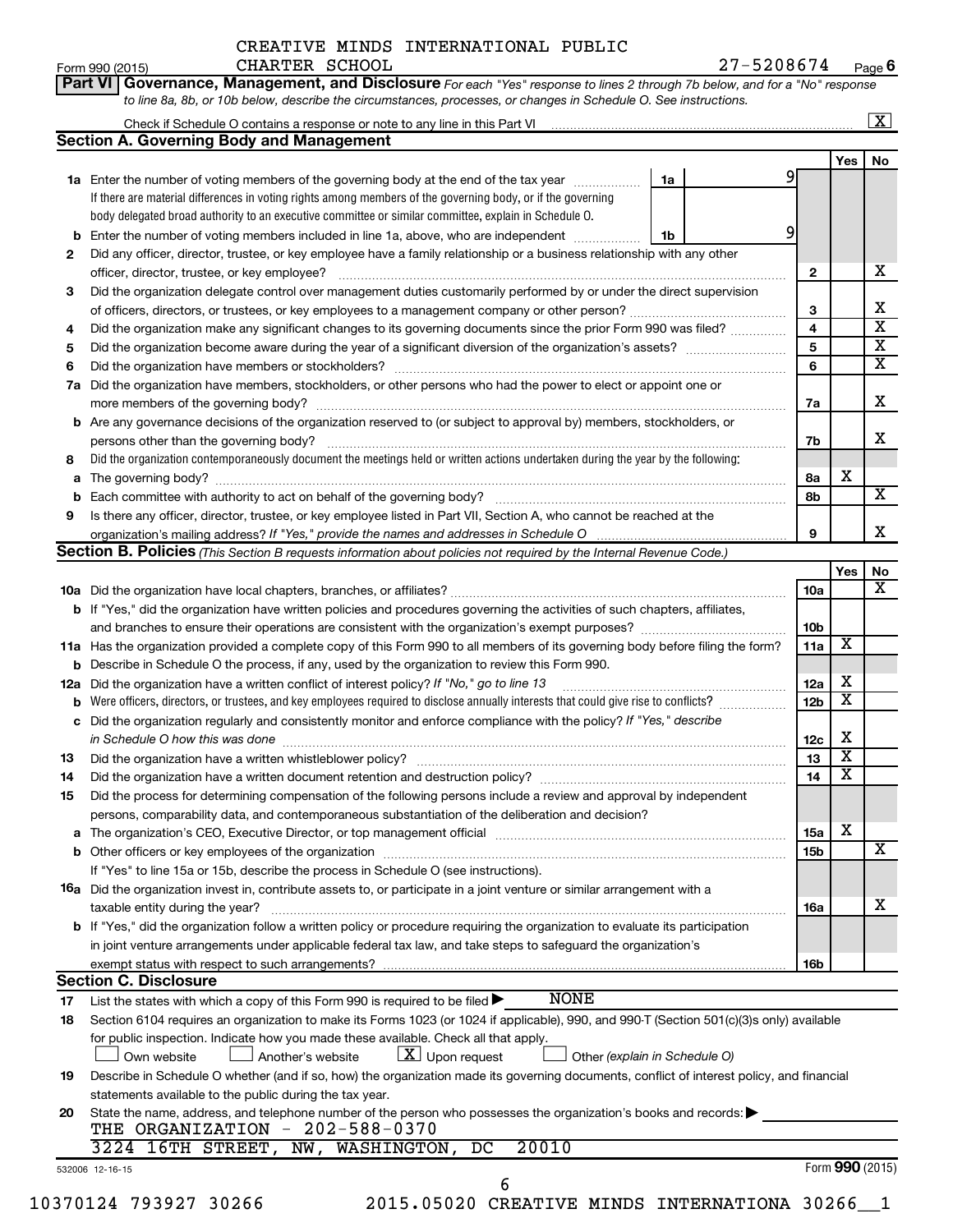Form 990 (2015)  $CHARTER$   $SCHOOL$   $27-5208674$   $Page$ **6**

|  | Part VI   Governance, Management, and Disclosure For each "Yes" response to lines 2 through 7b below, and for a "No" response |  |  |  |
|--|-------------------------------------------------------------------------------------------------------------------------------|--|--|--|
|  | to line 8a, 8b, or 10b below, describe the circumstances, processes, or changes in Schedule O. See instructions.              |  |  |  |

|     |                                                                                                                                                                               |                               |                 |                         | $\lfloor x \rfloor$ |
|-----|-------------------------------------------------------------------------------------------------------------------------------------------------------------------------------|-------------------------------|-----------------|-------------------------|---------------------|
|     | <b>Section A. Governing Body and Management</b>                                                                                                                               |                               |                 |                         |                     |
|     |                                                                                                                                                                               |                               |                 | Yes                     | No                  |
|     | <b>1a</b> Enter the number of voting members of the governing body at the end of the tax year                                                                                 | 1a                            | 91              |                         |                     |
|     | If there are material differences in voting rights among members of the governing body, or if the governing                                                                   |                               |                 |                         |                     |
|     | body delegated broad authority to an executive committee or similar committee, explain in Schedule O.                                                                         |                               |                 |                         |                     |
| b   | Enter the number of voting members included in line 1a, above, who are independent <i>manumum</i>                                                                             | 1b                            | 9               |                         |                     |
| 2   | Did any officer, director, trustee, or key employee have a family relationship or a business relationship with any other                                                      |                               |                 |                         |                     |
|     | officer, director, trustee, or key employee?                                                                                                                                  |                               | 2               |                         |                     |
| З   | Did the organization delegate control over management duties customarily performed by or under the direct supervision                                                         |                               |                 |                         |                     |
|     |                                                                                                                                                                               |                               | 3               |                         |                     |
| 4   | Did the organization make any significant changes to its governing documents since the prior Form 990 was filed?                                                              |                               | 4               |                         |                     |
| 5   |                                                                                                                                                                               |                               | 5               |                         |                     |
| 6   |                                                                                                                                                                               |                               | 6               |                         |                     |
| 7a  | Did the organization have members, stockholders, or other persons who had the power to elect or appoint one or                                                                |                               |                 |                         |                     |
|     |                                                                                                                                                                               |                               | 7a              |                         |                     |
| b   | Are any governance decisions of the organization reserved to (or subject to approval by) members, stockholders, or                                                            |                               |                 |                         |                     |
|     |                                                                                                                                                                               |                               |                 |                         |                     |
|     | Did the organization contemporaneously document the meetings held or written actions undertaken during the year by the following:                                             |                               | 7b              |                         |                     |
| 8   |                                                                                                                                                                               |                               |                 | х                       |                     |
| a   |                                                                                                                                                                               |                               | 8а              |                         |                     |
| b   |                                                                                                                                                                               |                               | 8b              |                         |                     |
| 9   | Is there any officer, director, trustee, or key employee listed in Part VII, Section A, who cannot be reached at the                                                          |                               |                 |                         |                     |
|     |                                                                                                                                                                               |                               | 9               |                         |                     |
|     | Section B. Policies (This Section B requests information about policies not required by the Internal Revenue Code.)                                                           |                               |                 |                         |                     |
|     |                                                                                                                                                                               |                               |                 | Yes                     | No                  |
|     |                                                                                                                                                                               |                               | 10a             |                         |                     |
|     | b If "Yes," did the organization have written policies and procedures governing the activities of such chapters, affiliates,                                                  |                               |                 |                         |                     |
|     |                                                                                                                                                                               |                               | 10 <sub>b</sub> |                         |                     |
|     | 11a Has the organization provided a complete copy of this Form 990 to all members of its governing body before filing the form?                                               |                               | 11a             | X                       |                     |
| b   | Describe in Schedule O the process, if any, used by the organization to review this Form 990.                                                                                 |                               |                 |                         |                     |
| 12a | Did the organization have a written conflict of interest policy? If "No," go to line 13                                                                                       |                               | 12a             | х                       |                     |
| b   | Were officers, directors, or trustees, and key employees required to disclose annually interests that could give rise to conflicts?                                           |                               | 12 <sub>b</sub> | $\overline{\textbf{x}}$ |                     |
| с   | Did the organization regularly and consistently monitor and enforce compliance with the policy? If "Yes," describe                                                            |                               |                 |                         |                     |
|     | in Schedule O how this was done manufactured and continuum contract the state of the state of the state of the                                                                |                               | 12c             | х                       |                     |
| 13  |                                                                                                                                                                               |                               | 13              | $\overline{\textbf{x}}$ |                     |
| 14  | Did the organization have a written document retention and destruction policy? [11] manufaction in the organization have a written document retention and destruction policy? |                               | 14              | $\overline{\textbf{x}}$ |                     |
|     |                                                                                                                                                                               |                               |                 |                         |                     |
| 15  | Did the process for determining compensation of the following persons include a review and approval by independent                                                            |                               |                 |                         |                     |
|     | persons, comparability data, and contemporaneous substantiation of the deliberation and decision?                                                                             |                               |                 | х                       |                     |
| а   |                                                                                                                                                                               |                               | <b>15a</b>      |                         |                     |
|     |                                                                                                                                                                               |                               | 15b             |                         |                     |
|     | If "Yes" to line 15a or 15b, describe the process in Schedule O (see instructions).                                                                                           |                               |                 |                         |                     |
|     | <b>16a</b> Did the organization invest in, contribute assets to, or participate in a joint venture or similar arrangement with a                                              |                               |                 |                         |                     |
|     | taxable entity during the year?                                                                                                                                               |                               | 16a             |                         |                     |
|     | b If "Yes," did the organization follow a written policy or procedure requiring the organization to evaluate its participation                                                |                               |                 |                         |                     |
|     | in joint venture arrangements under applicable federal tax law, and take steps to safeguard the organization's                                                                |                               |                 |                         |                     |
|     | exempt status with respect to such arrangements?                                                                                                                              |                               | 16b             |                         |                     |
|     | <b>Section C. Disclosure</b>                                                                                                                                                  |                               |                 |                         |                     |
| 17  | <b>NONE</b><br>List the states with which a copy of this Form 990 is required to be filed $\blacktriangleright$                                                               |                               |                 |                         |                     |
| 18  | Section 6104 requires an organization to make its Forms 1023 (or 1024 if applicable), 990, and 990-T (Section 501(c)(3)s only) available                                      |                               |                 |                         |                     |
|     | for public inspection. Indicate how you made these available. Check all that apply.                                                                                           |                               |                 |                         |                     |
|     | $\lfloor x \rfloor$ Upon request<br>Own website<br>Another's website                                                                                                          | Other (explain in Schedule O) |                 |                         |                     |
| 19  | Describe in Schedule O whether (and if so, how) the organization made its governing documents, conflict of interest policy, and financial                                     |                               |                 |                         |                     |
|     | statements available to the public during the tax year.                                                                                                                       |                               |                 |                         |                     |
|     |                                                                                                                                                                               |                               |                 |                         |                     |
| 20  | State the name, address, and telephone number of the person who possesses the organization's books and records:                                                               |                               |                 |                         |                     |
|     | THE ORGANIZATION - 202-588-0370                                                                                                                                               |                               |                 |                         |                     |
|     | 20010<br>3224 16TH STREET,<br>$\overline{\text{NW }},$<br>WASHINGTON,<br>DC                                                                                                   |                               |                 |                         |                     |
|     | 532006 12-16-15                                                                                                                                                               |                               |                 | Form 990 (2015)         |                     |
|     | 6                                                                                                                                                                             |                               |                 |                         |                     |
|     | 10370124 793927 30266<br>2015.05020 CREATIVE MINDS INTERNATIONA 30266 1                                                                                                       |                               |                 |                         |                     |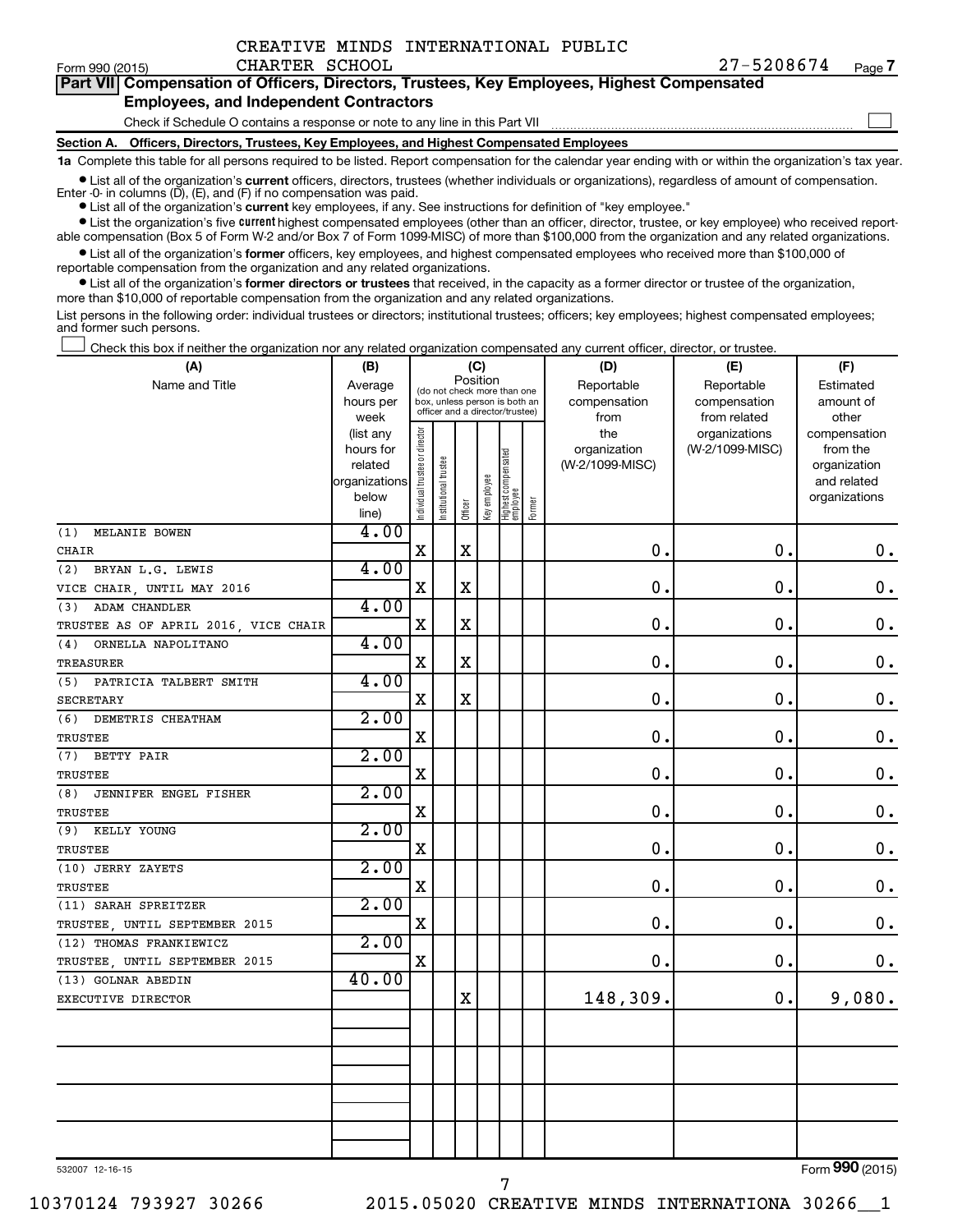$\Box$ 

| Part VII Compensation of Officers, Directors, Trustees, Key Employees, Highest Compensated |  |
|--------------------------------------------------------------------------------------------|--|
| <b>Employees, and Independent Contractors</b>                                              |  |

#### Check if Schedule O contains a response or note to any line in this Part VII

**Section A. Officers, Directors, Trustees, Key Employees, and Highest Compensated Employees**

**1a**  Complete this table for all persons required to be listed. Report compensation for the calendar year ending with or within the organization's tax year.

**•** List all of the organization's current officers, directors, trustees (whether individuals or organizations), regardless of amount of compensation.

**•** List all of the organization's **current** key employees, if any. See instructions for definition of "key employee." Enter -0- in columns  $(D)$ ,  $(E)$ , and  $(F)$  if no compensation was paid.

**•** List the organization's five current highest compensated employees (other than an officer, director, trustee, or key employee) who received reportable compensation (Box 5 of Form W-2 and/or Box 7 of Form 1099-MISC) of more than \$100,000 from the organization and any related organizations.

**•** List all of the organization's former officers, key employees, and highest compensated employees who received more than \$100,000 of reportable compensation from the organization and any related organizations.

**•** List all of the organization's former directors or trustees that received, in the capacity as a former director or trustee of the organization, more than \$10,000 of reportable compensation from the organization and any related organizations.

List persons in the following order: individual trustees or directors; institutional trustees; officers; key employees; highest compensated employees; and former such persons.

|  |  |  | Check this box if neither the organization nor any related organization compensated any current officer, director, or trustee. |  |  |
|--|--|--|--------------------------------------------------------------------------------------------------------------------------------|--|--|
|  |  |  |                                                                                                                                |  |  |

| (A)                                  | (B)                      |                                |                                                                  |             | (C)          |                                 |        | (D)             | (E)             | (F)                         |
|--------------------------------------|--------------------------|--------------------------------|------------------------------------------------------------------|-------------|--------------|---------------------------------|--------|-----------------|-----------------|-----------------------------|
| Name and Title                       | Average                  |                                | Position<br>(do not check more than one                          |             |              |                                 |        | Reportable      | Reportable      | Estimated                   |
|                                      | hours per                |                                | box, unless person is both an<br>officer and a director/trustee) |             |              |                                 |        | compensation    | compensation    | amount of                   |
|                                      | week                     |                                |                                                                  |             |              |                                 |        | from            | from related    | other                       |
|                                      | (list any                |                                |                                                                  |             |              |                                 |        | the             | organizations   | compensation                |
|                                      | hours for                |                                |                                                                  |             |              |                                 |        | organization    | (W-2/1099-MISC) | from the                    |
|                                      | related<br>organizations |                                |                                                                  |             |              |                                 |        | (W-2/1099-MISC) |                 | organization<br>and related |
|                                      | below                    |                                |                                                                  |             |              |                                 |        |                 |                 | organizations               |
|                                      | line)                    | Individual trustee or director | Institutional trustee                                            | Officer     | Key employee | Highest compensated<br>employee | Former |                 |                 |                             |
| MELANIE BOWEN<br>(1)                 | 4.00                     |                                |                                                                  |             |              |                                 |        |                 |                 |                             |
| <b>CHAIR</b>                         |                          | $\mathbf x$                    |                                                                  | $\mathbf X$ |              |                                 |        | 0.              | 0.              | $\boldsymbol{0}$ .          |
| (2)<br>BRYAN L.G. LEWIS              | 4.00                     |                                |                                                                  |             |              |                                 |        |                 |                 |                             |
| VICE CHAIR, UNTIL MAY 2016           |                          | $\mathbf X$                    |                                                                  | $\mathbf X$ |              |                                 |        | 0.              | 0.              | $\mathbf 0$ .               |
| <b>ADAM CHANDLER</b><br>(3)          | 4.00                     |                                |                                                                  |             |              |                                 |        |                 |                 |                             |
| TRUSTEE AS OF APRIL 2016, VICE CHAIR |                          | X                              |                                                                  | $\mathbf X$ |              |                                 |        | $\mathbf 0$ .   | $\mathbf 0$ .   | $\boldsymbol{0}$ .          |
| (4)<br>ORNELLA NAPOLITANO            | 4.00                     |                                |                                                                  |             |              |                                 |        |                 |                 |                             |
| TREASURER                            |                          | $\mathbf X$                    |                                                                  | $\mathbf X$ |              |                                 |        | $\mathbf 0$ .   | $\mathbf 0$ .   | $\boldsymbol{0}$ .          |
| (5) PATRICIA TALBERT SMITH           | 4.00                     |                                |                                                                  |             |              |                                 |        |                 |                 |                             |
| <b>SECRETARY</b>                     |                          | X                              |                                                                  | $\mathbf X$ |              |                                 |        | $\mathbf 0$ .   | $\mathbf 0$ .   | $\boldsymbol{0}$ .          |
| (6) DEMETRIS CHEATHAM                | 2.00                     |                                |                                                                  |             |              |                                 |        |                 |                 |                             |
| <b>TRUSTEE</b>                       |                          | $\mathbf x$                    |                                                                  |             |              |                                 |        | $\mathbf 0$ .   | $\mathbf 0$ .   | $0$ .                       |
| (7) BETTY PAIR                       | 2.00                     |                                |                                                                  |             |              |                                 |        |                 |                 |                             |
| <b>TRUSTEE</b>                       |                          | X                              |                                                                  |             |              |                                 |        | $\mathbf 0$ .   | $\mathbf 0$ .   | $\mathbf 0$ .               |
| (8)<br>JENNIFER ENGEL FISHER         | 2.00                     |                                |                                                                  |             |              |                                 |        |                 |                 |                             |
| <b>TRUSTEE</b>                       |                          | $\mathbf x$                    |                                                                  |             |              |                                 |        | 0.              | $\mathbf 0$ .   | $0$ .                       |
| (9) KELLY YOUNG                      | 2.00                     |                                |                                                                  |             |              |                                 |        |                 |                 |                             |
| <b>TRUSTEE</b>                       |                          | $\mathbf x$                    |                                                                  |             |              |                                 |        | $\mathbf 0$ .   | О.              | $\mathbf 0$ .               |
| (10) JERRY ZAYETS                    | 2.00                     |                                |                                                                  |             |              |                                 |        |                 |                 |                             |
| TRUSTEE                              |                          | $\mathbf X$                    |                                                                  |             |              |                                 |        | $\mathbf 0$ .   | 0.              | $\mathbf 0$ .               |
| (11) SARAH SPREITZER                 | 2.00                     |                                |                                                                  |             |              |                                 |        |                 |                 |                             |
| TRUSTEE, UNTIL SEPTEMBER 2015        |                          | X                              |                                                                  |             |              |                                 |        | $\mathbf 0$ .   | $\mathbf 0$ .   | $\mathbf 0$ .               |
| (12) THOMAS FRANKIEWICZ              | 2.00                     |                                |                                                                  |             |              |                                 |        |                 |                 |                             |
| TRUSTEE, UNTIL SEPTEMBER 2015        |                          | $\mathbf x$                    |                                                                  |             |              |                                 |        | $\mathbf 0$ .   | $\mathbf 0$ .   | $\mathbf 0$ .               |
| (13) GOLNAR ABEDIN                   | 40.00                    |                                |                                                                  |             |              |                                 |        |                 |                 |                             |
| EXECUTIVE DIRECTOR                   |                          |                                |                                                                  | $\mathbf X$ |              |                                 |        | 148,309.        | $\mathbf 0$ .   | 9,080.                      |
|                                      |                          |                                |                                                                  |             |              |                                 |        |                 |                 |                             |
|                                      |                          |                                |                                                                  |             |              |                                 |        |                 |                 |                             |
|                                      |                          |                                |                                                                  |             |              |                                 |        |                 |                 |                             |
|                                      |                          |                                |                                                                  |             |              |                                 |        |                 |                 |                             |
|                                      |                          |                                |                                                                  |             |              |                                 |        |                 |                 |                             |
|                                      |                          |                                |                                                                  |             |              |                                 |        |                 |                 |                             |
|                                      |                          |                                |                                                                  |             |              |                                 |        |                 |                 |                             |
|                                      |                          |                                |                                                                  |             |              |                                 |        |                 |                 |                             |

7

532007 12-16-15

Form (2015) **990**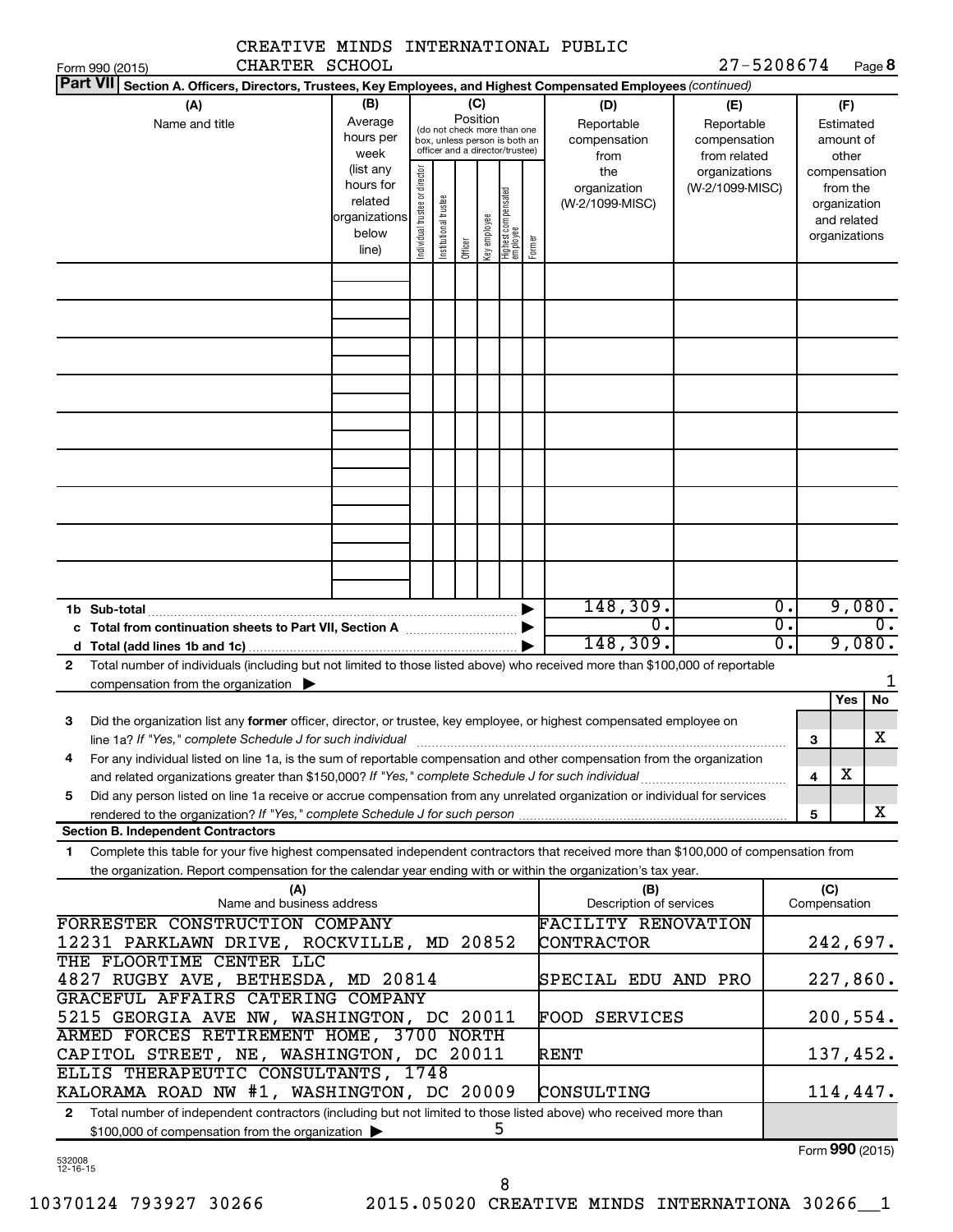|                                                                                                                                                                                                                                                                        | CREATIVE MINDS INTERNATIONAL PUBLIC |                                                                      |                                |                       |                 |              |                                                                                                 |        |                                                                                                        |                                                   |                  |                     |                                                          |               |
|------------------------------------------------------------------------------------------------------------------------------------------------------------------------------------------------------------------------------------------------------------------------|-------------------------------------|----------------------------------------------------------------------|--------------------------------|-----------------------|-----------------|--------------|-------------------------------------------------------------------------------------------------|--------|--------------------------------------------------------------------------------------------------------|---------------------------------------------------|------------------|---------------------|----------------------------------------------------------|---------------|
| Form 990 (2015)                                                                                                                                                                                                                                                        | CHARTER SCHOOL                      |                                                                      |                                |                       |                 |              |                                                                                                 |        |                                                                                                        | 27-5208674                                        |                  |                     |                                                          | Page 8        |
| <b>Part VII</b>                                                                                                                                                                                                                                                        |                                     |                                                                      |                                |                       |                 |              |                                                                                                 |        | Section A. Officers, Directors, Trustees, Key Employees, and Highest Compensated Employees (continued) |                                                   |                  |                     |                                                          |               |
| (A)<br>Name and title                                                                                                                                                                                                                                                  |                                     | (B)<br>Average<br>hours per<br>week                                  |                                |                       | (C)<br>Position |              | (do not check more than one<br>box, unless person is both an<br>officer and a director/trustee) |        | (D)<br>Reportable<br>compensation<br>from                                                              | (E)<br>Reportable<br>compensation<br>from related |                  |                     | (F)<br>Estimated<br>amount of<br>other                   |               |
|                                                                                                                                                                                                                                                                        |                                     | (list any<br>hours for<br>related<br>organizations<br>below<br>line) | Individual trustee or director | Institutional trustee | Officer         | Key employee | Highest compensated<br>employee                                                                 | Former | the<br>organization<br>(W-2/1099-MISC)                                                                 | organizations<br>(W-2/1099-MISC)                  |                  | compensation        | from the<br>organization<br>and related<br>organizations |               |
|                                                                                                                                                                                                                                                                        |                                     |                                                                      |                                |                       |                 |              |                                                                                                 |        |                                                                                                        |                                                   |                  |                     |                                                          |               |
|                                                                                                                                                                                                                                                                        |                                     |                                                                      |                                |                       |                 |              |                                                                                                 |        |                                                                                                        |                                                   |                  |                     |                                                          |               |
|                                                                                                                                                                                                                                                                        |                                     |                                                                      |                                |                       |                 |              |                                                                                                 |        |                                                                                                        |                                                   |                  |                     |                                                          |               |
|                                                                                                                                                                                                                                                                        |                                     |                                                                      |                                |                       |                 |              |                                                                                                 |        |                                                                                                        |                                                   |                  |                     |                                                          |               |
|                                                                                                                                                                                                                                                                        |                                     |                                                                      |                                |                       |                 |              |                                                                                                 |        |                                                                                                        |                                                   |                  |                     |                                                          |               |
|                                                                                                                                                                                                                                                                        |                                     |                                                                      |                                |                       |                 |              |                                                                                                 |        |                                                                                                        |                                                   |                  |                     |                                                          |               |
| 1b Sub-total                                                                                                                                                                                                                                                           |                                     |                                                                      |                                |                       |                 |              |                                                                                                 |        | 148,309.                                                                                               |                                                   | $\overline{0}$ . |                     |                                                          | 9,080.        |
|                                                                                                                                                                                                                                                                        |                                     |                                                                      |                                |                       |                 |              |                                                                                                 |        | $\overline{0}$ .                                                                                       |                                                   | σ.<br>σ.         |                     |                                                          | $\mathbf 0$ . |
|                                                                                                                                                                                                                                                                        |                                     |                                                                      |                                |                       |                 |              |                                                                                                 |        | 148,309.                                                                                               |                                                   |                  |                     |                                                          | 9,080.        |
| Total number of individuals (including but not limited to those listed above) who received more than \$100,000 of reportable<br>$\mathbf{2}$<br>compensation from the organization $\blacktriangleright$                                                               |                                     |                                                                      |                                |                       |                 |              |                                                                                                 |        |                                                                                                        |                                                   |                  |                     |                                                          | 1             |
|                                                                                                                                                                                                                                                                        |                                     |                                                                      |                                |                       |                 |              |                                                                                                 |        |                                                                                                        |                                                   |                  |                     | Yes                                                      | No            |
| Did the organization list any former officer, director, or trustee, key employee, or highest compensated employee on<br>З<br>line 1a? If "Yes," complete Schedule J for such individual manufactured content to the content of the content o                           |                                     |                                                                      |                                |                       |                 |              |                                                                                                 |        |                                                                                                        |                                                   |                  | 3                   |                                                          | X             |
| For any individual listed on line 1a, is the sum of reportable compensation and other compensation from the organization<br>4                                                                                                                                          |                                     |                                                                      |                                |                       |                 |              |                                                                                                 |        |                                                                                                        |                                                   |                  |                     |                                                          |               |
| Did any person listed on line 1a receive or accrue compensation from any unrelated organization or individual for services<br>5                                                                                                                                        |                                     |                                                                      |                                |                       |                 |              |                                                                                                 |        |                                                                                                        |                                                   |                  | 4                   | x                                                        |               |
|                                                                                                                                                                                                                                                                        |                                     |                                                                      |                                |                       |                 |              |                                                                                                 |        |                                                                                                        |                                                   |                  | 5                   |                                                          | x             |
| <b>Section B. Independent Contractors</b>                                                                                                                                                                                                                              |                                     |                                                                      |                                |                       |                 |              |                                                                                                 |        |                                                                                                        |                                                   |                  |                     |                                                          |               |
| Complete this table for your five highest compensated independent contractors that received more than \$100,000 of compensation from<br>$\mathbf{1}$<br>the organization. Report compensation for the calendar year ending with or within the organization's tax year. |                                     |                                                                      |                                |                       |                 |              |                                                                                                 |        |                                                                                                        |                                                   |                  |                     |                                                          |               |
| FORRESTER CONSTRUCTION COMPANY                                                                                                                                                                                                                                         | (A)<br>Name and business address    |                                                                      |                                |                       |                 |              |                                                                                                 |        | (B)<br>Description of services<br><b>FACILITY RENOVATION</b>                                           |                                                   |                  | (C)<br>Compensation |                                                          |               |
| 12231 PARKLAWN DRIVE, ROCKVILLE, MD 20852                                                                                                                                                                                                                              |                                     |                                                                      |                                |                       |                 |              |                                                                                                 |        | CONTRACTOR                                                                                             |                                                   |                  |                     |                                                          | 242,697.      |
| THE FLOORTIME CENTER LLC<br>4827 RUGBY AVE, BETHESDA, MD 20814                                                                                                                                                                                                         |                                     |                                                                      |                                |                       |                 |              |                                                                                                 |        | SPECIAL EDU AND PRO                                                                                    |                                                   |                  |                     |                                                          | 227,860.      |
| GRACEFUL AFFAIRS CATERING COMPANY<br>5215 GEORGIA AVE NW, WASHINGTON, DC 20011                                                                                                                                                                                         |                                     |                                                                      |                                |                       |                 |              |                                                                                                 |        | <b>FOOD SERVICES</b>                                                                                   |                                                   |                  |                     |                                                          | 200,554.      |
| ARMED FORCES RETIREMENT HOME, 3700 NORTH<br>CAPITOL STREET, NE, WASHINGTON, DC 20011                                                                                                                                                                                   |                                     |                                                                      |                                |                       |                 |              |                                                                                                 |        | RENT                                                                                                   |                                                   |                  |                     |                                                          | 137,452.      |
| ELLIS THERAPEUTIC CONSULTANTS, 1748<br>KALORAMA ROAD NW #1, WASHINGTON, DC 20009                                                                                                                                                                                       |                                     |                                                                      |                                |                       |                 |              |                                                                                                 |        | CONSULTING                                                                                             |                                                   |                  |                     |                                                          | 114,447.      |
| Total number of independent contractors (including but not limited to those listed above) who received more than<br>$\mathbf{2}$<br>\$100,000 of compensation from the organization                                                                                    |                                     |                                                                      |                                |                       |                 |              | 5                                                                                               |        |                                                                                                        |                                                   |                  |                     |                                                          |               |
|                                                                                                                                                                                                                                                                        |                                     |                                                                      |                                |                       |                 |              |                                                                                                 |        |                                                                                                        |                                                   |                  |                     |                                                          |               |

532008 12-16-15

8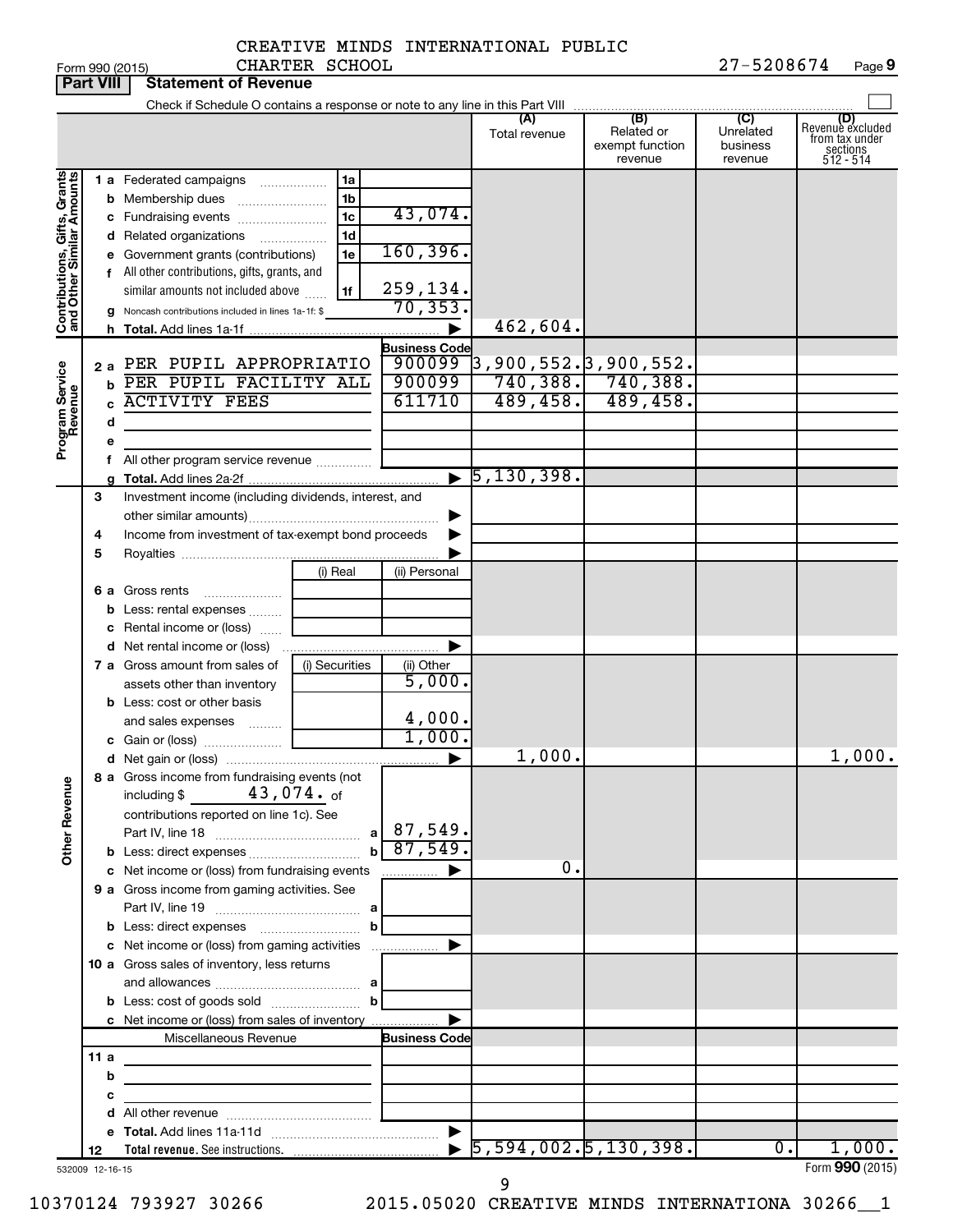CHARTER SCHOOL

### CREATIVE MINDS INTERNATIONAL PUBLIC

|                              | <b>Part VIII</b>      | <b>Statement of Revenue</b>                                                                                                                                                                                                                                                                        |                                                               |                                                                      |                                   |                                                 |                                         |                                                                    |
|------------------------------|-----------------------|----------------------------------------------------------------------------------------------------------------------------------------------------------------------------------------------------------------------------------------------------------------------------------------------------|---------------------------------------------------------------|----------------------------------------------------------------------|-----------------------------------|-------------------------------------------------|-----------------------------------------|--------------------------------------------------------------------|
|                              |                       |                                                                                                                                                                                                                                                                                                    |                                                               |                                                                      |                                   |                                                 |                                         |                                                                    |
|                              |                       |                                                                                                                                                                                                                                                                                                    |                                                               |                                                                      | (A)<br>Total revenue              | (B)<br>Related or<br>exempt function<br>revenue | (C)<br>Unrelated<br>business<br>revenue | (D)<br>Revenue excluded<br>from tax under<br>sections<br>512 - 514 |
| Contributions, Gifts, Grants |                       | 1 a Federated campaigns<br><b>b</b> Membership dues<br>c Fundraising events<br><b>d</b> Related organizations<br>e Government grants (contributions)<br>f All other contributions, gifts, grants, and<br>similar amounts not included above<br>g Noncash contributions included in lines 1a-1f: \$ | 1a<br>1b<br>1 <sub>c</sub><br>1 <sub>d</sub><br>.<br>1e<br>1f | 43,074.<br>160, 396.<br>259,134.<br>70, 353.<br><b>Business Code</b> | 462,604.                          |                                                 |                                         |                                                                    |
| Program Service<br>Revenue   | 2а<br>b<br>d          | PER PUPIL APPROPRIATIO<br>PER PUPIL FACILITY ALL<br><b>ACTIVITY FEES</b><br>f All other program service revenue                                                                                                                                                                                    |                                                               | 900099<br>900099<br>611710                                           | 3,900,552.3,900,552.<br>489, 458. | $740,388.$ , 740,388.<br>489,458.               |                                         |                                                                    |
|                              |                       |                                                                                                                                                                                                                                                                                                    |                                                               |                                                                      | $\blacktriangleright$ 5,130,398.  |                                                 |                                         |                                                                    |
|                              | З<br>4<br>5           | Investment income (including dividends, interest, and<br>Income from investment of tax-exempt bond proceeds                                                                                                                                                                                        |                                                               |                                                                      |                                   |                                                 |                                         |                                                                    |
|                              | b                     | 6 a Gross rents<br>Less: rental expenses<br>c Rental income or (loss)<br><b>d</b> Net rental income or (loss)                                                                                                                                                                                      | (i) Real                                                      | (ii) Personal                                                        |                                   |                                                 |                                         |                                                                    |
|                              |                       | 7 a Gross amount from sales of<br>assets other than inventory<br><b>b</b> Less: cost or other basis<br>and sales expenses                                                                                                                                                                          | (i) Securities                                                | (ii) Other<br>5,000.<br>4,000.                                       |                                   |                                                 |                                         |                                                                    |
|                              |                       |                                                                                                                                                                                                                                                                                                    |                                                               | 1,000.                                                               |                                   |                                                 |                                         |                                                                    |
|                              |                       |                                                                                                                                                                                                                                                                                                    |                                                               |                                                                      | 1,000.                            |                                                 |                                         | 1,000.                                                             |
| <b>Other Revenue</b>         |                       | 8 a Gross income from fundraising events (not<br>$43$ ,074. of<br>including \$<br>contributions reported on line 1c). See                                                                                                                                                                          | $\mathbf{b}$                                                  | 87,549.<br>87,549.                                                   |                                   |                                                 |                                         |                                                                    |
|                              |                       | c Net income or (loss) from fundraising events                                                                                                                                                                                                                                                     |                                                               | .                                                                    | 0.                                |                                                 |                                         |                                                                    |
|                              |                       | 9 a Gross income from gaming activities. See                                                                                                                                                                                                                                                       | b                                                             |                                                                      |                                   |                                                 |                                         |                                                                    |
|                              |                       | c Net income or (loss) from gaming activities                                                                                                                                                                                                                                                      |                                                               |                                                                      |                                   |                                                 |                                         |                                                                    |
|                              |                       | 10 a Gross sales of inventory, less returns                                                                                                                                                                                                                                                        |                                                               |                                                                      |                                   |                                                 |                                         |                                                                    |
|                              |                       | c Net income or (loss) from sales of inventory                                                                                                                                                                                                                                                     |                                                               |                                                                      |                                   |                                                 |                                         |                                                                    |
|                              |                       | Miscellaneous Revenue                                                                                                                                                                                                                                                                              |                                                               | <b>Business Code</b>                                                 |                                   |                                                 |                                         |                                                                    |
|                              | 11 a                  |                                                                                                                                                                                                                                                                                                    |                                                               |                                                                      |                                   |                                                 |                                         |                                                                    |
|                              | b                     | the control of the control of the control of the control of the control of                                                                                                                                                                                                                         |                                                               |                                                                      |                                   |                                                 |                                         |                                                                    |
|                              | с                     |                                                                                                                                                                                                                                                                                                    | the control of the control of the control of                  |                                                                      |                                   |                                                 |                                         |                                                                    |
|                              |                       |                                                                                                                                                                                                                                                                                                    |                                                               |                                                                      |                                   |                                                 |                                         |                                                                    |
|                              |                       |                                                                                                                                                                                                                                                                                                    |                                                               |                                                                      | $\overline{5,594,002.5,130,398.}$ |                                                 | $\overline{0}$ .                        | 1,000.                                                             |
|                              | 12<br>532009 12-16-15 |                                                                                                                                                                                                                                                                                                    |                                                               |                                                                      |                                   |                                                 |                                         | Form 990 (2015)                                                    |

10370124 793927 30266 2015.05020 CREATIVE MINDS INTERNATIONA 30266\_\_1

9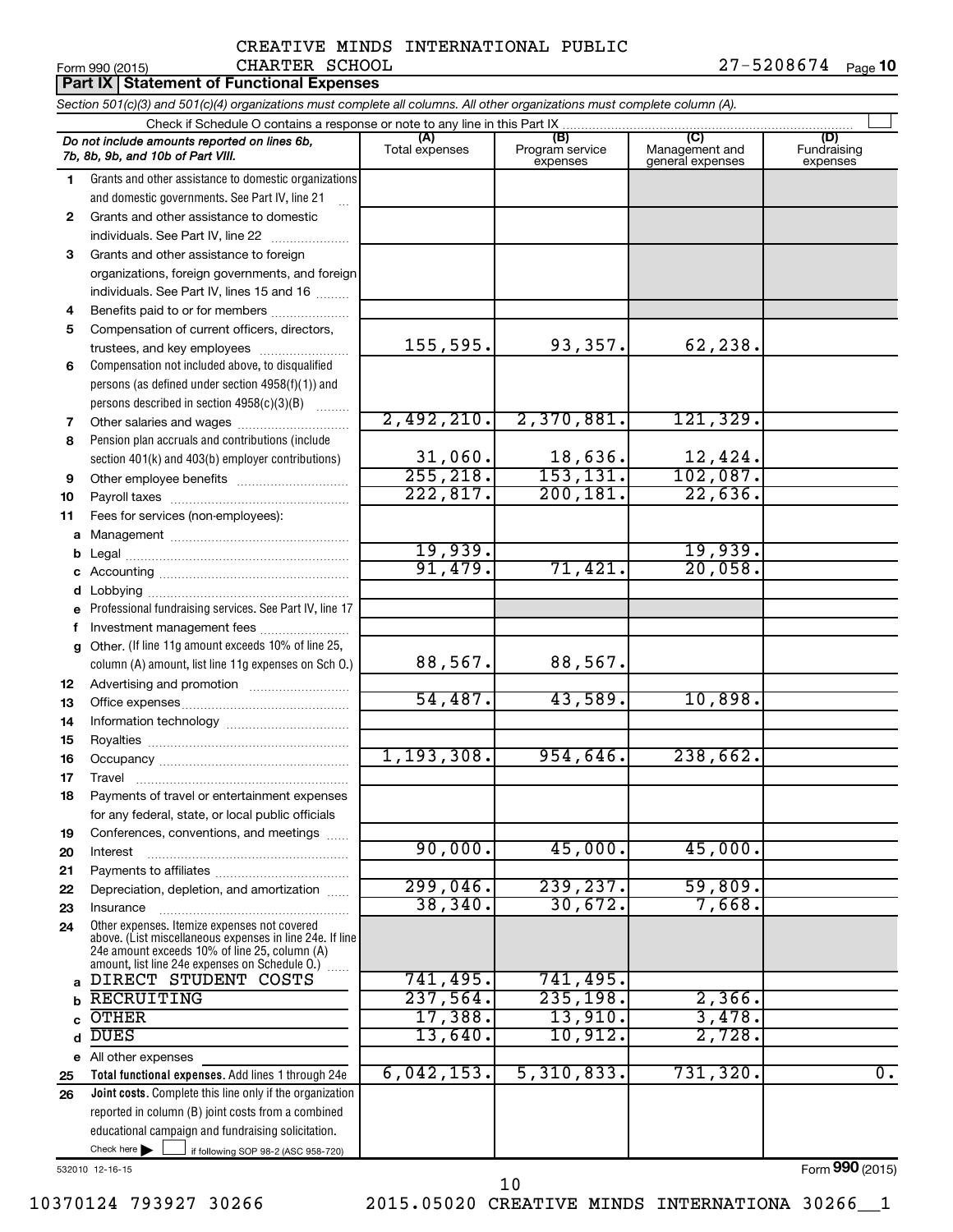#### Form 990 (2015) CHARTER SCHOOL 2 7 – 5 2 0 8 6 7 4 <sub>Page</sub> **10** CREATIVE MINDS INTERNATIONAL PUBLIC CHARTER SCHOOL

|          | <b>Part IX   Statement of Functional Expenses</b>                                                                             |                          |                                    |                                           |                                |
|----------|-------------------------------------------------------------------------------------------------------------------------------|--------------------------|------------------------------------|-------------------------------------------|--------------------------------|
|          | Section 501(c)(3) and 501(c)(4) organizations must complete all columns. All other organizations must complete column (A).    |                          |                                    |                                           |                                |
|          | Check if Schedule O contains a response or note to any line in this Part IX                                                   |                          |                                    |                                           |                                |
|          | Do not include amounts reported on lines 6b,<br>7b, 8b, 9b, and 10b of Part VIII.                                             | (A)<br>Total expenses    | (B)<br>Program service<br>expenses | (C)<br>Management and<br>general expenses | (D)<br>Fundraising<br>expenses |
| 1.       | Grants and other assistance to domestic organizations                                                                         |                          |                                    |                                           |                                |
|          | and domestic governments. See Part IV, line 21                                                                                |                          |                                    |                                           |                                |
| 2        | Grants and other assistance to domestic                                                                                       |                          |                                    |                                           |                                |
|          | individuals. See Part IV, line 22                                                                                             |                          |                                    |                                           |                                |
| 3        | Grants and other assistance to foreign                                                                                        |                          |                                    |                                           |                                |
|          | organizations, foreign governments, and foreign                                                                               |                          |                                    |                                           |                                |
|          | individuals. See Part IV, lines 15 and 16                                                                                     |                          |                                    |                                           |                                |
| 4        | Benefits paid to or for members                                                                                               |                          |                                    |                                           |                                |
| 5        | Compensation of current officers, directors,<br>trustees, and key employees                                                   | 155,595.                 | 93,357.                            | 62,238.                                   |                                |
| 6        | Compensation not included above, to disqualified                                                                              |                          |                                    |                                           |                                |
|          | persons (as defined under section 4958(f)(1)) and                                                                             |                          |                                    |                                           |                                |
|          | persons described in section 4958(c)(3)(B)                                                                                    |                          |                                    |                                           |                                |
| 7        | Other salaries and wages                                                                                                      | 2,492,210.               | 2,370,881.                         | 121,329.                                  |                                |
| 8        | Pension plan accruals and contributions (include                                                                              |                          |                                    |                                           |                                |
|          | section 401(k) and 403(b) employer contributions)                                                                             |                          |                                    |                                           |                                |
| 9        | Other employee benefits                                                                                                       | $\frac{31,060}{255,218}$ | $\frac{18,636}{153,131}$           | $\frac{12,424}{102,087}$ .                |                                |
| 10       |                                                                                                                               | 222,817.                 | 200, 181.                          | 22,636.                                   |                                |
| 11       | Fees for services (non-employees):                                                                                            |                          |                                    |                                           |                                |
| a        |                                                                                                                               |                          |                                    |                                           |                                |
| b        |                                                                                                                               | 19,939.                  |                                    | 19,939.                                   |                                |
|          |                                                                                                                               | 91,479.                  | 71,421.                            | 20,058.                                   |                                |
| d        |                                                                                                                               |                          |                                    |                                           |                                |
|          | Professional fundraising services. See Part IV, line 17                                                                       |                          |                                    |                                           |                                |
| f        | Investment management fees                                                                                                    |                          |                                    |                                           |                                |
| a        | Other. (If line 11g amount exceeds 10% of line 25,                                                                            |                          |                                    |                                           |                                |
|          | column (A) amount, list line 11g expenses on Sch O.)                                                                          | 88,567.                  | 88,567.                            |                                           |                                |
| 12       |                                                                                                                               |                          | 43,589.                            |                                           |                                |
| 13       |                                                                                                                               | 54,487.                  |                                    | 10,898.                                   |                                |
| 14       |                                                                                                                               |                          |                                    |                                           |                                |
| 15       |                                                                                                                               | 1, 193, 308.             | 954,646.                           | 238,662.                                  |                                |
| 16       |                                                                                                                               |                          |                                    |                                           |                                |
| 17<br>18 | Travel<br>Payments of travel or entertainment expenses                                                                        |                          |                                    |                                           |                                |
|          | for any federal, state, or local public officials                                                                             |                          |                                    |                                           |                                |
| 19       | Conferences, conventions, and meetings                                                                                        |                          |                                    |                                           |                                |
| 20       | Interest                                                                                                                      | 90,000.                  | 45,000.                            | 45,000.                                   |                                |
| 21       |                                                                                                                               |                          |                                    |                                           |                                |
| 22       | Depreciation, depletion, and amortization                                                                                     | 299,046.                 | 239, 237.                          | 59,809.                                   |                                |
| 23       | Insurance                                                                                                                     | 38, 340.                 | 30,672.                            | 7,668                                     |                                |
| 24       | Other expenses. Itemize expenses not covered                                                                                  |                          |                                    |                                           |                                |
|          | above. (List miscellaneous expenses in line 24e. If line<br>24e amount exceeds 10% of line 25, column (A)                     |                          |                                    |                                           |                                |
|          | amount, list line 24e expenses on Schedule O.) [                                                                              |                          |                                    |                                           |                                |
| a        | DIRECT STUDENT COSTS                                                                                                          | 741,495.                 | 741,495.                           |                                           |                                |
| b        | <b>RECRUITING</b>                                                                                                             | 237,564.                 | 235, 198.                          | 2,366.                                    |                                |
|          | <b>OTHER</b>                                                                                                                  | 17,388.                  | 13,910.                            | 3,478.                                    |                                |
| d        | <b>DUES</b>                                                                                                                   | 13,640.                  | 10,912.                            | 2,728                                     |                                |
|          | e All other expenses                                                                                                          |                          |                                    |                                           |                                |
| 25       | Total functional expenses. Add lines 1 through 24e                                                                            | 6,042,153.               | 5,310,833.                         | 731,320.                                  | $\overline{0}$ .               |
| 26       | Joint costs. Complete this line only if the organization                                                                      |                          |                                    |                                           |                                |
|          | reported in column (B) joint costs from a combined                                                                            |                          |                                    |                                           |                                |
|          | educational campaign and fundraising solicitation.<br>Check here $\blacktriangleright$<br>if following SOP 98-2 (ASC 958-720) |                          |                                    |                                           |                                |
|          | 532010 12-16-15                                                                                                               |                          |                                    |                                           | Form 990 (2015)                |

10370124 793927 30266 2015.05020 CREATIVE MINDS INTERNATIONA 30266\_\_1 10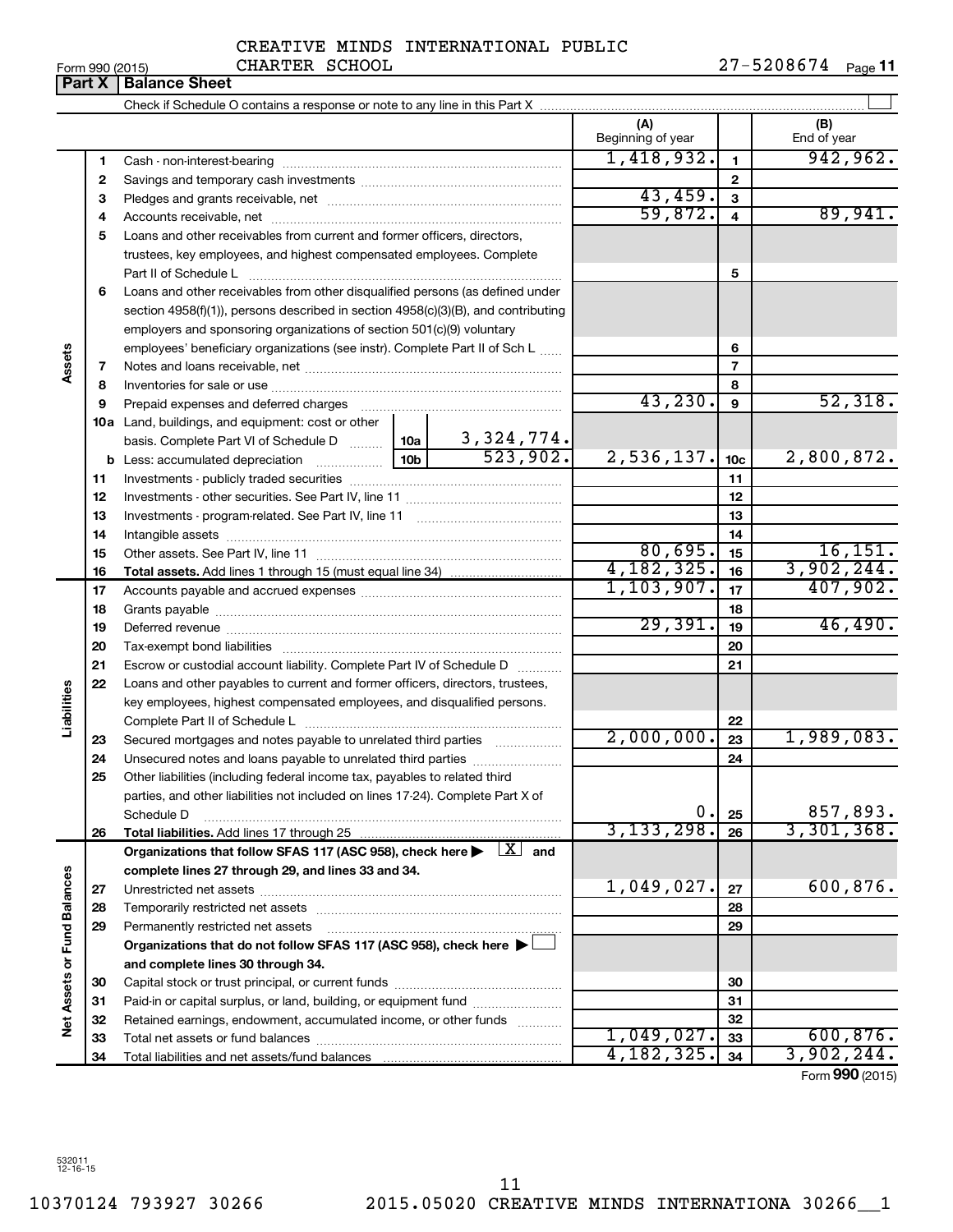| Form 990 (2015) |  |  |
|-----------------|--|--|

| Form 990 (2015) | CHARTER                       | SCHOOL                                                                     |    | 27-5208674 | Page 11 |
|-----------------|-------------------------------|----------------------------------------------------------------------------|----|------------|---------|
|                 | <b>Part X   Balance Sheet</b> |                                                                            |    |            |         |
|                 |                               | Check if Schedule O contains a response or note to any line in this Part X |    |            |         |
|                 |                               |                                                                            | ίΔ | /R         |         |

|                      |              | $\alpha$ is the control of $\alpha$ . For the control of $\alpha$ is the control of $\alpha$ in the fit this fract $\alpha$ |                          |                 |                    |
|----------------------|--------------|-----------------------------------------------------------------------------------------------------------------------------|--------------------------|-----------------|--------------------|
|                      |              |                                                                                                                             | (A)<br>Beginning of year |                 | (B)<br>End of year |
|                      | 1            |                                                                                                                             | 1,418,932.               | $\mathbf{1}$    | 942,962.           |
|                      | $\mathbf{2}$ |                                                                                                                             |                          | $\mathbf{2}$    |                    |
|                      | З            |                                                                                                                             | 43,459.                  | 3               |                    |
|                      | 4            |                                                                                                                             | 59,872.                  | 4               | 89,941.            |
|                      | 5            | Loans and other receivables from current and former officers, directors,                                                    |                          |                 |                    |
|                      |              | trustees, key employees, and highest compensated employees. Complete                                                        |                          |                 |                    |
|                      |              | Part II of Schedule L                                                                                                       |                          | 5               |                    |
|                      | 6            | Loans and other receivables from other disqualified persons (as defined under                                               |                          |                 |                    |
|                      |              | section 4958(f)(1)), persons described in section 4958(c)(3)(B), and contributing                                           |                          |                 |                    |
|                      |              | employers and sponsoring organizations of section 501(c)(9) voluntary                                                       |                          |                 |                    |
|                      |              | employees' beneficiary organizations (see instr). Complete Part II of Sch L                                                 |                          | 6               |                    |
| Assets               | 7            |                                                                                                                             |                          | $\overline{7}$  |                    |
|                      | 8            |                                                                                                                             |                          | 8               |                    |
|                      | 9            |                                                                                                                             | 43, 230.                 | 9               | 52,318.            |
|                      |              | 10a Land, buildings, and equipment: cost or other                                                                           |                          |                 |                    |
|                      |              | $\frac{3,324,774.}{523,902.}$<br>basis. Complete Part VI of Schedule D  10a                                                 |                          |                 |                    |
|                      |              |                                                                                                                             | 2,536,137.               | 10 <sub>c</sub> | 2,800,872.         |
|                      | 11           |                                                                                                                             |                          | 11              |                    |
|                      | 12           |                                                                                                                             |                          | 12              |                    |
|                      | 13           |                                                                                                                             |                          | 13              |                    |
|                      | 14           |                                                                                                                             |                          | 14              |                    |
|                      | 15           |                                                                                                                             | 80,695.                  | 15              | 16, 151.           |
|                      | 16           |                                                                                                                             | 4,182,325.               | 16              | 3,902,244.         |
|                      | 17           |                                                                                                                             | 1, 103, 907.             | 17              | 407,902.           |
|                      | 18           |                                                                                                                             |                          | 18              |                    |
|                      | 19           |                                                                                                                             | 29,391.                  | 19              | 46,490.            |
|                      | 20           |                                                                                                                             |                          | 20              |                    |
|                      | 21           | Escrow or custodial account liability. Complete Part IV of Schedule D<br>1.1.1.1.1.1.1.1.1.1                                |                          | 21              |                    |
|                      | 22           | Loans and other payables to current and former officers, directors, trustees,                                               |                          |                 |                    |
|                      |              | key employees, highest compensated employees, and disqualified persons.                                                     |                          |                 |                    |
| Liabilities          |              |                                                                                                                             |                          | 22              |                    |
|                      | 23           | Secured mortgages and notes payable to unrelated third parties                                                              | 2,000,000.               | 23              | 1,989,083.         |
|                      | 24           | Unsecured notes and loans payable to unrelated third parties                                                                |                          | 24              |                    |
|                      | 25           | Other liabilities (including federal income tax, payables to related third                                                  |                          |                 |                    |
|                      |              | parties, and other liabilities not included on lines 17-24). Complete Part X of<br>Schedule D                               | $\mathbf 0$ .            |                 | 857,893.           |
|                      | 26           |                                                                                                                             | 3, 133, 298.             | 25<br>26        | 3,301,368.         |
|                      |              | Organizations that follow SFAS 117 (ASC 958), check here $\blacktriangleright \boxed{X}$ and                                |                          |                 |                    |
|                      |              | complete lines 27 through 29, and lines 33 and 34.                                                                          |                          |                 |                    |
|                      | 27           |                                                                                                                             | 1,049,027.               | 27              | 600,876.           |
| <b>Fund Balances</b> | 28           |                                                                                                                             |                          | 28              |                    |
|                      | 29           | Permanently restricted net assets                                                                                           |                          | 29              |                    |
|                      |              | Organizations that do not follow SFAS 117 (ASC 958), check here $\blacktriangleright$                                       |                          |                 |                    |
|                      |              | and complete lines 30 through 34.                                                                                           |                          |                 |                    |
|                      | 30           |                                                                                                                             |                          | 30              |                    |
|                      | 31           | Paid-in or capital surplus, or land, building, or equipment fund                                                            |                          | 31              |                    |
| Net Assets or        | 32           | Retained earnings, endowment, accumulated income, or other funds                                                            |                          | 32              |                    |
|                      | 33           |                                                                                                                             | 1,049,027.               | 33              | 600,876.           |
|                      | 34           |                                                                                                                             | 4,182,325.               | 34              | 3,902,244.         |
|                      |              |                                                                                                                             |                          |                 |                    |

Form (2015) **990**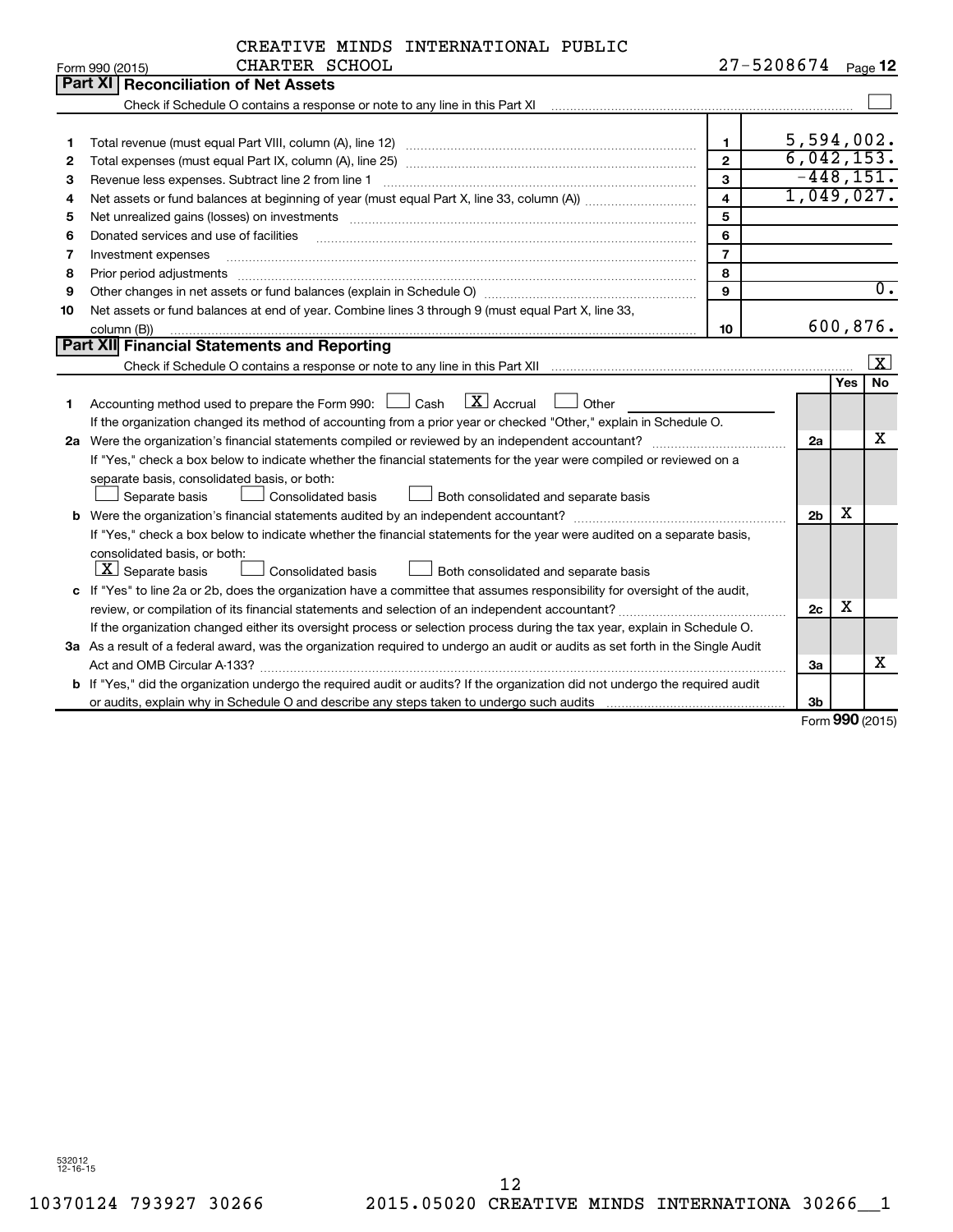|                | CREATIVE MINDS INTERNATIONAL PUBLIC |  |
|----------------|-------------------------------------|--|
| CHARTER SCHOOL |                                     |  |

|    | CHARTER SCHOOL<br>Form 990 (2015)                                                                                                                                                                                                                                                                                                                                                                                                                                        | $27 - 5208674$          |                |            | Page 12          |  |
|----|--------------------------------------------------------------------------------------------------------------------------------------------------------------------------------------------------------------------------------------------------------------------------------------------------------------------------------------------------------------------------------------------------------------------------------------------------------------------------|-------------------------|----------------|------------|------------------|--|
|    | <b>Part XI Reconciliation of Net Assets</b>                                                                                                                                                                                                                                                                                                                                                                                                                              |                         |                |            |                  |  |
|    |                                                                                                                                                                                                                                                                                                                                                                                                                                                                          |                         |                |            |                  |  |
|    |                                                                                                                                                                                                                                                                                                                                                                                                                                                                          |                         |                |            |                  |  |
| 1  |                                                                                                                                                                                                                                                                                                                                                                                                                                                                          | $\mathbf{1}$            | 5,594,002.     |            |                  |  |
| 2  |                                                                                                                                                                                                                                                                                                                                                                                                                                                                          | $\mathbf{2}$            | 6,042,153.     |            |                  |  |
| З  | Revenue less expenses. Subtract line 2 from line 1                                                                                                                                                                                                                                                                                                                                                                                                                       | 3                       | $-448, 151.$   |            |                  |  |
| 4  |                                                                                                                                                                                                                                                                                                                                                                                                                                                                          | $\overline{\mathbf{4}}$ | 1,049,027.     |            |                  |  |
| 5  |                                                                                                                                                                                                                                                                                                                                                                                                                                                                          | 5                       |                |            |                  |  |
| 6  | Donated services and use of facilities                                                                                                                                                                                                                                                                                                                                                                                                                                   | 6                       |                |            |                  |  |
| 7  | Investment expenses                                                                                                                                                                                                                                                                                                                                                                                                                                                      | $\overline{7}$          |                |            |                  |  |
| 8  | Prior period adjustments<br>$\begin{minipage}{0.5\textwidth} \begin{tabular}{ l l l } \hline \multicolumn{1}{ l l l } \hline \multicolumn{1}{ l l } \hline \multicolumn{1}{ l } \multicolumn{1}{ l } \hline \multicolumn{1}{ l } \multicolumn{1}{ l } \multicolumn{1}{ l } \multicolumn{1}{ l } \hline \multicolumn{1}{ l } \multicolumn{1}{ l } \multicolumn{1}{ l } \multicolumn{1}{ l } \hline \multicolumn{1}{ l } \multicolumn{1}{ l } \multicolumn{1}{ l } \hline$ | 8                       |                |            |                  |  |
| 9  |                                                                                                                                                                                                                                                                                                                                                                                                                                                                          | 9                       |                |            | $\overline{0}$ . |  |
| 10 | Net assets or fund balances at end of year. Combine lines 3 through 9 (must equal Part X, line 33,                                                                                                                                                                                                                                                                                                                                                                       |                         |                |            |                  |  |
|    | column (B))                                                                                                                                                                                                                                                                                                                                                                                                                                                              | 10                      |                |            | 600,876.         |  |
|    | Part XII Financial Statements and Reporting                                                                                                                                                                                                                                                                                                                                                                                                                              |                         |                |            |                  |  |
|    |                                                                                                                                                                                                                                                                                                                                                                                                                                                                          |                         |                |            | $\vert X \vert$  |  |
|    |                                                                                                                                                                                                                                                                                                                                                                                                                                                                          |                         |                | <b>Yes</b> | No               |  |
| 1  | $\mathbf{X}$ Accrual<br>Accounting method used to prepare the Form 990: [130] Cash<br>Other                                                                                                                                                                                                                                                                                                                                                                              |                         |                |            |                  |  |
|    | If the organization changed its method of accounting from a prior year or checked "Other," explain in Schedule O.                                                                                                                                                                                                                                                                                                                                                        |                         |                |            |                  |  |
|    |                                                                                                                                                                                                                                                                                                                                                                                                                                                                          |                         | 2a             |            | x                |  |
|    | If "Yes," check a box below to indicate whether the financial statements for the year were compiled or reviewed on a                                                                                                                                                                                                                                                                                                                                                     |                         |                |            |                  |  |
|    | separate basis, consolidated basis, or both:                                                                                                                                                                                                                                                                                                                                                                                                                             |                         |                |            |                  |  |
|    | Separate basis<br>Consolidated basis<br>Both consolidated and separate basis                                                                                                                                                                                                                                                                                                                                                                                             |                         |                |            |                  |  |
|    |                                                                                                                                                                                                                                                                                                                                                                                                                                                                          |                         | 2 <sub>b</sub> | x          |                  |  |
|    | If "Yes," check a box below to indicate whether the financial statements for the year were audited on a separate basis,                                                                                                                                                                                                                                                                                                                                                  |                         |                |            |                  |  |
|    | consolidated basis, or both:                                                                                                                                                                                                                                                                                                                                                                                                                                             |                         |                |            |                  |  |
|    | $ \mathbf{X} $ Separate basis<br>Consolidated basis<br>Both consolidated and separate basis                                                                                                                                                                                                                                                                                                                                                                              |                         |                |            |                  |  |
|    | c If "Yes" to line 2a or 2b, does the organization have a committee that assumes responsibility for oversight of the audit,                                                                                                                                                                                                                                                                                                                                              |                         |                |            |                  |  |
|    | review, or compilation of its financial statements and selection of an independent accountant?                                                                                                                                                                                                                                                                                                                                                                           |                         | 2c             | x          |                  |  |
|    | If the organization changed either its oversight process or selection process during the tax year, explain in Schedule O.                                                                                                                                                                                                                                                                                                                                                |                         |                |            |                  |  |
|    | 3a As a result of a federal award, was the organization required to undergo an audit or audits as set forth in the Single Audit                                                                                                                                                                                                                                                                                                                                          |                         |                |            |                  |  |
|    |                                                                                                                                                                                                                                                                                                                                                                                                                                                                          |                         | За             |            | x                |  |
|    | <b>b</b> If "Yes," did the organization undergo the required audit or audits? If the organization did not undergo the required audit                                                                                                                                                                                                                                                                                                                                     |                         |                |            |                  |  |
|    |                                                                                                                                                                                                                                                                                                                                                                                                                                                                          |                         | 3 <sub>b</sub> |            |                  |  |

Form (2015) **990**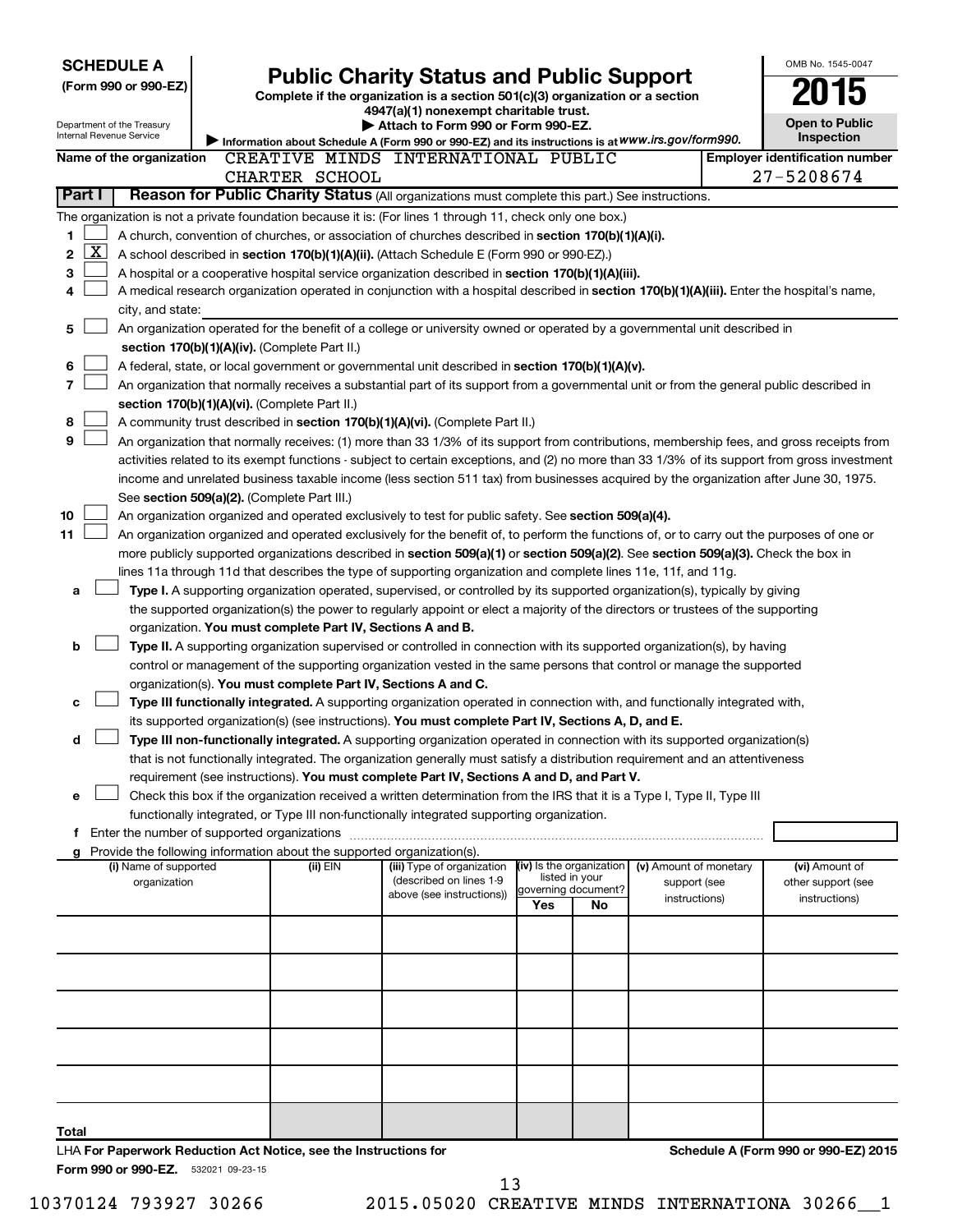|              | <b>SCHEDULE A</b>                                      |                                                                                      | <b>Public Charity Status and Public Support</b>                                                                                                                                                                                               |                          |                           |                        | OMB No. 1545-0047                     |
|--------------|--------------------------------------------------------|--------------------------------------------------------------------------------------|-----------------------------------------------------------------------------------------------------------------------------------------------------------------------------------------------------------------------------------------------|--------------------------|---------------------------|------------------------|---------------------------------------|
|              | (Form 990 or 990-EZ)                                   |                                                                                      | Complete if the organization is a section 501(c)(3) organization or a section                                                                                                                                                                 |                          |                           |                        |                                       |
|              |                                                        |                                                                                      | 4947(a)(1) nonexempt charitable trust.                                                                                                                                                                                                        |                          |                           |                        |                                       |
|              | Department of the Treasury<br>Internal Revenue Service |                                                                                      | Attach to Form 990 or Form 990-EZ.                                                                                                                                                                                                            |                          |                           |                        | <b>Open to Public</b>                 |
|              |                                                        |                                                                                      | Information about Schedule A (Form 990 or 990-EZ) and its instructions is at WWW.irs.gov/form990.                                                                                                                                             |                          |                           |                        | Inspection                            |
|              | Name of the organization                               |                                                                                      | CREATIVE MINDS INTERNATIONAL PUBLIC                                                                                                                                                                                                           |                          |                           |                        | <b>Employer identification number</b> |
|              |                                                        | CHARTER SCHOOL                                                                       |                                                                                                                                                                                                                                               |                          |                           |                        | 27-5208674                            |
| Part I       |                                                        |                                                                                      | Reason for Public Charity Status (All organizations must complete this part.) See instructions.                                                                                                                                               |                          |                           |                        |                                       |
|              |                                                        |                                                                                      | The organization is not a private foundation because it is: (For lines 1 through 11, check only one box.)                                                                                                                                     |                          |                           |                        |                                       |
| 1            |                                                        |                                                                                      | A church, convention of churches, or association of churches described in section 170(b)(1)(A)(i).                                                                                                                                            |                          |                           |                        |                                       |
| 2            | $\overline{\text{X}}$                                  |                                                                                      | A school described in section 170(b)(1)(A)(ii). (Attach Schedule E (Form 990 or 990-EZ).)                                                                                                                                                     |                          |                           |                        |                                       |
| 3            |                                                        |                                                                                      | A hospital or a cooperative hospital service organization described in section 170(b)(1)(A)(iii).                                                                                                                                             |                          |                           |                        |                                       |
| 4            |                                                        |                                                                                      | A medical research organization operated in conjunction with a hospital described in section 170(b)(1)(A)(iii). Enter the hospital's name,                                                                                                    |                          |                           |                        |                                       |
|              | city, and state:                                       |                                                                                      |                                                                                                                                                                                                                                               |                          |                           |                        |                                       |
| 5            |                                                        |                                                                                      | An organization operated for the benefit of a college or university owned or operated by a governmental unit described in                                                                                                                     |                          |                           |                        |                                       |
|              |                                                        | section 170(b)(1)(A)(iv). (Complete Part II.)                                        |                                                                                                                                                                                                                                               |                          |                           |                        |                                       |
| 6<br>7       |                                                        |                                                                                      | A federal, state, or local government or governmental unit described in section 170(b)(1)(A)(v).<br>An organization that normally receives a substantial part of its support from a governmental unit or from the general public described in |                          |                           |                        |                                       |
|              |                                                        | section 170(b)(1)(A)(vi). (Complete Part II.)                                        |                                                                                                                                                                                                                                               |                          |                           |                        |                                       |
| 8            |                                                        |                                                                                      | A community trust described in section 170(b)(1)(A)(vi). (Complete Part II.)                                                                                                                                                                  |                          |                           |                        |                                       |
| 9            |                                                        |                                                                                      | An organization that normally receives: (1) more than 33 1/3% of its support from contributions, membership fees, and gross receipts from                                                                                                     |                          |                           |                        |                                       |
|              |                                                        |                                                                                      | activities related to its exempt functions - subject to certain exceptions, and (2) no more than 33 1/3% of its support from gross investment                                                                                                 |                          |                           |                        |                                       |
|              |                                                        |                                                                                      | income and unrelated business taxable income (less section 511 tax) from businesses acquired by the organization after June 30, 1975.                                                                                                         |                          |                           |                        |                                       |
|              |                                                        | See section 509(a)(2). (Complete Part III.)                                          |                                                                                                                                                                                                                                               |                          |                           |                        |                                       |
| 10           |                                                        |                                                                                      | An organization organized and operated exclusively to test for public safety. See section 509(a)(4).                                                                                                                                          |                          |                           |                        |                                       |
| 11           |                                                        |                                                                                      | An organization organized and operated exclusively for the benefit of, to perform the functions of, or to carry out the purposes of one or                                                                                                    |                          |                           |                        |                                       |
|              |                                                        |                                                                                      | more publicly supported organizations described in section 509(a)(1) or section 509(a)(2). See section 509(a)(3). Check the box in                                                                                                            |                          |                           |                        |                                       |
|              |                                                        |                                                                                      | lines 11a through 11d that describes the type of supporting organization and complete lines 11e, 11f, and 11g.                                                                                                                                |                          |                           |                        |                                       |
| a            |                                                        |                                                                                      | Type I. A supporting organization operated, supervised, or controlled by its supported organization(s), typically by giving                                                                                                                   |                          |                           |                        |                                       |
|              |                                                        |                                                                                      | the supported organization(s) the power to regularly appoint or elect a majority of the directors or trustees of the supporting                                                                                                               |                          |                           |                        |                                       |
|              |                                                        | organization. You must complete Part IV, Sections A and B.                           |                                                                                                                                                                                                                                               |                          |                           |                        |                                       |
| b            |                                                        |                                                                                      | Type II. A supporting organization supervised or controlled in connection with its supported organization(s), by having                                                                                                                       |                          |                           |                        |                                       |
|              |                                                        |                                                                                      | control or management of the supporting organization vested in the same persons that control or manage the supported                                                                                                                          |                          |                           |                        |                                       |
|              |                                                        | organization(s). You must complete Part IV, Sections A and C.                        |                                                                                                                                                                                                                                               |                          |                           |                        |                                       |
| c            |                                                        |                                                                                      | Type III functionally integrated. A supporting organization operated in connection with, and functionally integrated with,                                                                                                                    |                          |                           |                        |                                       |
|              |                                                        |                                                                                      | its supported organization(s) (see instructions). You must complete Part IV, Sections A, D, and E.                                                                                                                                            |                          |                           |                        |                                       |
| d            |                                                        |                                                                                      | Type III non-functionally integrated. A supporting organization operated in connection with its supported organization(s)                                                                                                                     |                          |                           |                        |                                       |
|              |                                                        |                                                                                      | that is not functionally integrated. The organization generally must satisfy a distribution requirement and an attentiveness                                                                                                                  |                          |                           |                        |                                       |
|              |                                                        |                                                                                      | requirement (see instructions). You must complete Part IV, Sections A and D, and Part V.                                                                                                                                                      |                          |                           |                        |                                       |
| е            |                                                        |                                                                                      | Check this box if the organization received a written determination from the IRS that it is a Type I, Type II, Type III                                                                                                                       |                          |                           |                        |                                       |
|              |                                                        |                                                                                      | functionally integrated, or Type III non-functionally integrated supporting organization.                                                                                                                                                     |                          |                           |                        |                                       |
|              | f Enter the number of supported organizations          |                                                                                      |                                                                                                                                                                                                                                               |                          |                           |                        |                                       |
|              | (i) Name of supported                                  | g Provide the following information about the supported organization(s).<br>(ii) EIN | (iii) Type of organization                                                                                                                                                                                                                    | (iv) Is the organization |                           | (v) Amount of monetary | (vi) Amount of                        |
|              | organization                                           |                                                                                      | (described on lines 1-9                                                                                                                                                                                                                       |                          | listed in your            | support (see           | other support (see                    |
|              |                                                        |                                                                                      | above (see instructions))                                                                                                                                                                                                                     | Yes                      | governing document?<br>No | instructions)          | instructions)                         |
|              |                                                        |                                                                                      |                                                                                                                                                                                                                                               |                          |                           |                        |                                       |
|              |                                                        |                                                                                      |                                                                                                                                                                                                                                               |                          |                           |                        |                                       |
|              |                                                        |                                                                                      |                                                                                                                                                                                                                                               |                          |                           |                        |                                       |
|              |                                                        |                                                                                      |                                                                                                                                                                                                                                               |                          |                           |                        |                                       |
|              |                                                        |                                                                                      |                                                                                                                                                                                                                                               |                          |                           |                        |                                       |
|              |                                                        |                                                                                      |                                                                                                                                                                                                                                               |                          |                           |                        |                                       |
|              |                                                        |                                                                                      |                                                                                                                                                                                                                                               |                          |                           |                        |                                       |
|              |                                                        |                                                                                      |                                                                                                                                                                                                                                               |                          |                           |                        |                                       |
|              |                                                        |                                                                                      |                                                                                                                                                                                                                                               |                          |                           |                        |                                       |
|              |                                                        |                                                                                      |                                                                                                                                                                                                                                               |                          |                           |                        |                                       |
|              |                                                        |                                                                                      |                                                                                                                                                                                                                                               |                          |                           |                        |                                       |
| <b>Total</b> |                                                        |                                                                                      |                                                                                                                                                                                                                                               |                          |                           |                        |                                       |
|              |                                                        | LHA For Paperwork Reduction Act Notice, see the Instructions for                     |                                                                                                                                                                                                                                               |                          |                           |                        | Schedule A (Form 990 or 990-EZ) 2015  |
|              | Form 990 or 990-EZ. 532021 09-23-15                    |                                                                                      |                                                                                                                                                                                                                                               |                          |                           |                        |                                       |

10370124 793927 30266 2015.05020 CREATIVE MINDS INTERNATIONA 30266\_\_1 13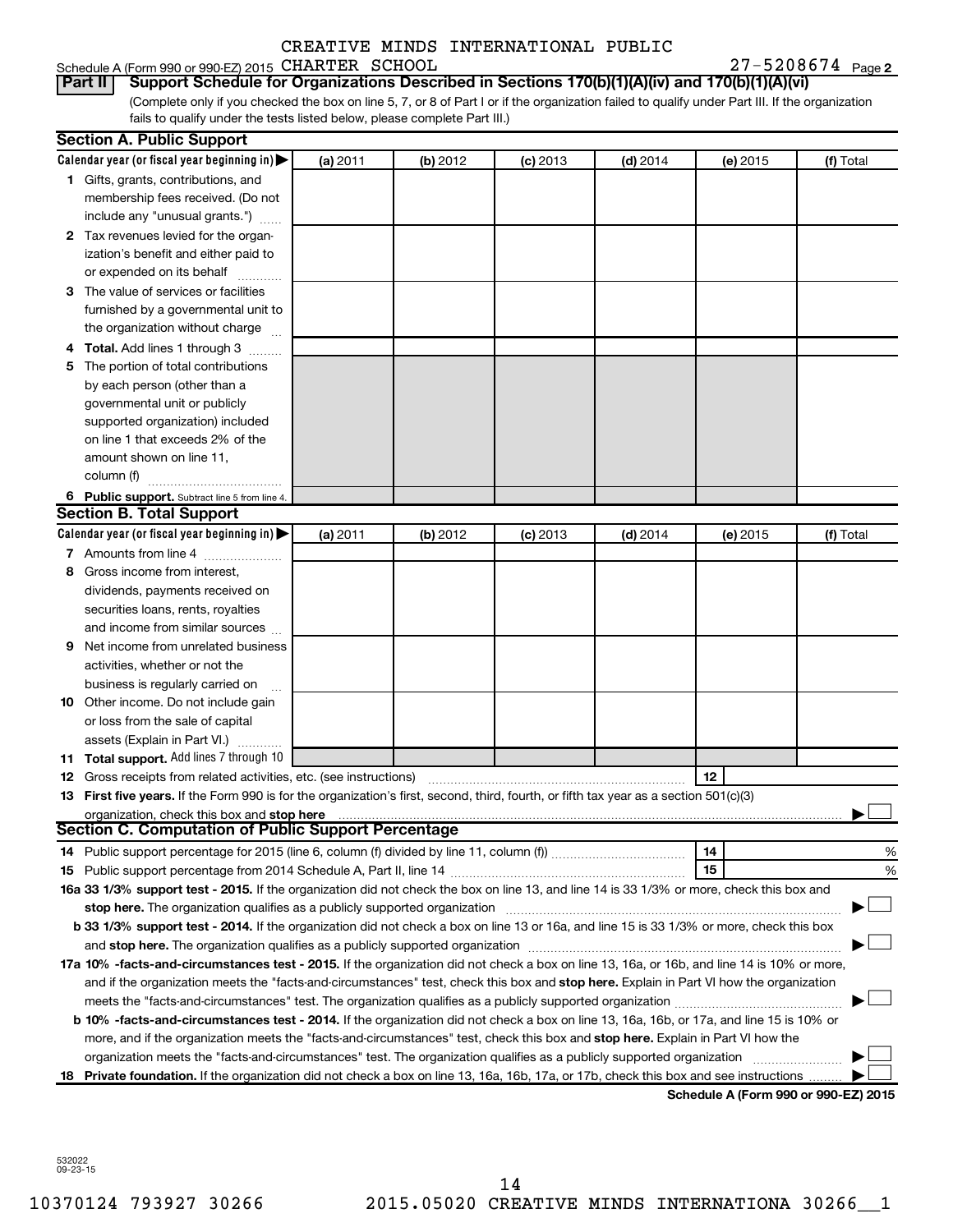| Schedule A (Form 990 or 990-EZ) 2015 CHARTER SCHOOL |  | $27 - 5208674$ Page 2 |
|-----------------------------------------------------|--|-----------------------|
|-----------------------------------------------------|--|-----------------------|

(Complete only if you checked the box on line 5, 7, or 8 of Part I or if the organization failed to qualify under Part III. If the organization **Part II Support Schedule for Organizations Described in Sections 170(b)(1)(A)(iv) and 170(b)(1)(A)(vi)**

fails to qualify under the tests listed below, please complete Part III.)

|    | <b>Section A. Public Support</b>                                                                                                                                                                                               |          |          |            |            |                                      |           |
|----|--------------------------------------------------------------------------------------------------------------------------------------------------------------------------------------------------------------------------------|----------|----------|------------|------------|--------------------------------------|-----------|
|    | Calendar year (or fiscal year beginning in)                                                                                                                                                                                    | (a) 2011 | (b) 2012 | $(c)$ 2013 | $(d)$ 2014 | (e) 2015                             | (f) Total |
|    | 1 Gifts, grants, contributions, and                                                                                                                                                                                            |          |          |            |            |                                      |           |
|    | membership fees received. (Do not                                                                                                                                                                                              |          |          |            |            |                                      |           |
|    | include any "unusual grants.")                                                                                                                                                                                                 |          |          |            |            |                                      |           |
|    | 2 Tax revenues levied for the organ-                                                                                                                                                                                           |          |          |            |            |                                      |           |
|    | ization's benefit and either paid to                                                                                                                                                                                           |          |          |            |            |                                      |           |
|    | or expended on its behalf                                                                                                                                                                                                      |          |          |            |            |                                      |           |
| З  | The value of services or facilities                                                                                                                                                                                            |          |          |            |            |                                      |           |
|    | furnished by a governmental unit to                                                                                                                                                                                            |          |          |            |            |                                      |           |
|    | the organization without charge                                                                                                                                                                                                |          |          |            |            |                                      |           |
|    | <b>Total.</b> Add lines 1 through 3                                                                                                                                                                                            |          |          |            |            |                                      |           |
| 5  | The portion of total contributions                                                                                                                                                                                             |          |          |            |            |                                      |           |
|    | by each person (other than a                                                                                                                                                                                                   |          |          |            |            |                                      |           |
|    | governmental unit or publicly                                                                                                                                                                                                  |          |          |            |            |                                      |           |
|    | supported organization) included                                                                                                                                                                                               |          |          |            |            |                                      |           |
|    | on line 1 that exceeds 2% of the                                                                                                                                                                                               |          |          |            |            |                                      |           |
|    | amount shown on line 11,                                                                                                                                                                                                       |          |          |            |            |                                      |           |
|    | column (f)                                                                                                                                                                                                                     |          |          |            |            |                                      |           |
|    | 6 Public support. Subtract line 5 from line 4.                                                                                                                                                                                 |          |          |            |            |                                      |           |
|    | <b>Section B. Total Support</b>                                                                                                                                                                                                |          |          |            |            |                                      |           |
|    | Calendar year (or fiscal year beginning in)                                                                                                                                                                                    | (a) 2011 | (b) 2012 | $(c)$ 2013 | $(d)$ 2014 | (e) 2015                             | (f) Total |
|    | 7 Amounts from line 4                                                                                                                                                                                                          |          |          |            |            |                                      |           |
| 8  | Gross income from interest,                                                                                                                                                                                                    |          |          |            |            |                                      |           |
|    | dividends, payments received on                                                                                                                                                                                                |          |          |            |            |                                      |           |
|    | securities loans, rents, royalties                                                                                                                                                                                             |          |          |            |            |                                      |           |
|    | and income from similar sources                                                                                                                                                                                                |          |          |            |            |                                      |           |
| 9  | Net income from unrelated business                                                                                                                                                                                             |          |          |            |            |                                      |           |
|    | activities, whether or not the                                                                                                                                                                                                 |          |          |            |            |                                      |           |
|    | business is regularly carried on                                                                                                                                                                                               |          |          |            |            |                                      |           |
|    | <b>10</b> Other income. Do not include gain                                                                                                                                                                                    |          |          |            |            |                                      |           |
|    | or loss from the sale of capital                                                                                                                                                                                               |          |          |            |            |                                      |           |
|    | assets (Explain in Part VI.)                                                                                                                                                                                                   |          |          |            |            |                                      |           |
|    | <b>11 Total support.</b> Add lines 7 through 10                                                                                                                                                                                |          |          |            |            |                                      |           |
| 12 | Gross receipts from related activities, etc. (see instructions)                                                                                                                                                                |          |          |            |            | 12                                   |           |
|    | 13 First five years. If the Form 990 is for the organization's first, second, third, fourth, or fifth tax year as a section 501(c)(3)                                                                                          |          |          |            |            |                                      |           |
|    | organization, check this box and stop here                                                                                                                                                                                     |          |          |            |            |                                      |           |
|    | <b>Section C. Computation of Public Support Percentage</b>                                                                                                                                                                     |          |          |            |            |                                      |           |
|    |                                                                                                                                                                                                                                |          |          |            |            | 14                                   | %         |
|    |                                                                                                                                                                                                                                |          |          |            |            | 15                                   | %         |
|    | 16a 33 1/3% support test - 2015. If the organization did not check the box on line 13, and line 14 is 33 1/3% or more, check this box and                                                                                      |          |          |            |            |                                      |           |
|    | stop here. The organization qualifies as a publicly supported organization [11] manuscription [11] manuscription [11] manuscription [11] manuscription [11] manuscription [11] manuscription [11] manuscription [11] manuscrip |          |          |            |            |                                      |           |
|    | b 33 1/3% support test - 2014. If the organization did not check a box on line 13 or 16a, and line 15 is 33 1/3% or more, check this box                                                                                       |          |          |            |            |                                      |           |
|    |                                                                                                                                                                                                                                |          |          |            |            |                                      |           |
|    | 17a 10% -facts-and-circumstances test - 2015. If the organization did not check a box on line 13, 16a, or 16b, and line 14 is 10% or more,                                                                                     |          |          |            |            |                                      |           |
|    | and if the organization meets the "facts-and-circumstances" test, check this box and stop here. Explain in Part VI how the organization                                                                                        |          |          |            |            |                                      |           |
|    |                                                                                                                                                                                                                                |          |          |            |            |                                      |           |
|    | <b>b 10%</b> -facts-and-circumstances test - 2014. If the organization did not check a box on line 13, 16a, 16b, or 17a, and line 15 is 10% or                                                                                 |          |          |            |            |                                      |           |
|    | more, and if the organization meets the "facts-and-circumstances" test, check this box and stop here. Explain in Part VI how the                                                                                               |          |          |            |            |                                      |           |
|    |                                                                                                                                                                                                                                |          |          |            |            |                                      |           |
|    | 18 Private foundation. If the organization did not check a box on line 13, 16a, 16b, 17a, or 17b, check this box and see instructions                                                                                          |          |          |            |            |                                      |           |
|    |                                                                                                                                                                                                                                |          |          |            |            | Schedule A (Form 990 or 990-EZ) 2015 |           |

532022 09-23-15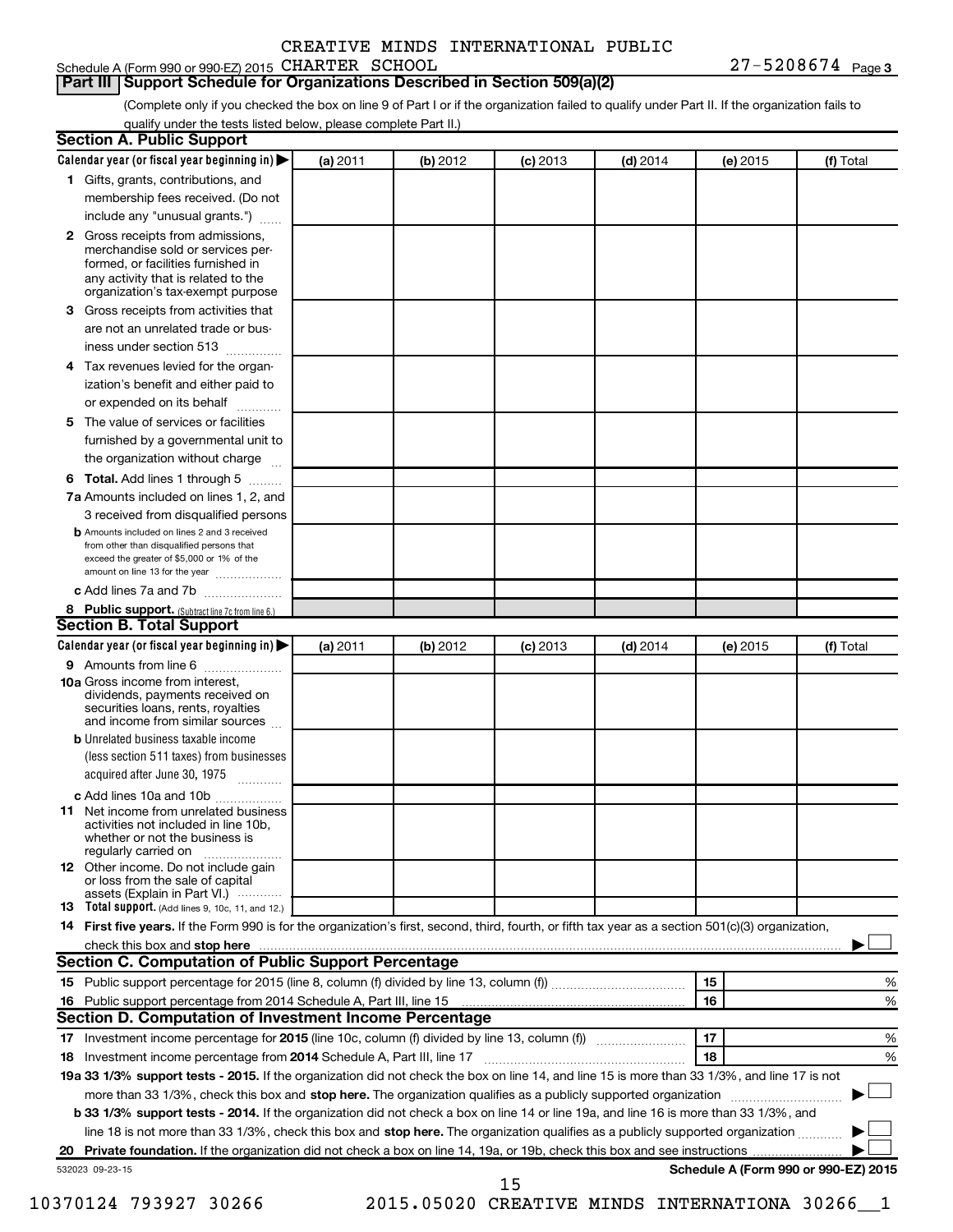27-5208674 Page 3 Schedule A (Form 990 or 990-EZ) 2015 CHARTER SCHOOL  $27-5208674$  Page

#### **Part III Support Schedule for Organizations Described in Section 509(a)(2)**

(Complete only if you checked the box on line 9 of Part I or if the organization failed to qualify under Part II. If the organization fails to qualify under the tests listed below, please complete Part II.)

| <b>Section A. Public Support</b>                                                                                                                                                                                                        |          |          |            |            |          |                                      |
|-----------------------------------------------------------------------------------------------------------------------------------------------------------------------------------------------------------------------------------------|----------|----------|------------|------------|----------|--------------------------------------|
| Calendar year (or fiscal year beginning in)                                                                                                                                                                                             | (a) 2011 | (b) 2012 | $(c)$ 2013 | $(d)$ 2014 | (e) 2015 | (f) Total                            |
| 1 Gifts, grants, contributions, and                                                                                                                                                                                                     |          |          |            |            |          |                                      |
| membership fees received. (Do not                                                                                                                                                                                                       |          |          |            |            |          |                                      |
| include any "unusual grants.")                                                                                                                                                                                                          |          |          |            |            |          |                                      |
| 2 Gross receipts from admissions,<br>merchandise sold or services per-<br>formed, or facilities furnished in<br>any activity that is related to the<br>organization's tax-exempt purpose                                                |          |          |            |            |          |                                      |
| 3 Gross receipts from activities that                                                                                                                                                                                                   |          |          |            |            |          |                                      |
| are not an unrelated trade or bus-<br>iness under section 513                                                                                                                                                                           |          |          |            |            |          |                                      |
| 4 Tax revenues levied for the organ-                                                                                                                                                                                                    |          |          |            |            |          |                                      |
| ization's benefit and either paid to                                                                                                                                                                                                    |          |          |            |            |          |                                      |
| or expended on its behalf                                                                                                                                                                                                               |          |          |            |            |          |                                      |
| 5 The value of services or facilities                                                                                                                                                                                                   |          |          |            |            |          |                                      |
| furnished by a governmental unit to                                                                                                                                                                                                     |          |          |            |            |          |                                      |
| the organization without charge                                                                                                                                                                                                         |          |          |            |            |          |                                      |
| 6 Total. Add lines 1 through 5                                                                                                                                                                                                          |          |          |            |            |          |                                      |
| 7a Amounts included on lines 1, 2, and                                                                                                                                                                                                  |          |          |            |            |          |                                      |
| 3 received from disqualified persons                                                                                                                                                                                                    |          |          |            |            |          |                                      |
| <b>b</b> Amounts included on lines 2 and 3 received<br>from other than disqualified persons that<br>exceed the greater of \$5,000 or 1% of the<br>amount on line 13 for the year                                                        |          |          |            |            |          |                                      |
| c Add lines 7a and 7b                                                                                                                                                                                                                   |          |          |            |            |          |                                      |
| 8 Public support. (Subtract line 7c from line 6.)                                                                                                                                                                                       |          |          |            |            |          |                                      |
| <b>Section B. Total Support</b>                                                                                                                                                                                                         |          |          |            |            |          |                                      |
| Calendar year (or fiscal year beginning in)                                                                                                                                                                                             | (a) 2011 | (b) 2012 | $(c)$ 2013 | $(d)$ 2014 | (e) 2015 | (f) Total                            |
| 9 Amounts from line 6                                                                                                                                                                                                                   |          |          |            |            |          |                                      |
| <b>10a</b> Gross income from interest,<br>dividends, payments received on<br>securities loans, rents, royalties<br>and income from similar sources                                                                                      |          |          |            |            |          |                                      |
| <b>b</b> Unrelated business taxable income<br>(less section 511 taxes) from businesses                                                                                                                                                  |          |          |            |            |          |                                      |
| acquired after June 30, 1975                                                                                                                                                                                                            |          |          |            |            |          |                                      |
| c Add lines 10a and 10b                                                                                                                                                                                                                 |          |          |            |            |          |                                      |
| <b>11</b> Net income from unrelated business<br>activities not included in line 10b.<br>whether or not the business is<br>regularly carried on                                                                                          |          |          |            |            |          |                                      |
| 12 Other income. Do not include gain<br>or loss from the sale of capital<br>assets (Explain in Part VI.)                                                                                                                                |          |          |            |            |          |                                      |
| <b>13</b> Total support. (Add lines 9, 10c, 11, and 12.)                                                                                                                                                                                |          |          |            |            |          |                                      |
| 14 First five years. If the Form 990 is for the organization's first, second, third, fourth, or fifth tax year as a section 501(c)(3) organization,                                                                                     |          |          |            |            |          |                                      |
| check this box and stop here <b>contained and the contained and stop here</b> check this box and stop here <b>contained and the contained and stop here</b> contained and stop here contained and and stop here contained and stop here |          |          |            |            |          |                                      |
| Section C. Computation of Public Support Percentage                                                                                                                                                                                     |          |          |            |            |          |                                      |
|                                                                                                                                                                                                                                         |          |          |            |            | 15       | ℅                                    |
|                                                                                                                                                                                                                                         |          |          |            |            | 16       | %                                    |
| Section D. Computation of Investment Income Percentage                                                                                                                                                                                  |          |          |            |            |          |                                      |
|                                                                                                                                                                                                                                         |          |          |            |            | 17       | %                                    |
| 18 Investment income percentage from 2014 Schedule A, Part III, line 17                                                                                                                                                                 |          |          |            |            | 18       | %                                    |
| 19a 33 1/3% support tests - 2015. If the organization did not check the box on line 14, and line 15 is more than 33 1/3%, and line 17 is not                                                                                            |          |          |            |            |          |                                      |
| more than 33 1/3%, check this box and stop here. The organization qualifies as a publicly supported organization                                                                                                                        |          |          |            |            |          |                                      |
| b 33 1/3% support tests - 2014. If the organization did not check a box on line 14 or line 19a, and line 16 is more than 33 1/3%, and                                                                                                   |          |          |            |            |          |                                      |
| line 18 is not more than 33 1/3%, check this box and stop here. The organization qualifies as a publicly supported organization                                                                                                         |          |          |            |            |          |                                      |
|                                                                                                                                                                                                                                         |          |          |            |            |          |                                      |
| 532023 09-23-15                                                                                                                                                                                                                         |          |          | 15         |            |          | Schedule A (Form 990 or 990-EZ) 2015 |

10370124 793927 30266 2015.05020 CREATIVE MINDS INTERNATIONA 30266\_\_1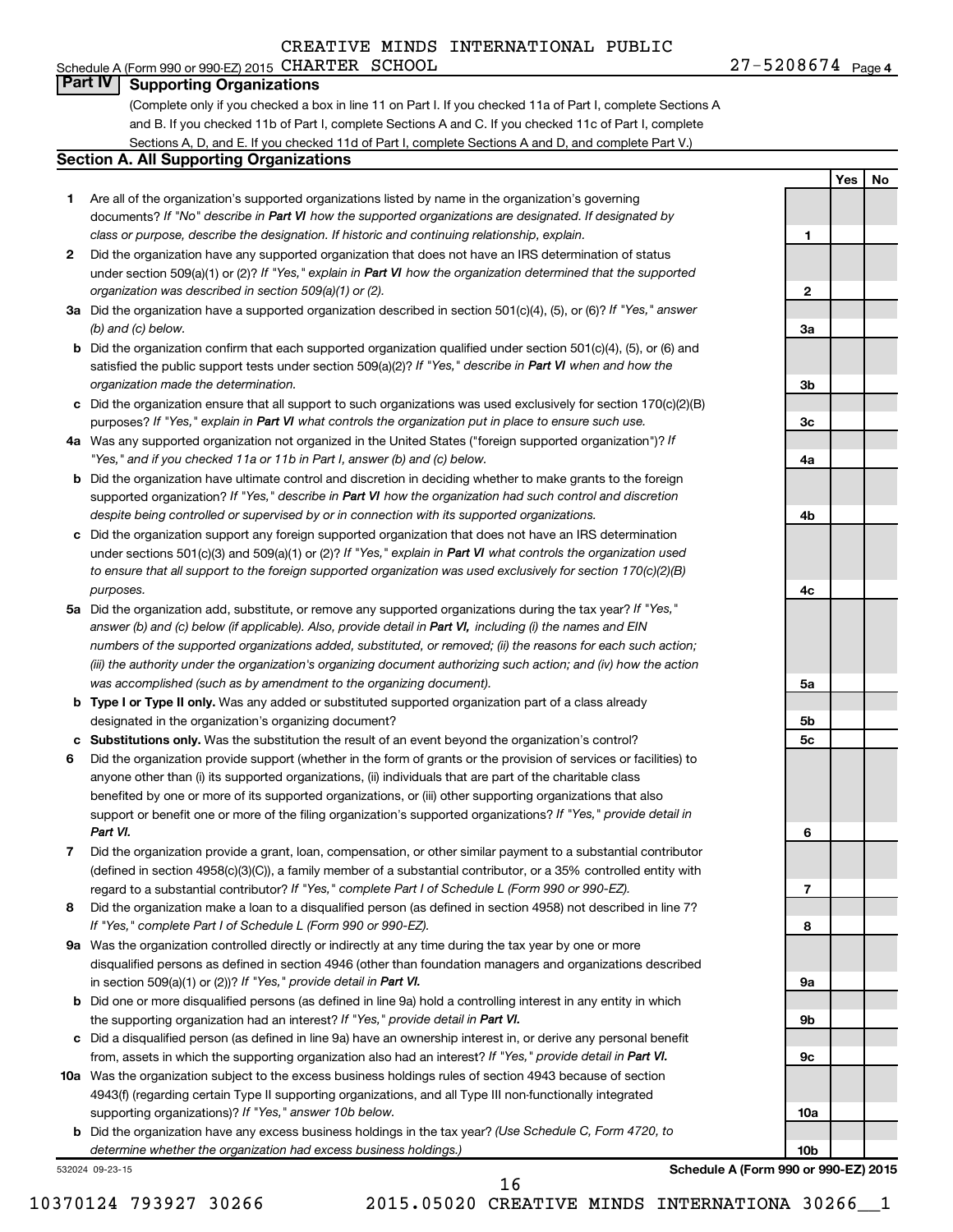#### Schedule A (Form 990 or 990-EZ) 2015 CHARTER SCHOOL  $27-5208674$  Page **Part IV Supporting Organizations**

(Complete only if you checked a box in line 11 on Part I. If you checked 11a of Part I, complete Sections A and B. If you checked 11b of Part I, complete Sections A and C. If you checked 11c of Part I, complete Sections A, D, and E. If you checked 11d of Part I, complete Sections A and D, and complete Part V.)

#### **Section A. All Supporting Organizations**

- **1** Are all of the organization's supported organizations listed by name in the organization's governing documents? If "No" describe in Part VI how the supported organizations are designated. If designated by *class or purpose, describe the designation. If historic and continuing relationship, explain.*
- **2** Did the organization have any supported organization that does not have an IRS determination of status under section 509(a)(1) or (2)? If "Yes," explain in Part VI how the organization determined that the supported *organization was described in section 509(a)(1) or (2).*
- **3a** Did the organization have a supported organization described in section 501(c)(4), (5), or (6)? If "Yes," answer *(b) and (c) below.*
- **b** Did the organization confirm that each supported organization qualified under section 501(c)(4), (5), or (6) and satisfied the public support tests under section 509(a)(2)? If "Yes," describe in Part VI when and how the *organization made the determination.*
- **c** Did the organization ensure that all support to such organizations was used exclusively for section 170(c)(2)(B) purposes? If "Yes," explain in Part VI what controls the organization put in place to ensure such use.
- **4 a** *If* Was any supported organization not organized in the United States ("foreign supported organization")? *"Yes," and if you checked 11a or 11b in Part I, answer (b) and (c) below.*
- **b** Did the organization have ultimate control and discretion in deciding whether to make grants to the foreign supported organization? If "Yes," describe in Part VI how the organization had such control and discretion *despite being controlled or supervised by or in connection with its supported organizations.*
- **c** Did the organization support any foreign supported organization that does not have an IRS determination under sections 501(c)(3) and 509(a)(1) or (2)? If "Yes," explain in Part VI what controls the organization used *to ensure that all support to the foreign supported organization was used exclusively for section 170(c)(2)(B) purposes.*
- **5a** Did the organization add, substitute, or remove any supported organizations during the tax year? If "Yes," answer (b) and (c) below (if applicable). Also, provide detail in Part VI, including (i) the names and EIN *numbers of the supported organizations added, substituted, or removed; (ii) the reasons for each such action; (iii) the authority under the organization's organizing document authorizing such action; and (iv) how the action was accomplished (such as by amendment to the organizing document).*
- **b Type I or Type II only.** Was any added or substituted supported organization part of a class already designated in the organization's organizing document?
- **c Substitutions only.**  Was the substitution the result of an event beyond the organization's control?
- **6** Did the organization provide support (whether in the form of grants or the provision of services or facilities) to support or benefit one or more of the filing organization's supported organizations? If "Yes," provide detail in anyone other than (i) its supported organizations, (ii) individuals that are part of the charitable class benefited by one or more of its supported organizations, or (iii) other supporting organizations that also *Part VI.*
- **7** Did the organization provide a grant, loan, compensation, or other similar payment to a substantial contributor regard to a substantial contributor? If "Yes," complete Part I of Schedule L (Form 990 or 990-EZ). (defined in section 4958(c)(3)(C)), a family member of a substantial contributor, or a 35% controlled entity with
- **8** Did the organization make a loan to a disqualified person (as defined in section 4958) not described in line 7? *If "Yes," complete Part I of Schedule L (Form 990 or 990-EZ).*
- **9 a** Was the organization controlled directly or indirectly at any time during the tax year by one or more in section 509(a)(1) or (2))? If "Yes," provide detail in Part VI. disqualified persons as defined in section 4946 (other than foundation managers and organizations described
- **b** Did one or more disqualified persons (as defined in line 9a) hold a controlling interest in any entity in which the supporting organization had an interest? If "Yes," provide detail in Part VI.
- **c** Did a disqualified person (as defined in line 9a) have an ownership interest in, or derive any personal benefit from, assets in which the supporting organization also had an interest? If "Yes," provide detail in Part VI.
- **10 a** Was the organization subject to the excess business holdings rules of section 4943 because of section supporting organizations)? If "Yes," answer 10b below. 4943(f) (regarding certain Type II supporting organizations, and all Type III non-functionally integrated
	- **b** Did the organization have any excess business holdings in the tax year? (Use Schedule C, Form 4720, to *determine whether the organization had excess business holdings.)*

532024 09-23-15

**9c 10a 10b**

 $27 - 5208674$  Page 4

**1**

**2**

**3a**

**3b**

**3c**

**4a**

**4b**

**4c**

**5a**

**5b 5c**

**6**

**7**

**8**

**9a**

**9b**

**Yes No**

**Schedule A (Form 990 or 990-EZ) 2015**

16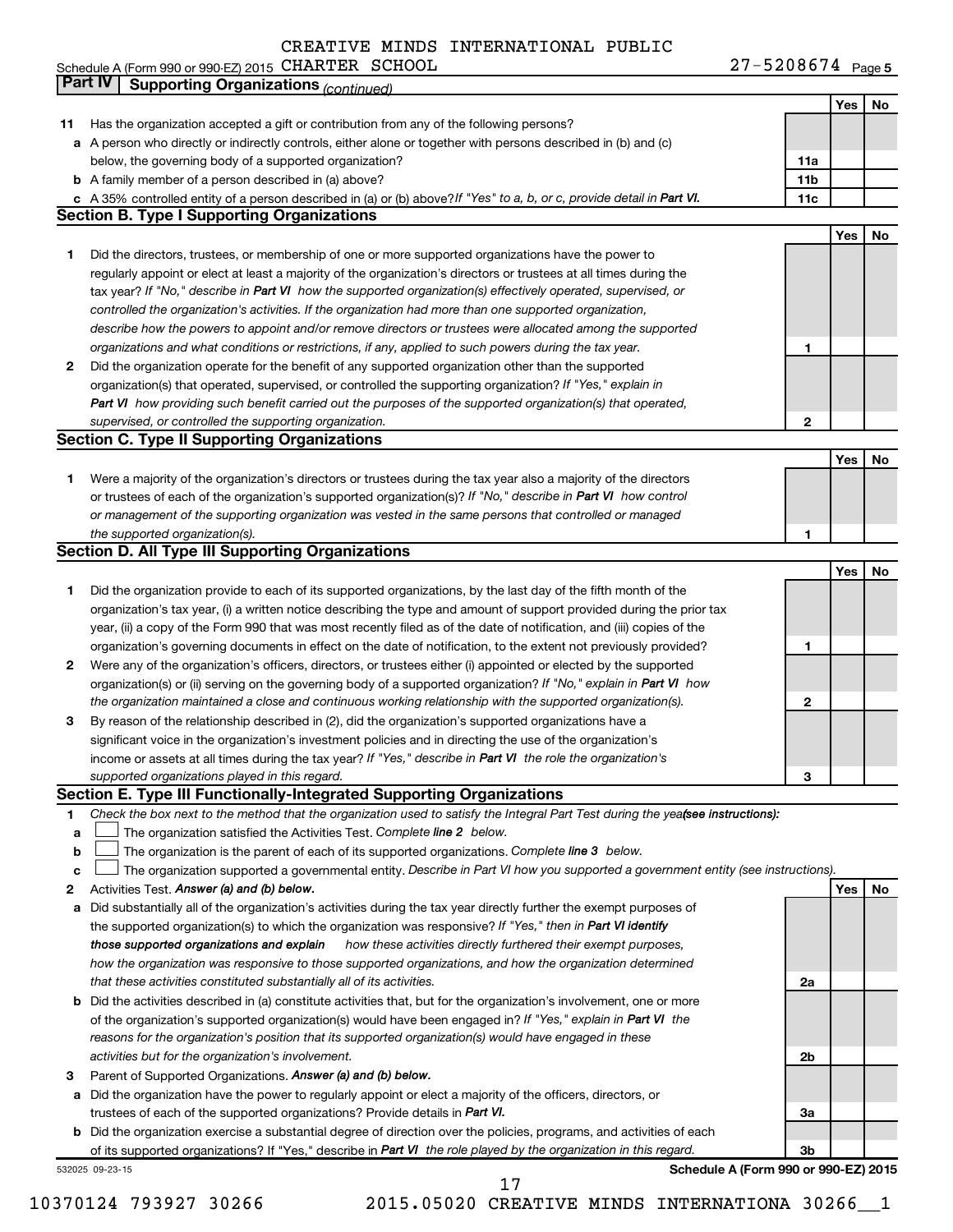Schedule A (Form 990 or 990-EZ) 2015 CHARTER SCHOOL Network and the state of the state of the Page of the Page CHARTER SCHOOL 27-5208674

27-5208674 Page 5

|    | Part IV<br><b>Supporting Organizations (continued)</b>                                                                          |                 |     |    |
|----|---------------------------------------------------------------------------------------------------------------------------------|-----------------|-----|----|
|    |                                                                                                                                 |                 | Yes | No |
| 11 | Has the organization accepted a gift or contribution from any of the following persons?                                         |                 |     |    |
|    | a A person who directly or indirectly controls, either alone or together with persons described in (b) and (c)                  |                 |     |    |
|    | below, the governing body of a supported organization?                                                                          | 11a             |     |    |
|    | <b>b</b> A family member of a person described in (a) above?                                                                    | 11 <sub>b</sub> |     |    |
|    | c A 35% controlled entity of a person described in (a) or (b) above? If "Yes" to a, b, or c, provide detail in Part VI.         | 11c             |     |    |
|    | <b>Section B. Type I Supporting Organizations</b>                                                                               |                 |     |    |
|    |                                                                                                                                 |                 | Yes | No |
|    |                                                                                                                                 |                 |     |    |
| 1  | Did the directors, trustees, or membership of one or more supported organizations have the power to                             |                 |     |    |
|    | regularly appoint or elect at least a majority of the organization's directors or trustees at all times during the              |                 |     |    |
|    | tax year? If "No," describe in Part VI how the supported organization(s) effectively operated, supervised, or                   |                 |     |    |
|    | controlled the organization's activities. If the organization had more than one supported organization,                         |                 |     |    |
|    | describe how the powers to appoint and/or remove directors or trustees were allocated among the supported                       |                 |     |    |
|    | organizations and what conditions or restrictions, if any, applied to such powers during the tax year.                          | 1               |     |    |
| 2  | Did the organization operate for the benefit of any supported organization other than the supported                             |                 |     |    |
|    | organization(s) that operated, supervised, or controlled the supporting organization? If "Yes," explain in                      |                 |     |    |
|    | Part VI how providing such benefit carried out the purposes of the supported organization(s) that operated,                     |                 |     |    |
|    | supervised, or controlled the supporting organization.                                                                          | 2               |     |    |
|    | <b>Section C. Type II Supporting Organizations</b>                                                                              |                 |     |    |
|    |                                                                                                                                 |                 | Yes | No |
| 1  | Were a majority of the organization's directors or trustees during the tax year also a majority of the directors                |                 |     |    |
|    | or trustees of each of the organization's supported organization(s)? If "No," describe in Part VI how control                   |                 |     |    |
|    | or management of the supporting organization was vested in the same persons that controlled or managed                          |                 |     |    |
|    | the supported organization(s).                                                                                                  | 1               |     |    |
|    | <b>Section D. All Type III Supporting Organizations</b>                                                                         |                 |     |    |
|    |                                                                                                                                 |                 | Yes | No |
|    |                                                                                                                                 |                 |     |    |
| 1  | Did the organization provide to each of its supported organizations, by the last day of the fifth month of the                  |                 |     |    |
|    | organization's tax year, (i) a written notice describing the type and amount of support provided during the prior tax           |                 |     |    |
|    | year, (ii) a copy of the Form 990 that was most recently filed as of the date of notification, and (iii) copies of the          |                 |     |    |
|    | organization's governing documents in effect on the date of notification, to the extent not previously provided?                | 1               |     |    |
| 2  | Were any of the organization's officers, directors, or trustees either (i) appointed or elected by the supported                |                 |     |    |
|    | organization(s) or (ii) serving on the governing body of a supported organization? If "No," explain in Part VI how              |                 |     |    |
|    | the organization maintained a close and continuous working relationship with the supported organization(s).                     | $\mathbf{2}$    |     |    |
| 3  | By reason of the relationship described in (2), did the organization's supported organizations have a                           |                 |     |    |
|    | significant voice in the organization's investment policies and in directing the use of the organization's                      |                 |     |    |
|    | income or assets at all times during the tax year? If "Yes," describe in Part VI the role the organization's                    |                 |     |    |
|    | supported organizations played in this regard.                                                                                  | з               |     |    |
|    | Section E. Type III Functionally-Integrated Supporting Organizations                                                            |                 |     |    |
| 1  | Check the box next to the method that the organization used to satisfy the Integral Part Test during the yealsee instructions): |                 |     |    |
| a  | The organization satisfied the Activities Test. Complete line 2 below.                                                          |                 |     |    |
| b  | The organization is the parent of each of its supported organizations. Complete line 3 below.                                   |                 |     |    |
| c  | The organization supported a governmental entity. Describe in Part VI how you supported a government entity (see instructions). |                 |     |    |
| 2  | Activities Test. Answer (a) and (b) below.                                                                                      |                 | Yes | No |
| а  | Did substantially all of the organization's activities during the tax year directly further the exempt purposes of              |                 |     |    |
|    | the supported organization(s) to which the organization was responsive? If "Yes," then in Part VI identify                      |                 |     |    |
|    | those supported organizations and explain<br>how these activities directly furthered their exempt purposes,                     |                 |     |    |
|    | how the organization was responsive to those supported organizations, and how the organization determined                       |                 |     |    |
|    | that these activities constituted substantially all of its activities.                                                          | 2a              |     |    |
|    |                                                                                                                                 |                 |     |    |
| b  | Did the activities described in (a) constitute activities that, but for the organization's involvement, one or more             |                 |     |    |
|    | of the organization's supported organization(s) would have been engaged in? If "Yes," explain in Part VI the                    |                 |     |    |
|    | reasons for the organization's position that its supported organization(s) would have engaged in these                          |                 |     |    |
|    | activities but for the organization's involvement.                                                                              | 2b              |     |    |
| З  | Parent of Supported Organizations. Answer (a) and (b) below.                                                                    |                 |     |    |
| а  | Did the organization have the power to regularly appoint or elect a majority of the officers, directors, or                     |                 |     |    |
|    | trustees of each of the supported organizations? Provide details in Part VI.                                                    | За              |     |    |
|    | <b>b</b> Did the organization exercise a substantial degree of direction over the policies, programs, and activities of each    |                 |     |    |
|    | of its supported organizations? If "Yes," describe in Part VI the role played by the organization in this regard.               | 3b              |     |    |
|    | Schedule A (Form 990 or 990-EZ) 2015<br>532025 09-23-15                                                                         |                 |     |    |

10370124 793927 30266 2015.05020 CREATIVE MINDS INTERNATIONA 30266\_\_1 17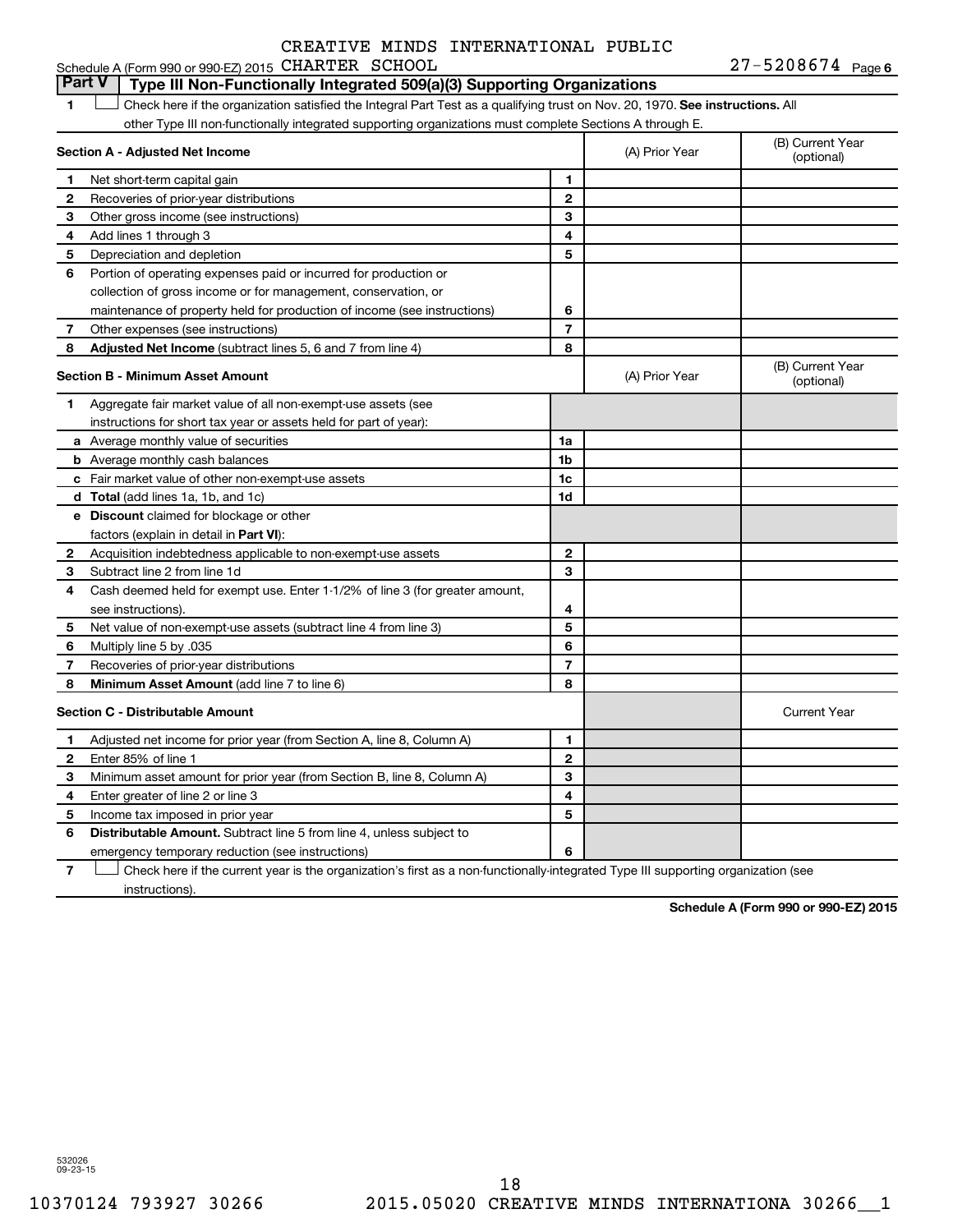| Schedule A (Form 990 or 990-EZ) 2015 CHARTER SCHOOL |  | $27 - 5208674$ Page 6 |
|-----------------------------------------------------|--|-----------------------|
|-----------------------------------------------------|--|-----------------------|

1  $\Box$  Check here if the organization satisfied the Integral Part Test as a qualifying trust on Nov. 20, 1970. See instructions. All **Section A - Adjusted Net Income 1 2 3 4 5 6 7 8 1 2 3 4 5 6 7 Adjusted Net Income** (subtract lines 5, 6 and 7 from line 4) **8 8 Section B - Minimum Asset Amount 1 2 3 4 5 6 7 8 a** Average monthly value of securities **b** Average monthly cash balances **c** Fair market value of other non-exempt-use assets **d Total**  (add lines 1a, 1b, and 1c) **e Discount** claimed for blockage or other **1a 1b 1c 1d 2 3 4 5 6 7 8** factors (explain in detail in Part VI): **Minimum Asset Amount**  (add line 7 to line 6) **Section C - Distributable Amount 1 2 3 4 5 6 1 2 3 4 5 6** Distributable Amount. Subtract line 5 from line 4, unless subject to other Type III non-functionally integrated supporting organizations must complete Sections A through E. (B) Current Year (A) Prior Year Net short-term capital gain Recoveries of prior-year distributions Other gross income (see instructions) Add lines 1 through 3 Depreciation and depletion Portion of operating expenses paid or incurred for production or collection of gross income or for management, conservation, or maintenance of property held for production of income (see instructions) Other expenses (see instructions) (B) Current Year  $(A)$  Prior Year  $\left\{\n\begin{array}{ccc}\n\end{array}\n\right\}$  (optional) Aggregate fair market value of all non-exempt-use assets (see instructions for short tax year or assets held for part of year): Acquisition indebtedness applicable to non-exempt-use assets Subtract line 2 from line 1d Cash deemed held for exempt use. Enter 1-1/2% of line 3 (for greater amount, see instructions). Net value of non-exempt-use assets (subtract line 4 from line 3) Multiply line 5 by .035 Recoveries of prior-year distributions Current Year Adjusted net income for prior year (from Section A, line 8, Column A) Enter 85% of line 1 Minimum asset amount for prior year (from Section B, line 8, Column A) Enter greater of line 2 or line 3 Income tax imposed in prior year emergency temporary reduction (see instructions) **Part V Type III Non-Functionally Integrated 509(a)(3) Supporting Organizations**   $\Box$ 

**7** Check here if the current year is the organization's first as a non-functionally-integrated Type III supporting organization (see † instructions).

**Schedule A (Form 990 or 990-EZ) 2015**

532026 09-23-15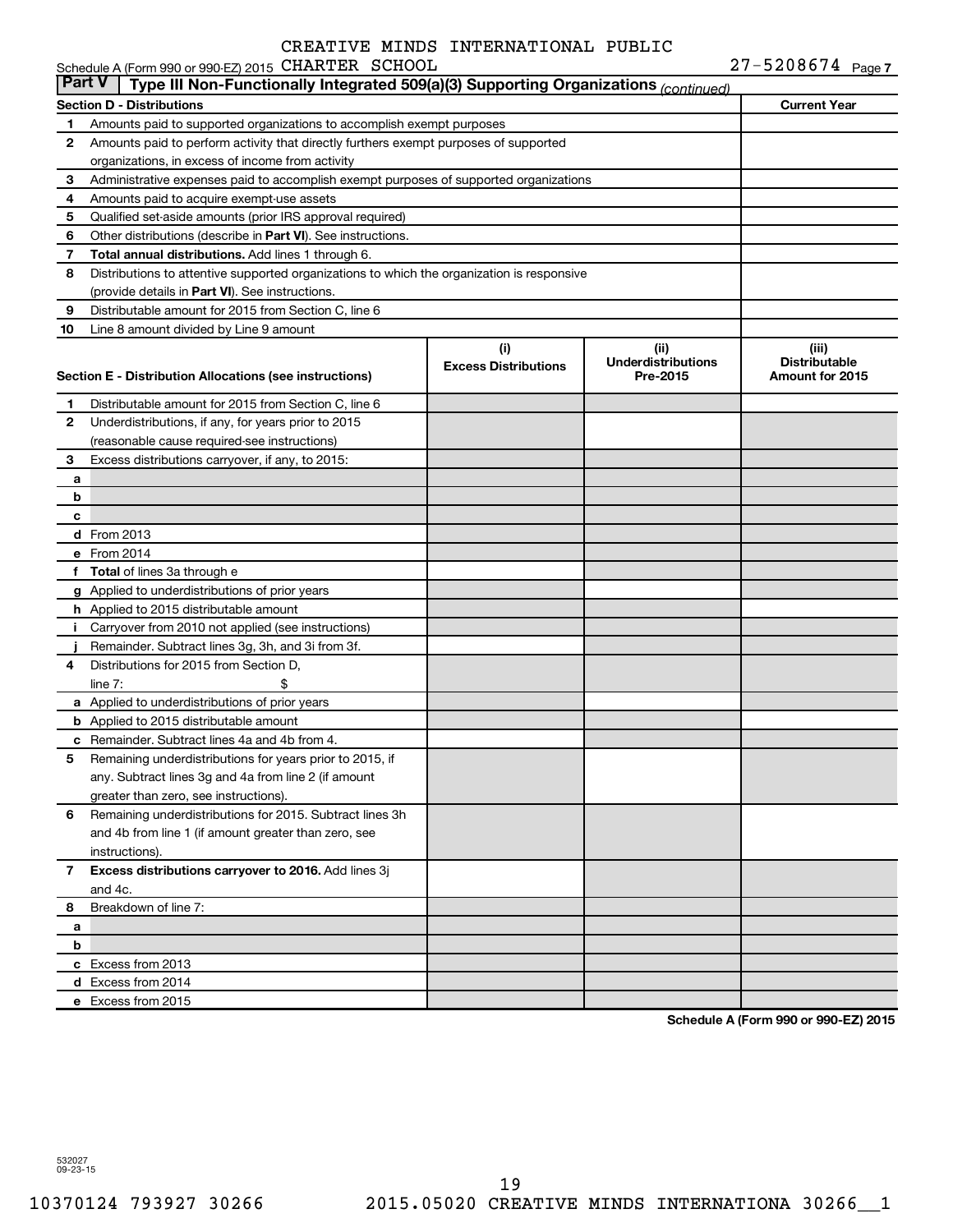|               | Schedule A (Form 990 or 990-EZ) 2015 CHARTER SCHOOL                                        |                                    |                                               | 27-5208674 Page 7                                |
|---------------|--------------------------------------------------------------------------------------------|------------------------------------|-----------------------------------------------|--------------------------------------------------|
| <b>Part V</b> | Type III Non-Functionally Integrated 509(a)(3) Supporting Organizations (continued)        |                                    |                                               |                                                  |
|               | <b>Section D - Distributions</b>                                                           |                                    |                                               | <b>Current Year</b>                              |
| 1             | Amounts paid to supported organizations to accomplish exempt purposes                      |                                    |                                               |                                                  |
| 2             | Amounts paid to perform activity that directly furthers exempt purposes of supported       |                                    |                                               |                                                  |
|               | organizations, in excess of income from activity                                           |                                    |                                               |                                                  |
| З             | Administrative expenses paid to accomplish exempt purposes of supported organizations      |                                    |                                               |                                                  |
| 4             | Amounts paid to acquire exempt-use assets                                                  |                                    |                                               |                                                  |
| 5             | Qualified set-aside amounts (prior IRS approval required)                                  |                                    |                                               |                                                  |
| 6             | Other distributions (describe in Part VI). See instructions.                               |                                    |                                               |                                                  |
| 7             | Total annual distributions. Add lines 1 through 6.                                         |                                    |                                               |                                                  |
| 8             | Distributions to attentive supported organizations to which the organization is responsive |                                    |                                               |                                                  |
|               | (provide details in Part VI). See instructions.                                            |                                    |                                               |                                                  |
| 9             | Distributable amount for 2015 from Section C, line 6                                       |                                    |                                               |                                                  |
| 10            | Line 8 amount divided by Line 9 amount                                                     |                                    |                                               |                                                  |
|               | Section E - Distribution Allocations (see instructions)                                    | (i)<br><b>Excess Distributions</b> | (ii)<br><b>Underdistributions</b><br>Pre-2015 | (iii)<br><b>Distributable</b><br>Amount for 2015 |
| 1.            | Distributable amount for 2015 from Section C, line 6                                       |                                    |                                               |                                                  |
| 2             | Underdistributions, if any, for years prior to 2015                                        |                                    |                                               |                                                  |
|               | (reasonable cause required-see instructions)                                               |                                    |                                               |                                                  |
| 3             | Excess distributions carryover, if any, to 2015:                                           |                                    |                                               |                                                  |
| a             |                                                                                            |                                    |                                               |                                                  |
| b             |                                                                                            |                                    |                                               |                                                  |
| с             |                                                                                            |                                    |                                               |                                                  |
|               | <b>d</b> From 2013                                                                         |                                    |                                               |                                                  |
|               | e From 2014                                                                                |                                    |                                               |                                                  |
|               | f Total of lines 3a through e                                                              |                                    |                                               |                                                  |
|               | g Applied to underdistributions of prior years                                             |                                    |                                               |                                                  |
|               | h Applied to 2015 distributable amount                                                     |                                    |                                               |                                                  |
|               | i Carryover from 2010 not applied (see instructions)                                       |                                    |                                               |                                                  |
|               | Remainder. Subtract lines 3g, 3h, and 3i from 3f.                                          |                                    |                                               |                                                  |
| 4             | Distributions for 2015 from Section D,                                                     |                                    |                                               |                                                  |
|               | \$<br>line $7:$                                                                            |                                    |                                               |                                                  |
|               | a Applied to underdistributions of prior years                                             |                                    |                                               |                                                  |
|               | <b>b</b> Applied to 2015 distributable amount                                              |                                    |                                               |                                                  |
|               | c Remainder. Subtract lines 4a and 4b from 4.                                              |                                    |                                               |                                                  |
| 5             | Remaining underdistributions for years prior to 2015, if                                   |                                    |                                               |                                                  |
|               | any. Subtract lines 3g and 4a from line 2 (if amount                                       |                                    |                                               |                                                  |
|               | greater than zero, see instructions).                                                      |                                    |                                               |                                                  |
| 6             | Remaining underdistributions for 2015. Subtract lines 3h                                   |                                    |                                               |                                                  |
|               | and 4b from line 1 (if amount greater than zero, see                                       |                                    |                                               |                                                  |
|               | instructions).                                                                             |                                    |                                               |                                                  |
| 7             | Excess distributions carryover to 2016. Add lines 3j                                       |                                    |                                               |                                                  |
|               | and 4c.                                                                                    |                                    |                                               |                                                  |
| 8             | Breakdown of line 7:                                                                       |                                    |                                               |                                                  |
| a<br>b        |                                                                                            |                                    |                                               |                                                  |
|               | c Excess from 2013                                                                         |                                    |                                               |                                                  |
|               | d Excess from 2014                                                                         |                                    |                                               |                                                  |
|               | e Excess from 2015                                                                         |                                    |                                               |                                                  |
|               |                                                                                            |                                    |                                               |                                                  |

**Schedule A (Form 990 or 990-EZ) 2015**

532027 09-23-15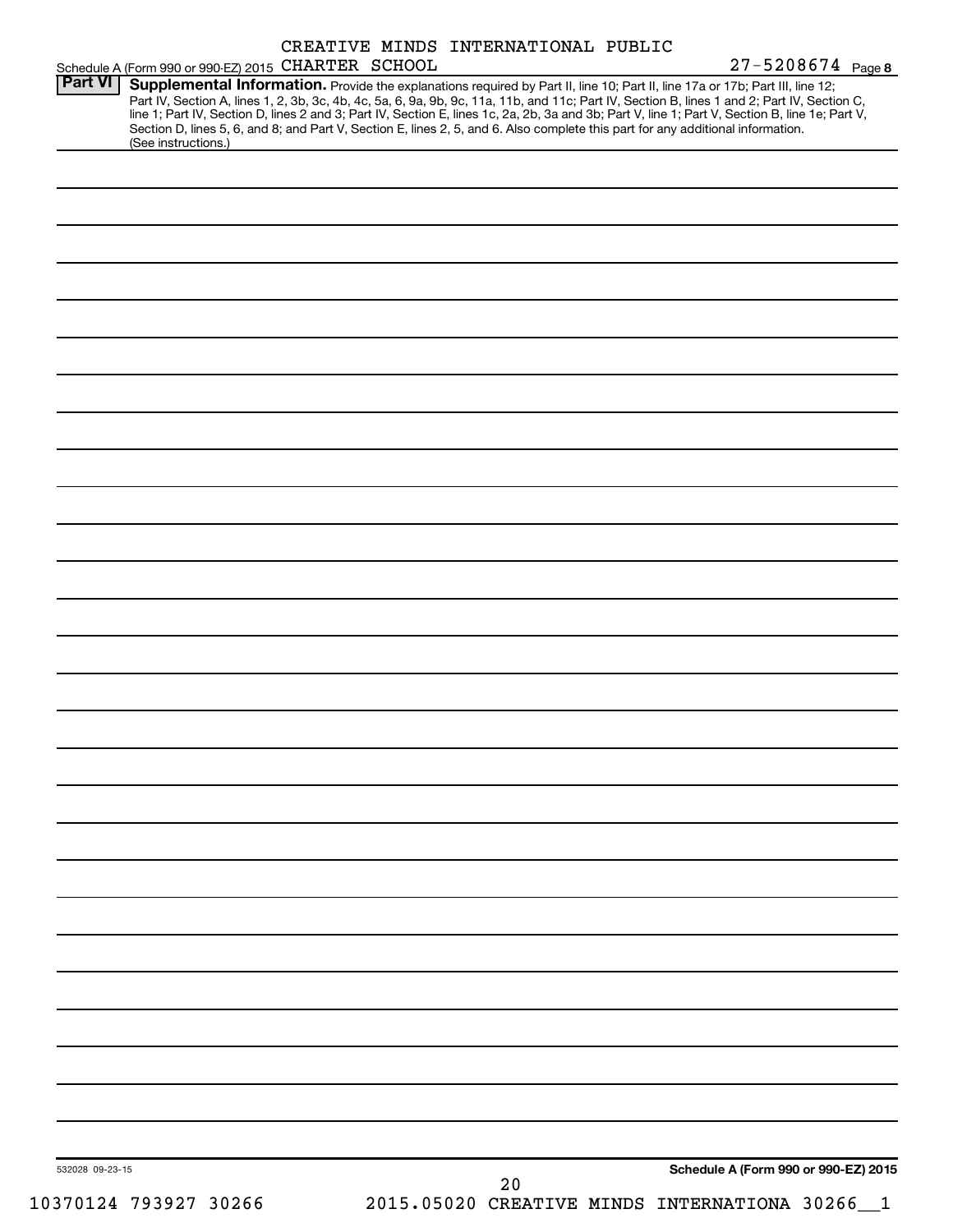|                 | Schedule A (Form 990 or 990-EZ) 2015 CHARTER SCHOOL |  |    | $27 - 5208674$ Page 8                                                                                                                                                                                                                                                                                                                                                                                                                                                                                                                                               |  |
|-----------------|-----------------------------------------------------|--|----|---------------------------------------------------------------------------------------------------------------------------------------------------------------------------------------------------------------------------------------------------------------------------------------------------------------------------------------------------------------------------------------------------------------------------------------------------------------------------------------------------------------------------------------------------------------------|--|
| <b>Part VI</b>  | (See instructions.)                                 |  |    | Supplemental Information. Provide the explanations required by Part II, line 10; Part II, line 17a or 17b; Part III, line 12;<br>Part IV, Section A, lines 1, 2, 3b, 3c, 4b, 4c, 5a, 6, 9a, 9b, 9c, 11a, 11b, and 11c; Part IV, Section B, lines 1 and 2; Part IV, Section C,<br>line 1; Part IV, Section D, lines 2 and 3; Part IV, Section E, lines 1c, 2a, 2b, 3a and 3b; Part V, line 1; Part V, Section B, line 1e; Part V,<br>Section D, lines 5, 6, and 8; and Part V, Section E, lines 2, 5, and 6. Also complete this part for any additional information. |  |
|                 |                                                     |  |    |                                                                                                                                                                                                                                                                                                                                                                                                                                                                                                                                                                     |  |
|                 |                                                     |  |    |                                                                                                                                                                                                                                                                                                                                                                                                                                                                                                                                                                     |  |
|                 |                                                     |  |    |                                                                                                                                                                                                                                                                                                                                                                                                                                                                                                                                                                     |  |
|                 |                                                     |  |    |                                                                                                                                                                                                                                                                                                                                                                                                                                                                                                                                                                     |  |
|                 |                                                     |  |    |                                                                                                                                                                                                                                                                                                                                                                                                                                                                                                                                                                     |  |
|                 |                                                     |  |    |                                                                                                                                                                                                                                                                                                                                                                                                                                                                                                                                                                     |  |
|                 |                                                     |  |    |                                                                                                                                                                                                                                                                                                                                                                                                                                                                                                                                                                     |  |
|                 |                                                     |  |    |                                                                                                                                                                                                                                                                                                                                                                                                                                                                                                                                                                     |  |
|                 |                                                     |  |    |                                                                                                                                                                                                                                                                                                                                                                                                                                                                                                                                                                     |  |
|                 |                                                     |  |    |                                                                                                                                                                                                                                                                                                                                                                                                                                                                                                                                                                     |  |
|                 |                                                     |  |    |                                                                                                                                                                                                                                                                                                                                                                                                                                                                                                                                                                     |  |
|                 |                                                     |  |    |                                                                                                                                                                                                                                                                                                                                                                                                                                                                                                                                                                     |  |
|                 |                                                     |  |    |                                                                                                                                                                                                                                                                                                                                                                                                                                                                                                                                                                     |  |
|                 |                                                     |  |    |                                                                                                                                                                                                                                                                                                                                                                                                                                                                                                                                                                     |  |
|                 |                                                     |  |    |                                                                                                                                                                                                                                                                                                                                                                                                                                                                                                                                                                     |  |
|                 |                                                     |  |    |                                                                                                                                                                                                                                                                                                                                                                                                                                                                                                                                                                     |  |
|                 |                                                     |  |    |                                                                                                                                                                                                                                                                                                                                                                                                                                                                                                                                                                     |  |
|                 |                                                     |  |    |                                                                                                                                                                                                                                                                                                                                                                                                                                                                                                                                                                     |  |
|                 |                                                     |  |    |                                                                                                                                                                                                                                                                                                                                                                                                                                                                                                                                                                     |  |
|                 |                                                     |  |    |                                                                                                                                                                                                                                                                                                                                                                                                                                                                                                                                                                     |  |
|                 |                                                     |  |    |                                                                                                                                                                                                                                                                                                                                                                                                                                                                                                                                                                     |  |
|                 |                                                     |  |    |                                                                                                                                                                                                                                                                                                                                                                                                                                                                                                                                                                     |  |
|                 |                                                     |  |    |                                                                                                                                                                                                                                                                                                                                                                                                                                                                                                                                                                     |  |
|                 |                                                     |  |    |                                                                                                                                                                                                                                                                                                                                                                                                                                                                                                                                                                     |  |
|                 |                                                     |  |    |                                                                                                                                                                                                                                                                                                                                                                                                                                                                                                                                                                     |  |
|                 |                                                     |  |    |                                                                                                                                                                                                                                                                                                                                                                                                                                                                                                                                                                     |  |
|                 |                                                     |  |    |                                                                                                                                                                                                                                                                                                                                                                                                                                                                                                                                                                     |  |
|                 |                                                     |  |    |                                                                                                                                                                                                                                                                                                                                                                                                                                                                                                                                                                     |  |
|                 |                                                     |  |    |                                                                                                                                                                                                                                                                                                                                                                                                                                                                                                                                                                     |  |
|                 |                                                     |  |    |                                                                                                                                                                                                                                                                                                                                                                                                                                                                                                                                                                     |  |
| 532028 09-23-15 |                                                     |  | 20 | Schedule A (Form 990 or 990-EZ) 2015                                                                                                                                                                                                                                                                                                                                                                                                                                                                                                                                |  |
|                 | 10370124 793927 30266                               |  |    | 2015.05020 CREATIVE MINDS INTERNATIONA 30266                                                                                                                                                                                                                                                                                                                                                                                                                                                                                                                        |  |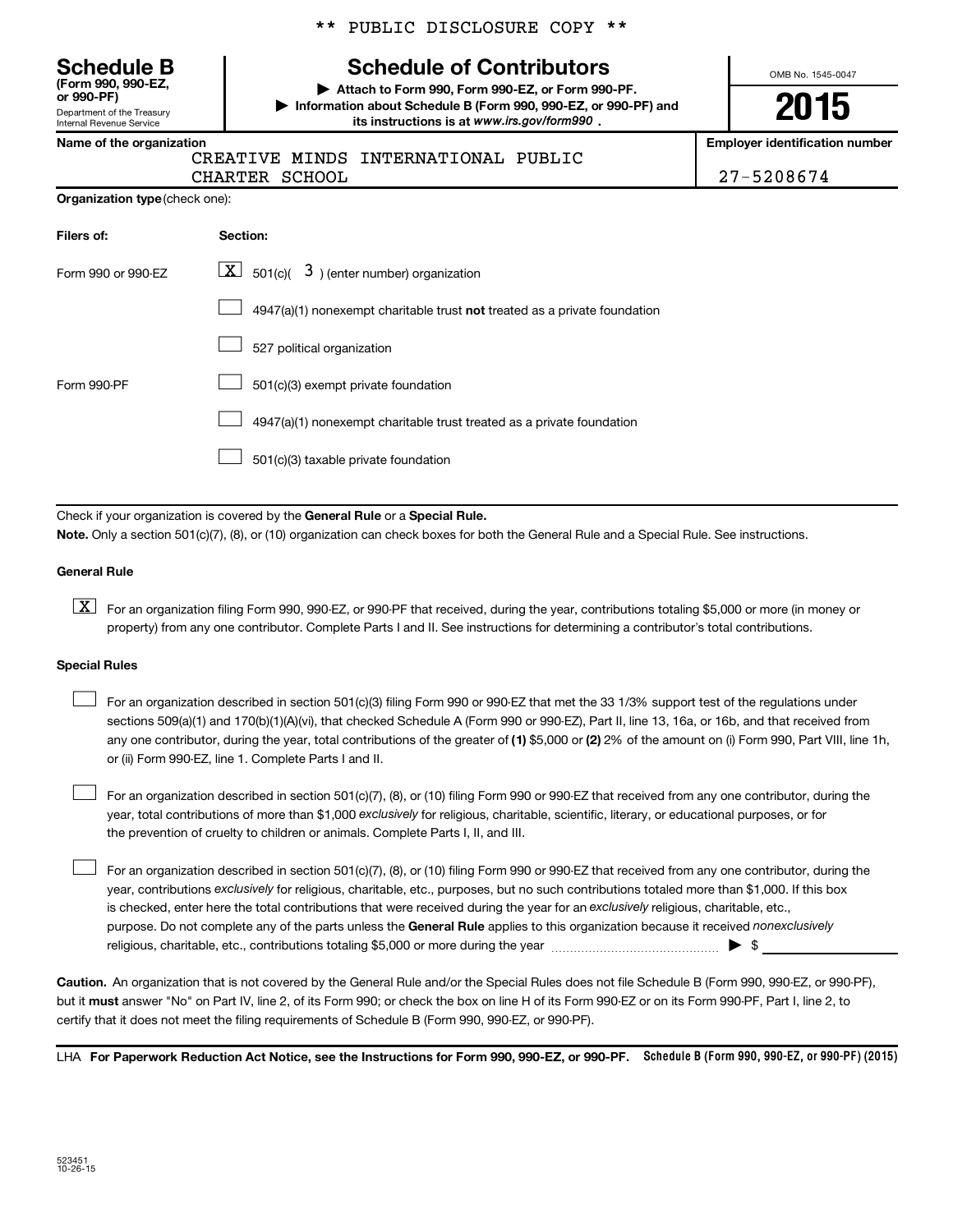Department of the Treasury **(Form 990, 990-EZ,**

Internal Revenue Service

#### \*\* PUBLIC DISCLOSURE COPY \*\*

## **Schedule B Schedule of Contributors**

**or 990-PF) | Attach to Form 990, Form 990-EZ, or Form 990-PF. | Information about Schedule B (Form 990, 990-EZ, or 990-PF) and** its instructions is at www.irs.gov/form990.

OMB No. 1545-0047

# **2015**

**Name of the organization Employer identification number**

|  | <b>CREAT</b> |
|--|--------------|
|  |              |

'IVE MINDS INTERNATIONAL PUBLIC CHARTER SCHOOL 27-5208674

| Filers of:         | Section:                                                                  |
|--------------------|---------------------------------------------------------------------------|
| Form 990 or 990-EZ | $\lfloor x \rfloor$ 501(c)( 3) (enter number) organization                |
|                    | 4947(a)(1) nonexempt charitable trust not treated as a private foundation |
|                    | 527 political organization                                                |
| Form 990-PF        | 501(c)(3) exempt private foundation                                       |
|                    | 4947(a)(1) nonexempt charitable trust treated as a private foundation     |
|                    | 501(c)(3) taxable private foundation                                      |

Check if your organization is covered by the General Rule or a Special Rule.

**Note.**  Only a section 501(c)(7), (8), or (10) organization can check boxes for both the General Rule and a Special Rule. See instructions.

#### **General Rule**

**K** For an organization filing Form 990, 990-EZ, or 990-PF that received, during the year, contributions totaling \$5,000 or more (in money or property) from any one contributor. Complete Parts I and II. See instructions for determining a contributor's total contributions.

#### **Special Rules**

 $\Box$ 

any one contributor, during the year, total contributions of the greater of **(1)** \$5,000 or **(2)** 2% of the amount on (i) Form 990, Part VIII, line 1h, For an organization described in section 501(c)(3) filing Form 990 or 990-EZ that met the 33 1/3% support test of the regulations under sections 509(a)(1) and 170(b)(1)(A)(vi), that checked Schedule A (Form 990 or 990-EZ), Part II, line 13, 16a, or 16b, and that received from or (ii) Form 990-EZ, line 1. Complete Parts I and II.  $\Box$ 

year, total contributions of more than \$1,000 *exclusively* for religious, charitable, scientific, literary, or educational purposes, or for For an organization described in section 501(c)(7), (8), or (10) filing Form 990 or 990-EZ that received from any one contributor, during the the prevention of cruelty to children or animals. Complete Parts I, II, and III.  $\Box$ 

purpose. Do not complete any of the parts unless the General Rule applies to this organization because it received nonexclusively year, contributions exclusively for religious, charitable, etc., purposes, but no such contributions totaled more than \$1,000. If this box is checked, enter here the total contributions that were received during the year for an exclusively religious, charitable, etc., For an organization described in section 501(c)(7), (8), or (10) filing Form 990 or 990-EZ that received from any one contributor, during the religious, charitable, etc., contributions totaling \$5,000 or more during the year  $\ldots$  $\ldots$  $\ldots$  $\ldots$  $\ldots$  $\ldots$ 

**Caution.** An organization that is not covered by the General Rule and/or the Special Rules does not file Schedule B (Form 990, 990-EZ, or 990-PF),  **must** but it answer "No" on Part IV, line 2, of its Form 990; or check the box on line H of its Form 990-EZ or on its Form 990-PF, Part I, line 2, to certify that it does not meet the filing requirements of Schedule B (Form 990, 990-EZ, or 990-PF).

LHA For Paperwork Reduction Act Notice, see the Instructions for Form 990, 990-EZ, or 990-PF. Schedule B (Form 990, 990-EZ, or 990-PF) (2015)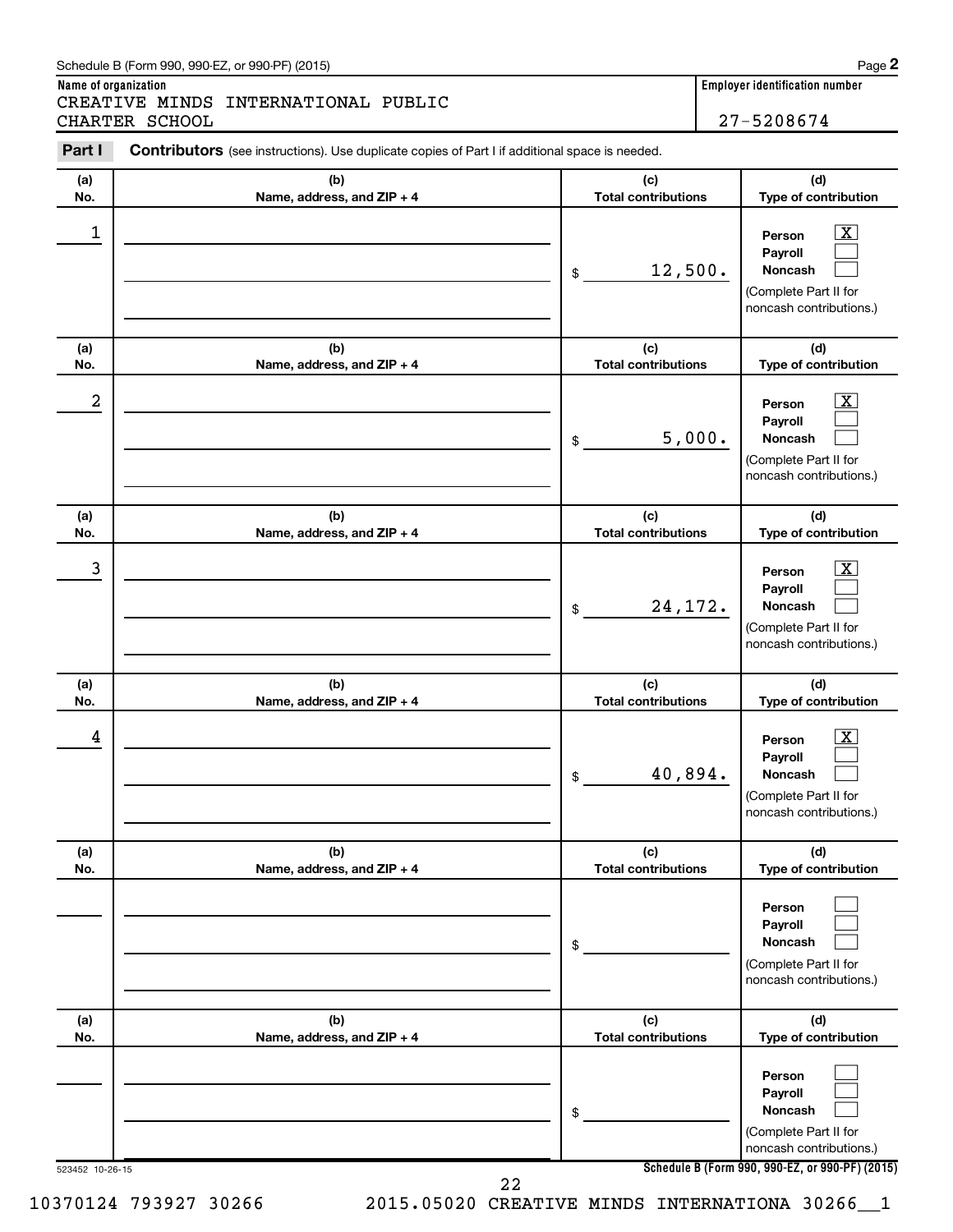#### Schedule B (Form 990, 990-EZ, or 990-PF) (2015)

**Name of organization Employer identification number** CREATIVE MINDS INTERNATIONAL PUBLIC CHARTER SCHOOL 27-5208674

| Part I           | Contributors (see instructions). Use duplicate copies of Part I if additional space is needed. |                                   |                                                                                                                                     |
|------------------|------------------------------------------------------------------------------------------------|-----------------------------------|-------------------------------------------------------------------------------------------------------------------------------------|
| (a)              | (b)                                                                                            | (c)                               | (d)                                                                                                                                 |
| No.              | Name, address, and ZIP + 4                                                                     | <b>Total contributions</b>        | Type of contribution                                                                                                                |
| $\mathbf 1$      |                                                                                                | 12,500.<br>$\,$                   | $\overline{\textbf{X}}$<br>Person<br>Payroll<br>Noncash<br>(Complete Part II for<br>noncash contributions.)                         |
| (a)              | (b)                                                                                            | (c)<br><b>Total contributions</b> | (d)                                                                                                                                 |
| No.              | Name, address, and ZIP + 4                                                                     |                                   | Type of contribution                                                                                                                |
| $\boldsymbol{2}$ |                                                                                                | 5,000.<br>\$                      | $\overline{\text{X}}$<br>Person<br>Payroll<br><b>Noncash</b><br>(Complete Part II for<br>noncash contributions.)                    |
| (a)<br>No.       | (b)<br>Name, address, and ZIP + 4                                                              | (c)<br><b>Total contributions</b> | (d)<br>Type of contribution                                                                                                         |
| 3                |                                                                                                | 24, 172.<br>\$                    | $\overline{\textbf{X}}$<br>Person<br>Payroll<br>Noncash<br>(Complete Part II for<br>noncash contributions.)                         |
| (a)<br>No.       | (b)<br>Name, address, and ZIP + 4                                                              | (c)<br><b>Total contributions</b> | (d)<br>Type of contribution                                                                                                         |
| 4                |                                                                                                | 40,894.<br>\$                     | $\overline{\mathbf{X}}$<br>Person<br>Payroll<br><b>Noncash</b><br>(Complete Part II for<br>noncash contributions.)                  |
| (a)<br>No.       | (b)<br>Name, address, and ZIP + 4                                                              | (c)<br><b>Total contributions</b> | (d)<br>Type of contribution                                                                                                         |
|                  |                                                                                                | \$                                | Person<br>Payroll<br>Noncash<br>(Complete Part II for<br>noncash contributions.)                                                    |
| (a)<br>No.       | (b)<br>Name, address, and ZIP + 4                                                              | (c)<br><b>Total contributions</b> | (d)<br>Type of contribution                                                                                                         |
| 523452 10-26-15  |                                                                                                | \$                                | Person<br>Payroll<br>Noncash<br>(Complete Part II for<br>noncash contributions.)<br>Schedule B (Form 990, 990-EZ, or 990-PF) (2015) |

10370124 793927 30266 2015.05020 CREATIVE MINDS INTERNATIONA 30266\_\_1

22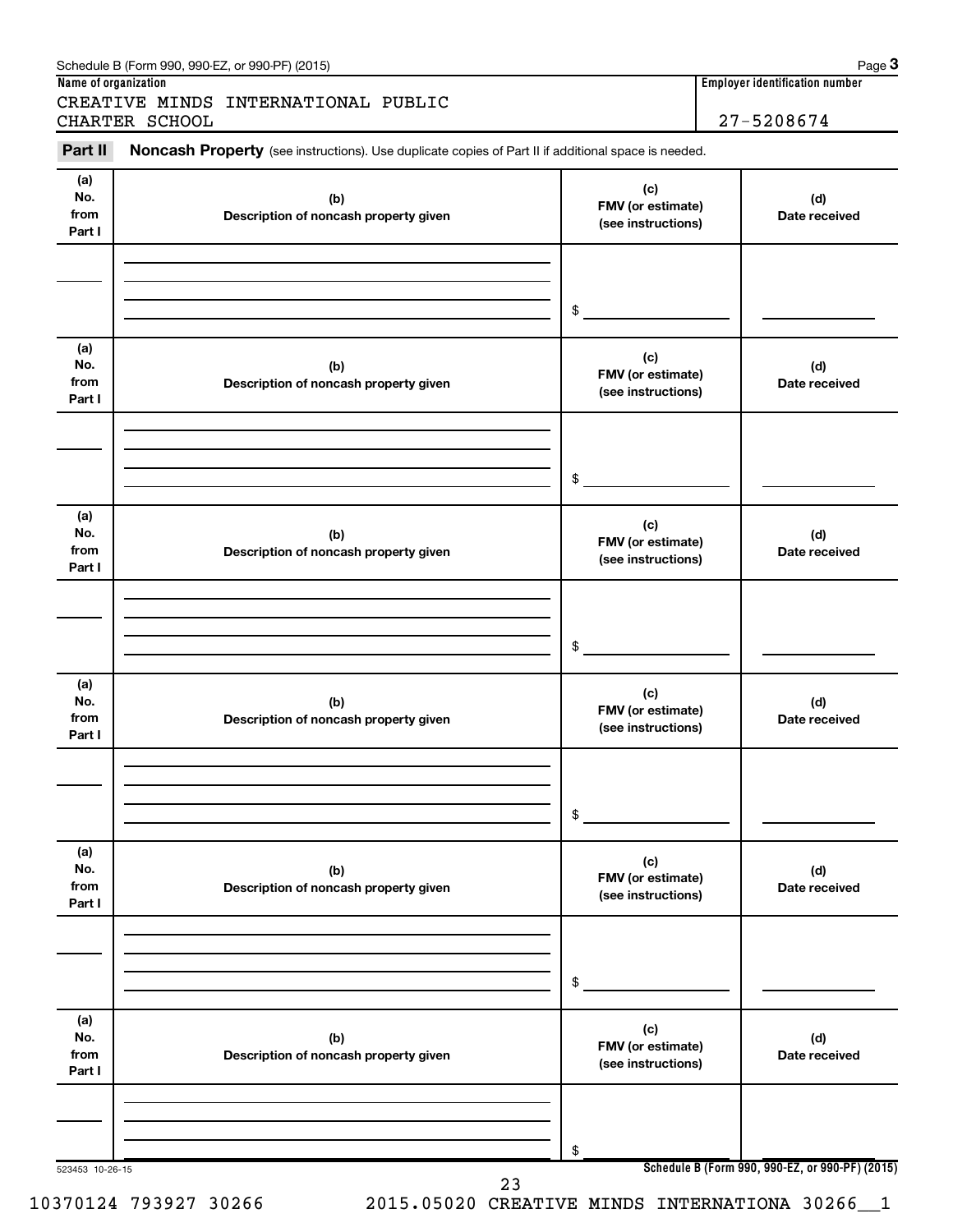| Part II                      | Noncash Property (see instructions). Use duplicate copies of Part II if additional space is needed. |                                                |                      |
|------------------------------|-----------------------------------------------------------------------------------------------------|------------------------------------------------|----------------------|
| (a)<br>No.<br>from<br>Part I | (c)<br>(b)<br>FMV (or estimate)<br>Description of noncash property given<br>(see instructions)      |                                                | (d)<br>Date received |
|                              |                                                                                                     | \$                                             |                      |
| (a)<br>No.<br>from<br>Part I | (b)<br>Description of noncash property given                                                        | (c)<br>FMV (or estimate)<br>(see instructions) | (d)<br>Date received |
|                              |                                                                                                     | \$                                             |                      |
| (a)<br>No.<br>from<br>Part I | (b)<br>Description of noncash property given                                                        | (c)<br>FMV (or estimate)<br>(see instructions) | (d)<br>Date received |
|                              |                                                                                                     | \$                                             |                      |
| (a)<br>No.<br>from<br>Part I | (b)<br>Description of noncash property given                                                        | (c)<br>FMV (or estimate)<br>(see instructions) | (d)<br>Date received |
|                              |                                                                                                     | \$                                             |                      |
| (a)<br>No.<br>from<br>Part I | (b)<br>Description of noncash property given                                                        | (c)<br>FMV (or estimate)<br>(see instructions) | (d)<br>Date received |
|                              |                                                                                                     | \$                                             |                      |
| (a)<br>No.<br>from<br>Part I | (b)<br>Description of noncash property given                                                        | (c)<br>FMV (or estimate)<br>(see instructions) | (d)<br>Date received |
|                              |                                                                                                     | \$                                             |                      |

**Name of organization Employer identification number**

10370124 793927 30266 2015.05020 CREATIVE MINDS INTERNATIONA 30266\_\_1

Schedule B (Form 990, 990-EZ, or 990-PF) (2015)

**3**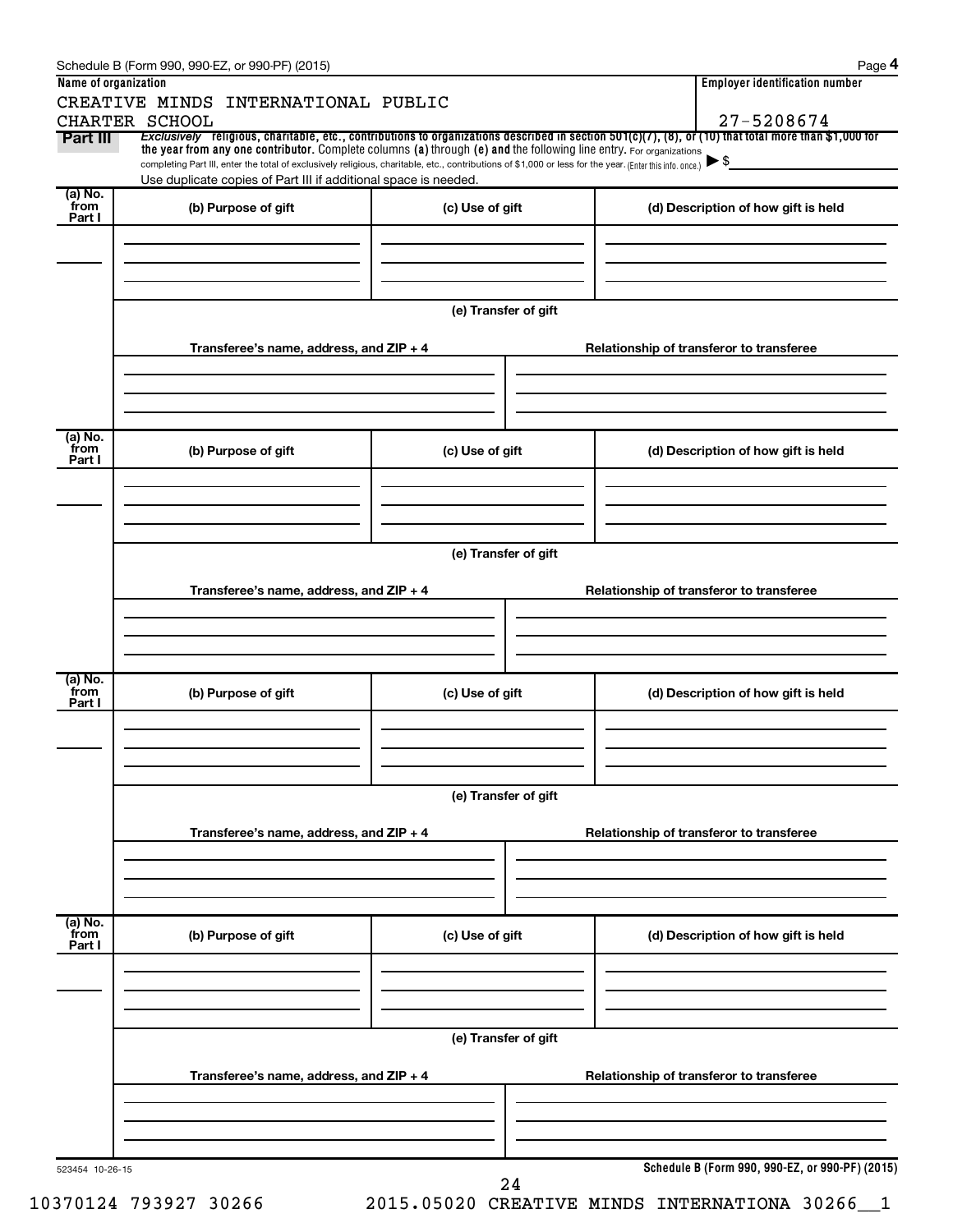|                      | Schedule B (Form 990, 990-EZ, or 990-PF) (2015)                                                                                                                                                                             |                                          | Page 4                                                                                                                                                              |  |  |  |  |
|----------------------|-----------------------------------------------------------------------------------------------------------------------------------------------------------------------------------------------------------------------------|------------------------------------------|---------------------------------------------------------------------------------------------------------------------------------------------------------------------|--|--|--|--|
| Name of organization |                                                                                                                                                                                                                             |                                          | <b>Employer identification number</b>                                                                                                                               |  |  |  |  |
|                      | CREATIVE MINDS INTERNATIONAL PUBLIC                                                                                                                                                                                         |                                          |                                                                                                                                                                     |  |  |  |  |
| Part III             | CHARTER SCHOOL                                                                                                                                                                                                              |                                          | 27-5208674<br>Exclusively religious, charitable, etc., contributions to organizations described in section 501(c)(7), (8), or (10) that total more than \$1,000 for |  |  |  |  |
|                      | the year from any one contributor. Complete columns (a) through (e) and the following line entry. For organizations                                                                                                         |                                          |                                                                                                                                                                     |  |  |  |  |
|                      | completing Part III, enter the total of exclusively religious, charitable, etc., contributions of \$1,000 or less for the year. (Enter this info. once.)<br>Use duplicate copies of Part III if additional space is needed. |                                          | $\blacktriangleright$ \$                                                                                                                                            |  |  |  |  |
| (a) No.              |                                                                                                                                                                                                                             |                                          |                                                                                                                                                                     |  |  |  |  |
| from<br>Part I       | (b) Purpose of gift                                                                                                                                                                                                         | (c) Use of gift                          | (d) Description of how gift is held                                                                                                                                 |  |  |  |  |
|                      |                                                                                                                                                                                                                             |                                          |                                                                                                                                                                     |  |  |  |  |
|                      |                                                                                                                                                                                                                             |                                          |                                                                                                                                                                     |  |  |  |  |
|                      |                                                                                                                                                                                                                             |                                          |                                                                                                                                                                     |  |  |  |  |
|                      |                                                                                                                                                                                                                             |                                          |                                                                                                                                                                     |  |  |  |  |
|                      |                                                                                                                                                                                                                             | (e) Transfer of gift                     |                                                                                                                                                                     |  |  |  |  |
|                      | Transferee's name, address, and ZIP + 4                                                                                                                                                                                     |                                          | Relationship of transferor to transferee                                                                                                                            |  |  |  |  |
|                      |                                                                                                                                                                                                                             |                                          |                                                                                                                                                                     |  |  |  |  |
|                      |                                                                                                                                                                                                                             |                                          |                                                                                                                                                                     |  |  |  |  |
|                      |                                                                                                                                                                                                                             |                                          |                                                                                                                                                                     |  |  |  |  |
|                      |                                                                                                                                                                                                                             |                                          |                                                                                                                                                                     |  |  |  |  |
| (a) No.<br>from      | (b) Purpose of gift                                                                                                                                                                                                         | (c) Use of gift                          | (d) Description of how gift is held                                                                                                                                 |  |  |  |  |
| Part I               |                                                                                                                                                                                                                             |                                          |                                                                                                                                                                     |  |  |  |  |
|                      |                                                                                                                                                                                                                             |                                          |                                                                                                                                                                     |  |  |  |  |
|                      |                                                                                                                                                                                                                             |                                          |                                                                                                                                                                     |  |  |  |  |
|                      |                                                                                                                                                                                                                             |                                          |                                                                                                                                                                     |  |  |  |  |
|                      |                                                                                                                                                                                                                             | (e) Transfer of gift                     |                                                                                                                                                                     |  |  |  |  |
|                      |                                                                                                                                                                                                                             |                                          |                                                                                                                                                                     |  |  |  |  |
|                      | Transferee's name, address, and ZIP + 4                                                                                                                                                                                     |                                          | Relationship of transferor to transferee                                                                                                                            |  |  |  |  |
|                      |                                                                                                                                                                                                                             |                                          |                                                                                                                                                                     |  |  |  |  |
|                      |                                                                                                                                                                                                                             |                                          |                                                                                                                                                                     |  |  |  |  |
|                      |                                                                                                                                                                                                                             |                                          |                                                                                                                                                                     |  |  |  |  |
| (a) No.              |                                                                                                                                                                                                                             |                                          |                                                                                                                                                                     |  |  |  |  |
| from<br>Part I       | (b) Purpose of gift                                                                                                                                                                                                         | (c) Use of gift                          | (d) Description of how gift is held                                                                                                                                 |  |  |  |  |
|                      |                                                                                                                                                                                                                             |                                          |                                                                                                                                                                     |  |  |  |  |
|                      |                                                                                                                                                                                                                             |                                          |                                                                                                                                                                     |  |  |  |  |
|                      |                                                                                                                                                                                                                             |                                          |                                                                                                                                                                     |  |  |  |  |
|                      |                                                                                                                                                                                                                             | (e) Transfer of gift                     |                                                                                                                                                                     |  |  |  |  |
|                      |                                                                                                                                                                                                                             |                                          |                                                                                                                                                                     |  |  |  |  |
|                      | Transferee's name, address, and ZIP + 4                                                                                                                                                                                     |                                          | Relationship of transferor to transferee                                                                                                                            |  |  |  |  |
|                      |                                                                                                                                                                                                                             |                                          |                                                                                                                                                                     |  |  |  |  |
|                      |                                                                                                                                                                                                                             |                                          |                                                                                                                                                                     |  |  |  |  |
|                      |                                                                                                                                                                                                                             |                                          |                                                                                                                                                                     |  |  |  |  |
| (a) No.<br>from      |                                                                                                                                                                                                                             |                                          |                                                                                                                                                                     |  |  |  |  |
| Part I               | (b) Purpose of gift                                                                                                                                                                                                         | (c) Use of gift                          | (d) Description of how gift is held                                                                                                                                 |  |  |  |  |
|                      |                                                                                                                                                                                                                             |                                          |                                                                                                                                                                     |  |  |  |  |
|                      |                                                                                                                                                                                                                             |                                          |                                                                                                                                                                     |  |  |  |  |
|                      |                                                                                                                                                                                                                             |                                          |                                                                                                                                                                     |  |  |  |  |
|                      |                                                                                                                                                                                                                             |                                          |                                                                                                                                                                     |  |  |  |  |
|                      | (e) Transfer of gift                                                                                                                                                                                                        |                                          |                                                                                                                                                                     |  |  |  |  |
|                      | Transferee's name, address, and ZIP + 4                                                                                                                                                                                     | Relationship of transferor to transferee |                                                                                                                                                                     |  |  |  |  |
|                      |                                                                                                                                                                                                                             |                                          |                                                                                                                                                                     |  |  |  |  |
|                      |                                                                                                                                                                                                                             |                                          |                                                                                                                                                                     |  |  |  |  |
|                      |                                                                                                                                                                                                                             |                                          |                                                                                                                                                                     |  |  |  |  |
|                      |                                                                                                                                                                                                                             |                                          |                                                                                                                                                                     |  |  |  |  |
| 523454 10-26-15      |                                                                                                                                                                                                                             | 24                                       | Schedule B (Form 990, 990-EZ, or 990-PF) (2015)                                                                                                                     |  |  |  |  |
|                      |                                                                                                                                                                                                                             |                                          |                                                                                                                                                                     |  |  |  |  |

10370124 793927 30266 2015.05020 CREATIVE MINDS INTERNATIONA 30266\_\_1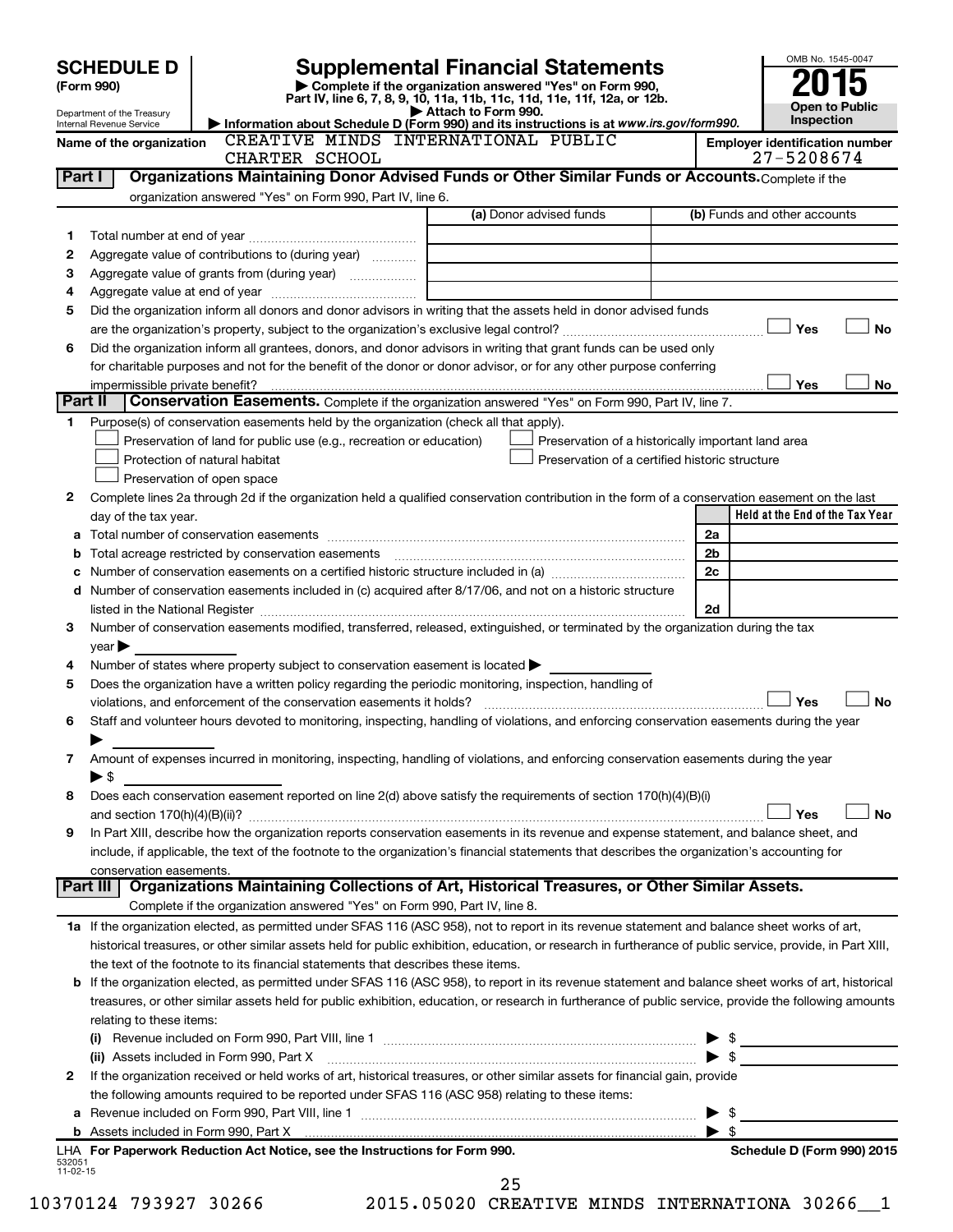|                | <b>SCHEDULE D</b>              |                                                                                                        | <b>Supplemental Financial Statements</b>                                                                                                                   | OMB No. 1545-0047                                  |           |
|----------------|--------------------------------|--------------------------------------------------------------------------------------------------------|------------------------------------------------------------------------------------------------------------------------------------------------------------|----------------------------------------------------|-----------|
|                | (Form 990)                     |                                                                                                        | Complete if the organization answered "Yes" on Form 990,<br>Part IV, line 6, 7, 8, 9, 10, 11a, 11b, 11c, 11d, 11e, 11f, 12a, or 12b.                       |                                                    |           |
|                | Department of the Treasury     |                                                                                                        | Attach to Form 990.                                                                                                                                        | <b>Open to Public</b>                              |           |
|                | Internal Revenue Service       |                                                                                                        | Information about Schedule D (Form 990) and its instructions is at www.irs.gov/form990.                                                                    | Inspection                                         |           |
|                | Name of the organization       | CREATIVE MINDS INTERNATIONAL PUBLIC                                                                    |                                                                                                                                                            | <b>Employer identification number</b>              |           |
|                |                                | CHARTER SCHOOL                                                                                         |                                                                                                                                                            | 27-5208674                                         |           |
| Part I         |                                |                                                                                                        | Organizations Maintaining Donor Advised Funds or Other Similar Funds or Accounts. Complete if the                                                          |                                                    |           |
|                |                                | organization answered "Yes" on Form 990, Part IV, line 6.                                              | (a) Donor advised funds                                                                                                                                    | (b) Funds and other accounts                       |           |
|                |                                |                                                                                                        |                                                                                                                                                            |                                                    |           |
| 1              |                                |                                                                                                        |                                                                                                                                                            |                                                    |           |
| 2              |                                | Aggregate value of contributions to (during year)                                                      |                                                                                                                                                            |                                                    |           |
| З              |                                |                                                                                                        |                                                                                                                                                            |                                                    |           |
| 4              |                                |                                                                                                        |                                                                                                                                                            |                                                    |           |
| 5              |                                |                                                                                                        | Did the organization inform all donors and donor advisors in writing that the assets held in donor advised funds                                           |                                                    |           |
|                |                                |                                                                                                        |                                                                                                                                                            | Yes                                                | <b>No</b> |
| 6              |                                |                                                                                                        | Did the organization inform all grantees, donors, and donor advisors in writing that grant funds can be used only                                          |                                                    |           |
|                |                                |                                                                                                        | for charitable purposes and not for the benefit of the donor or donor advisor, or for any other purpose conferring                                         | Yes                                                |           |
| Part II        | impermissible private benefit? |                                                                                                        | Conservation Easements. Complete if the organization answered "Yes" on Form 990, Part IV, line 7.                                                          |                                                    | No        |
| 1              |                                | Purpose(s) of conservation easements held by the organization (check all that apply).                  |                                                                                                                                                            |                                                    |           |
|                |                                | Preservation of land for public use (e.g., recreation or education)                                    |                                                                                                                                                            | Preservation of a historically important land area |           |
|                |                                | Protection of natural habitat                                                                          | Preservation of a certified historic structure                                                                                                             |                                                    |           |
|                |                                | Preservation of open space                                                                             |                                                                                                                                                            |                                                    |           |
| 2              |                                |                                                                                                        | Complete lines 2a through 2d if the organization held a qualified conservation contribution in the form of a conservation easement on the last             |                                                    |           |
|                | day of the tax year.           |                                                                                                        |                                                                                                                                                            | Held at the End of the Tax Year                    |           |
|                |                                |                                                                                                        |                                                                                                                                                            | 2a                                                 |           |
|                |                                |                                                                                                        |                                                                                                                                                            | 2b                                                 |           |
|                |                                |                                                                                                        |                                                                                                                                                            | 2c                                                 |           |
|                |                                |                                                                                                        | d Number of conservation easements included in (c) acquired after 8/17/06, and not on a historic structure                                                 |                                                    |           |
|                |                                |                                                                                                        |                                                                                                                                                            | 2d                                                 |           |
| З              |                                |                                                                                                        | Number of conservation easements modified, transferred, released, extinguished, or terminated by the organization during the tax                           |                                                    |           |
|                | $year \triangleright$          |                                                                                                        |                                                                                                                                                            |                                                    |           |
| 4              |                                | Number of states where property subject to conservation easement is located                            |                                                                                                                                                            |                                                    |           |
| 5              |                                | Does the organization have a written policy regarding the periodic monitoring, inspection, handling of |                                                                                                                                                            |                                                    |           |
|                |                                |                                                                                                        |                                                                                                                                                            | Yes                                                | <b>No</b> |
| 6              |                                |                                                                                                        | Staff and volunteer hours devoted to monitoring, inspecting, handling of violations, and enforcing conservation easements during the year                  |                                                    |           |
|                |                                |                                                                                                        |                                                                                                                                                            |                                                    |           |
| 7              |                                |                                                                                                        | Amount of expenses incurred in monitoring, inspecting, handling of violations, and enforcing conservation easements during the year                        |                                                    |           |
|                | ▶ \$                           |                                                                                                        |                                                                                                                                                            |                                                    |           |
| 8              |                                |                                                                                                        | Does each conservation easement reported on line 2(d) above satisfy the requirements of section 170(h)(4)(B)(i)                                            |                                                    |           |
|                |                                |                                                                                                        |                                                                                                                                                            | Yes                                                | No        |
| 9              |                                |                                                                                                        | In Part XIII, describe how the organization reports conservation easements in its revenue and expense statement, and balance sheet, and                    |                                                    |           |
|                |                                |                                                                                                        | include, if applicable, the text of the footnote to the organization's financial statements that describes the organization's accounting for               |                                                    |           |
|                | conservation easements.        |                                                                                                        |                                                                                                                                                            |                                                    |           |
|                | Part III                       |                                                                                                        | Organizations Maintaining Collections of Art, Historical Treasures, or Other Similar Assets.                                                               |                                                    |           |
|                |                                | Complete if the organization answered "Yes" on Form 990, Part IV, line 8.                              |                                                                                                                                                            |                                                    |           |
|                |                                |                                                                                                        | 1a If the organization elected, as permitted under SFAS 116 (ASC 958), not to report in its revenue statement and balance sheet works of art,              |                                                    |           |
|                |                                |                                                                                                        | historical treasures, or other similar assets held for public exhibition, education, or research in furtherance of public service, provide, in Part XIII,  |                                                    |           |
|                |                                | the text of the footnote to its financial statements that describes these items.                       |                                                                                                                                                            |                                                    |           |
|                |                                |                                                                                                        | <b>b</b> If the organization elected, as permitted under SFAS 116 (ASC 958), to report in its revenue statement and balance sheet works of art, historical |                                                    |           |
|                |                                |                                                                                                        | treasures, or other similar assets held for public exhibition, education, or research in furtherance of public service, provide the following amounts      |                                                    |           |
|                | relating to these items:       |                                                                                                        |                                                                                                                                                            |                                                    |           |
|                |                                |                                                                                                        |                                                                                                                                                            | \$                                                 |           |
|                |                                | (ii) Assets included in Form 990, Part X                                                               |                                                                                                                                                            | \$                                                 |           |
| 2              |                                |                                                                                                        | If the organization received or held works of art, historical treasures, or other similar assets for financial gain, provide                               |                                                    |           |
|                |                                | the following amounts required to be reported under SFAS 116 (ASC 958) relating to these items:        |                                                                                                                                                            |                                                    |           |
|                |                                |                                                                                                        |                                                                                                                                                            | \$                                                 |           |
|                |                                |                                                                                                        |                                                                                                                                                            | $\blacktriangleright$ s                            |           |
| 532051         |                                | LHA For Paperwork Reduction Act Notice, see the Instructions for Form 990.                             |                                                                                                                                                            | Schedule D (Form 990) 2015                         |           |
| $11 - 02 - 15$ |                                |                                                                                                        |                                                                                                                                                            |                                                    |           |
|                |                                |                                                                                                        | 25                                                                                                                                                         |                                                    |           |

10370124 793927 30266 2015.05020 CREATIVE MINDS INTERNATIONA 30266\_\_1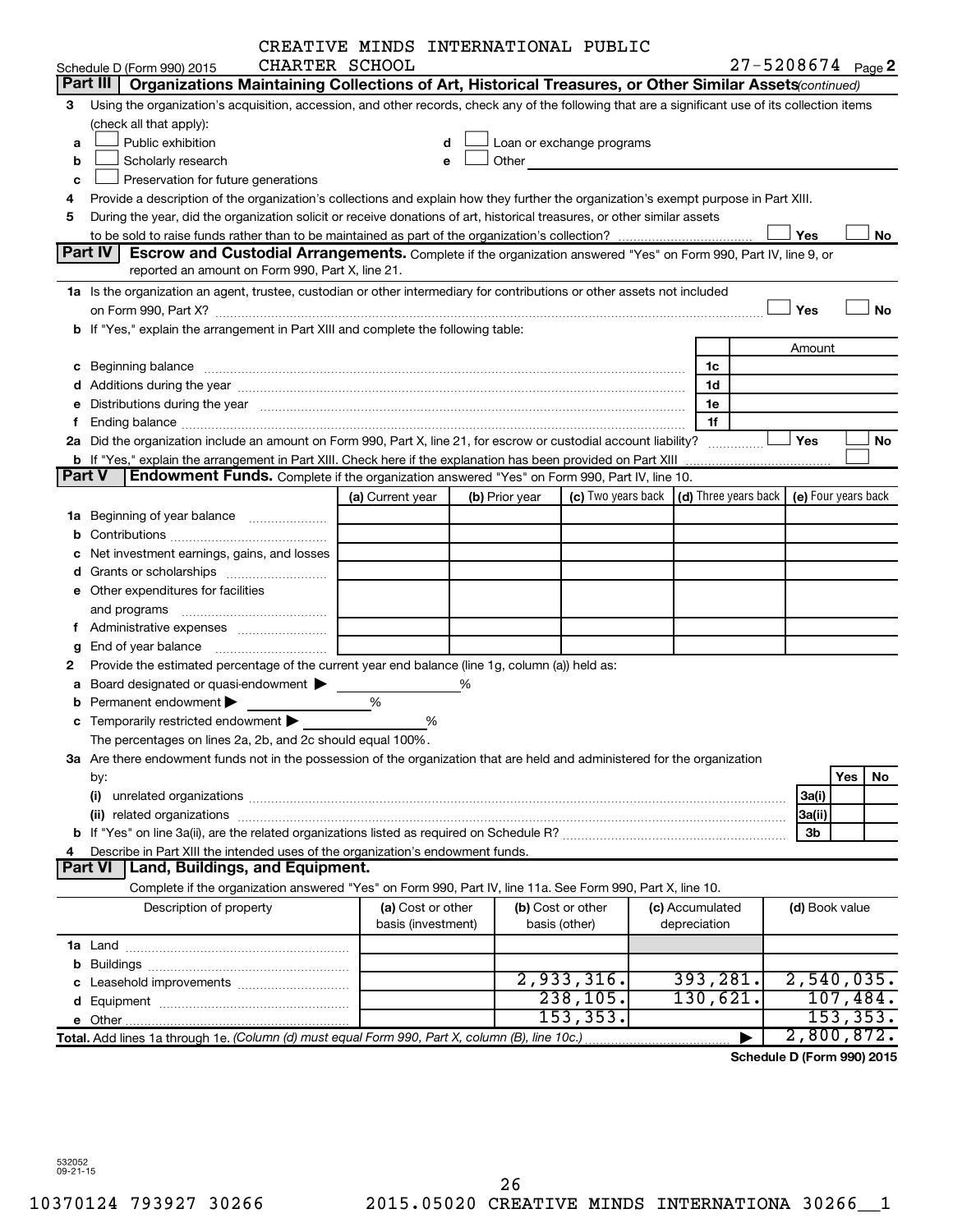|               | CREATIVE MINDS INTERNATIONAL PUBLIC                                                                                                                                                                                            |                  |                    |                |                                                                                                                                                                                                                               |  |                                                 |                       |           |
|---------------|--------------------------------------------------------------------------------------------------------------------------------------------------------------------------------------------------------------------------------|------------------|--------------------|----------------|-------------------------------------------------------------------------------------------------------------------------------------------------------------------------------------------------------------------------------|--|-------------------------------------------------|-----------------------|-----------|
|               | CHARTER SCHOOL<br>Schedule D (Form 990) 2015                                                                                                                                                                                   |                  |                    |                |                                                                                                                                                                                                                               |  |                                                 | $27 - 5208674$ Page 2 |           |
|               | Part III<br>Organizations Maintaining Collections of Art, Historical Treasures, or Other Similar Assets (continued)                                                                                                            |                  |                    |                |                                                                                                                                                                                                                               |  |                                                 |                       |           |
| 3             | Using the organization's acquisition, accession, and other records, check any of the following that are a significant use of its collection items                                                                              |                  |                    |                |                                                                                                                                                                                                                               |  |                                                 |                       |           |
|               | (check all that apply):                                                                                                                                                                                                        |                  |                    |                |                                                                                                                                                                                                                               |  |                                                 |                       |           |
| a             | Public exhibition                                                                                                                                                                                                              |                  | d                  |                | Loan or exchange programs                                                                                                                                                                                                     |  |                                                 |                       |           |
| b             | Scholarly research                                                                                                                                                                                                             |                  | e                  |                | Other and the contract of the contract of the contract of the contract of the contract of the contract of the contract of the contract of the contract of the contract of the contract of the contract of the contract of the |  |                                                 |                       |           |
| c             | Preservation for future generations                                                                                                                                                                                            |                  |                    |                |                                                                                                                                                                                                                               |  |                                                 |                       |           |
| 4             | Provide a description of the organization's collections and explain how they further the organization's exempt purpose in Part XIII.                                                                                           |                  |                    |                |                                                                                                                                                                                                                               |  |                                                 |                       |           |
| 5             | During the year, did the organization solicit or receive donations of art, historical treasures, or other similar assets                                                                                                       |                  |                    |                |                                                                                                                                                                                                                               |  |                                                 |                       |           |
|               |                                                                                                                                                                                                                                |                  |                    |                |                                                                                                                                                                                                                               |  |                                                 | Yes                   | No        |
|               | Part IV<br><b>Escrow and Custodial Arrangements.</b> Complete if the organization answered "Yes" on Form 990, Part IV, line 9, or                                                                                              |                  |                    |                |                                                                                                                                                                                                                               |  |                                                 |                       |           |
|               | reported an amount on Form 990, Part X, line 21.                                                                                                                                                                               |                  |                    |                |                                                                                                                                                                                                                               |  |                                                 |                       |           |
|               | 1a Is the organization an agent, trustee, custodian or other intermediary for contributions or other assets not included                                                                                                       |                  |                    |                |                                                                                                                                                                                                                               |  |                                                 |                       |           |
|               |                                                                                                                                                                                                                                |                  |                    |                |                                                                                                                                                                                                                               |  |                                                 | Yes                   | <b>No</b> |
|               | b If "Yes," explain the arrangement in Part XIII and complete the following table:                                                                                                                                             |                  |                    |                |                                                                                                                                                                                                                               |  |                                                 |                       |           |
|               |                                                                                                                                                                                                                                |                  |                    |                |                                                                                                                                                                                                                               |  |                                                 | Amount                |           |
|               | c Beginning balance measurements and the contract of the contract of the contract of the contract of the contract of the contract of the contract of the contract of the contract of the contract of the contract of the contr |                  |                    |                |                                                                                                                                                                                                                               |  | 1c                                              |                       |           |
|               |                                                                                                                                                                                                                                |                  |                    |                |                                                                                                                                                                                                                               |  | 1d                                              |                       |           |
|               | e Distributions during the year manufactured and contained and contained and contained and contained and contained and contained and contained and contained and contained and contained and contained and contained and conta |                  |                    |                |                                                                                                                                                                                                                               |  | 1e                                              |                       |           |
| f             |                                                                                                                                                                                                                                |                  |                    |                |                                                                                                                                                                                                                               |  | 1f                                              |                       |           |
|               | 2a Did the organization include an amount on Form 990, Part X, line 21, for escrow or custodial account liability?                                                                                                             |                  |                    |                |                                                                                                                                                                                                                               |  |                                                 | Yes                   | No        |
|               |                                                                                                                                                                                                                                |                  |                    |                |                                                                                                                                                                                                                               |  |                                                 |                       |           |
| <b>Part V</b> | <b>Endowment Funds.</b> Complete if the organization answered "Yes" on Form 990, Part IV, line 10.                                                                                                                             |                  |                    |                |                                                                                                                                                                                                                               |  |                                                 |                       |           |
|               |                                                                                                                                                                                                                                | (a) Current year |                    | (b) Prior year |                                                                                                                                                                                                                               |  | (c) Two years back $ $ (d) Three years back $ $ | (e) Four years back   |           |
|               | 1a Beginning of year balance                                                                                                                                                                                                   |                  |                    |                |                                                                                                                                                                                                                               |  |                                                 |                       |           |
|               |                                                                                                                                                                                                                                |                  |                    |                |                                                                                                                                                                                                                               |  |                                                 |                       |           |
|               | c Net investment earnings, gains, and losses                                                                                                                                                                                   |                  |                    |                |                                                                                                                                                                                                                               |  |                                                 |                       |           |
|               |                                                                                                                                                                                                                                |                  |                    |                |                                                                                                                                                                                                                               |  |                                                 |                       |           |
|               | e Other expenditures for facilities                                                                                                                                                                                            |                  |                    |                |                                                                                                                                                                                                                               |  |                                                 |                       |           |
|               |                                                                                                                                                                                                                                |                  |                    |                |                                                                                                                                                                                                                               |  |                                                 |                       |           |
|               |                                                                                                                                                                                                                                |                  |                    |                |                                                                                                                                                                                                                               |  |                                                 |                       |           |
| g             |                                                                                                                                                                                                                                |                  |                    |                |                                                                                                                                                                                                                               |  |                                                 |                       |           |
| 2             | Provide the estimated percentage of the current year end balance (line 1g, column (a)) held as:                                                                                                                                |                  |                    |                |                                                                                                                                                                                                                               |  |                                                 |                       |           |
|               | a Board designated or quasi-endowment >                                                                                                                                                                                        |                  | ℅                  |                |                                                                                                                                                                                                                               |  |                                                 |                       |           |
|               | <b>b</b> Permanent endowment $\blacktriangleright$                                                                                                                                                                             | %                |                    |                |                                                                                                                                                                                                                               |  |                                                 |                       |           |
|               | c Temporarily restricted endowment $\blacktriangleright$                                                                                                                                                                       |                  | %                  |                |                                                                                                                                                                                                                               |  |                                                 |                       |           |
|               | The percentages on lines 2a, 2b, and 2c should equal 100%.                                                                                                                                                                     |                  |                    |                |                                                                                                                                                                                                                               |  |                                                 |                       |           |
|               | 3a Are there endowment funds not in the possession of the organization that are held and administered for the organization                                                                                                     |                  |                    |                |                                                                                                                                                                                                                               |  |                                                 |                       |           |
|               | by:                                                                                                                                                                                                                            |                  |                    |                |                                                                                                                                                                                                                               |  |                                                 |                       | Yes<br>No |
|               | (i)                                                                                                                                                                                                                            |                  |                    |                |                                                                                                                                                                                                                               |  |                                                 | 3a(i)                 |           |
|               |                                                                                                                                                                                                                                |                  |                    |                |                                                                                                                                                                                                                               |  |                                                 | 3a(ii)                |           |
|               |                                                                                                                                                                                                                                |                  |                    |                |                                                                                                                                                                                                                               |  |                                                 | 3b                    |           |
| 4             | Describe in Part XIII the intended uses of the organization's endowment funds.                                                                                                                                                 |                  |                    |                |                                                                                                                                                                                                                               |  |                                                 |                       |           |
|               | Land, Buildings, and Equipment.<br>Part VI                                                                                                                                                                                     |                  |                    |                |                                                                                                                                                                                                                               |  |                                                 |                       |           |
|               | Complete if the organization answered "Yes" on Form 990, Part IV, line 11a. See Form 990, Part X, line 10.                                                                                                                     |                  |                    |                |                                                                                                                                                                                                                               |  |                                                 |                       |           |
|               | Description of property                                                                                                                                                                                                        |                  | (a) Cost or other  |                | (b) Cost or other                                                                                                                                                                                                             |  | (c) Accumulated                                 | (d) Book value        |           |
|               |                                                                                                                                                                                                                                |                  | basis (investment) |                | basis (other)                                                                                                                                                                                                                 |  | depreciation                                    |                       |           |
|               |                                                                                                                                                                                                                                |                  |                    |                |                                                                                                                                                                                                                               |  |                                                 |                       |           |
|               |                                                                                                                                                                                                                                |                  |                    |                |                                                                                                                                                                                                                               |  |                                                 |                       |           |
|               |                                                                                                                                                                                                                                |                  |                    |                | 2,933,316.                                                                                                                                                                                                                    |  | 393,281.                                        | 2,540,035.            |           |
|               |                                                                                                                                                                                                                                |                  |                    |                | 238, 105.                                                                                                                                                                                                                     |  | 130,621.                                        |                       | 107,484.  |
|               |                                                                                                                                                                                                                                |                  |                    |                | 153, 353.                                                                                                                                                                                                                     |  |                                                 |                       | 153, 353. |
|               | Total. Add lines 1a through 1e. (Column (d) must equal Form 990, Part X, column (B), line 10c.)                                                                                                                                |                  |                    |                |                                                                                                                                                                                                                               |  |                                                 | 2,800,872.            |           |
|               |                                                                                                                                                                                                                                |                  |                    |                |                                                                                                                                                                                                                               |  |                                                 |                       |           |

**Schedule D (Form 990) 2015**

532052 09-21-15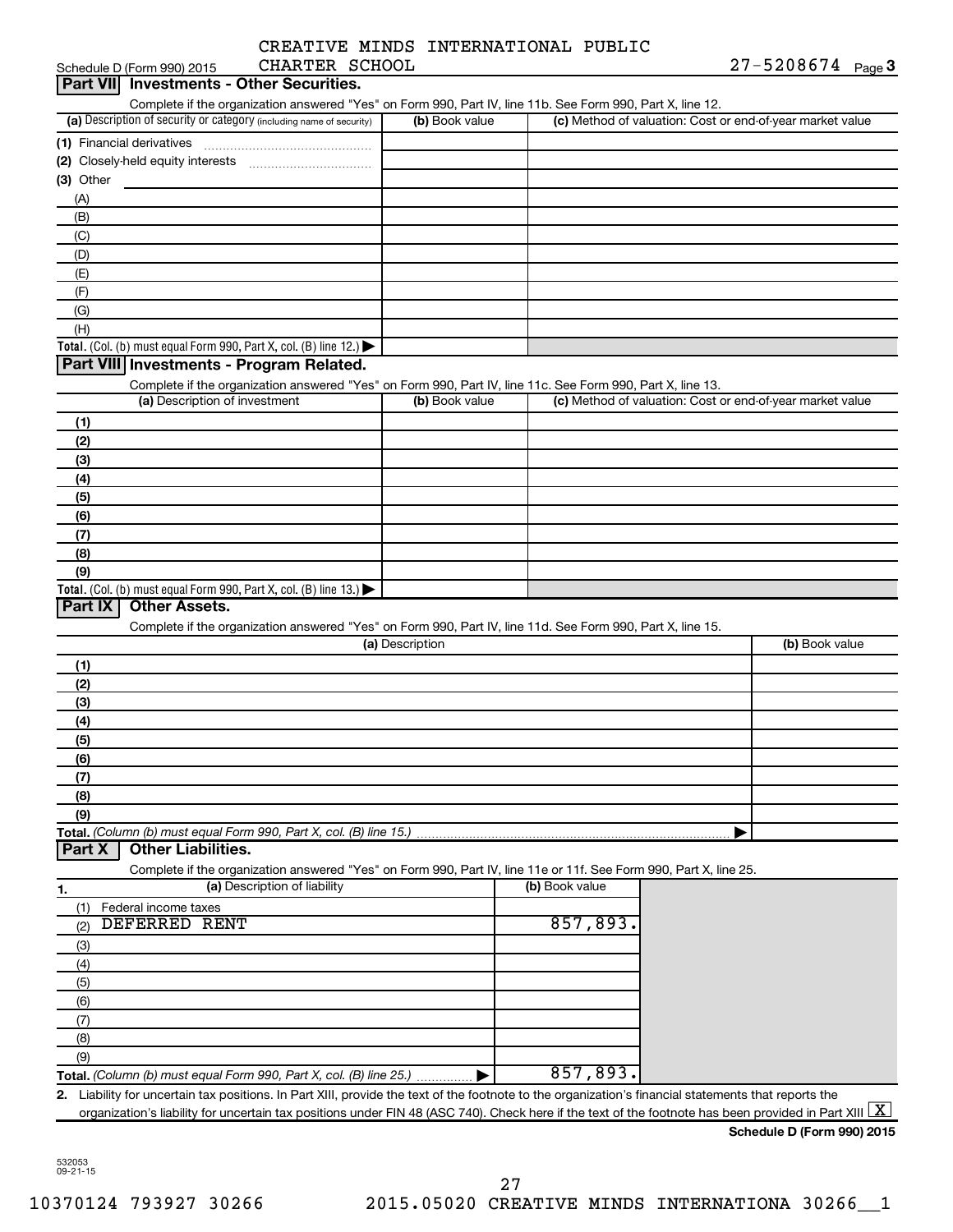|  | CREATIVE MINDS INTERNATIONAL PUBLIC |  |
|--|-------------------------------------|--|
|  |                                     |  |

| CHARTER SCHOOL<br>Schedule D (Form 990) 2015                                                                                                             |                 |                | $27 - 5208674$ Page 3                                     |
|----------------------------------------------------------------------------------------------------------------------------------------------------------|-----------------|----------------|-----------------------------------------------------------|
| <b>Investments - Other Securities.</b><br>Part VIII                                                                                                      |                 |                |                                                           |
| Complete if the organization answered "Yes" on Form 990, Part IV, line 11b. See Form 990, Part X, line 12.                                               |                 |                |                                                           |
| (a) Description of security or category (including name of security)                                                                                     | (b) Book value  |                | (c) Method of valuation: Cost or end-of-year market value |
| (1) Financial derivatives                                                                                                                                |                 |                |                                                           |
|                                                                                                                                                          |                 |                |                                                           |
| (3) Other                                                                                                                                                |                 |                |                                                           |
|                                                                                                                                                          |                 |                |                                                           |
| (A)                                                                                                                                                      |                 |                |                                                           |
| (B)                                                                                                                                                      |                 |                |                                                           |
| (C)                                                                                                                                                      |                 |                |                                                           |
| (D)                                                                                                                                                      |                 |                |                                                           |
| (E)                                                                                                                                                      |                 |                |                                                           |
| (F)                                                                                                                                                      |                 |                |                                                           |
| (G)                                                                                                                                                      |                 |                |                                                           |
| (H)                                                                                                                                                      |                 |                |                                                           |
| <b>Total.</b> (Col. (b) must equal Form 990, Part X, col. (B) line 12.) $\blacktriangleright$                                                            |                 |                |                                                           |
| Part VIII Investments - Program Related.                                                                                                                 |                 |                |                                                           |
| Complete if the organization answered "Yes" on Form 990, Part IV, line 11c. See Form 990, Part X, line 13.                                               |                 |                |                                                           |
| (a) Description of investment                                                                                                                            | (b) Book value  |                | (c) Method of valuation: Cost or end-of-year market value |
| (1)                                                                                                                                                      |                 |                |                                                           |
| (2)                                                                                                                                                      |                 |                |                                                           |
| (3)                                                                                                                                                      |                 |                |                                                           |
|                                                                                                                                                          |                 |                |                                                           |
| (4)                                                                                                                                                      |                 |                |                                                           |
| (5)                                                                                                                                                      |                 |                |                                                           |
| (6)                                                                                                                                                      |                 |                |                                                           |
| (7)                                                                                                                                                      |                 |                |                                                           |
| (8)                                                                                                                                                      |                 |                |                                                           |
| (9)                                                                                                                                                      |                 |                |                                                           |
| <b>Total.</b> (Col. (b) must equal Form 990, Part X, col. (B) line 13.)                                                                                  |                 |                |                                                           |
| Part IX<br><b>Other Assets.</b>                                                                                                                          |                 |                |                                                           |
| Complete if the organization answered "Yes" on Form 990, Part IV, line 11d. See Form 990, Part X, line 15.                                               |                 |                |                                                           |
|                                                                                                                                                          | (a) Description |                | (b) Book value                                            |
| (1)                                                                                                                                                      |                 |                |                                                           |
| (2)                                                                                                                                                      |                 |                |                                                           |
| (3)                                                                                                                                                      |                 |                |                                                           |
| (4)                                                                                                                                                      |                 |                |                                                           |
| (5)                                                                                                                                                      |                 |                |                                                           |
| (6)                                                                                                                                                      |                 |                |                                                           |
| (7)                                                                                                                                                      |                 |                |                                                           |
| (8)                                                                                                                                                      |                 |                |                                                           |
|                                                                                                                                                          |                 |                |                                                           |
| (9)                                                                                                                                                      |                 |                |                                                           |
| Total. (Column (b) must equal Form 990, Part X, col. (B) line 15.)<br><b>Other Liabilities.</b>                                                          |                 |                |                                                           |
| Part X                                                                                                                                                   |                 |                |                                                           |
| Complete if the organization answered "Yes" on Form 990, Part IV, line 11e or 11f. See Form 990, Part X, line 25.                                        |                 |                |                                                           |
| (a) Description of liability<br>1.                                                                                                                       |                 | (b) Book value |                                                           |
| Federal income taxes<br>(1)                                                                                                                              |                 |                |                                                           |
| DEFERRED RENT<br>(2)                                                                                                                                     |                 | 857,893.       |                                                           |
| (3)                                                                                                                                                      |                 |                |                                                           |
| (4)                                                                                                                                                      |                 |                |                                                           |
| (5)                                                                                                                                                      |                 |                |                                                           |
| (6)                                                                                                                                                      |                 |                |                                                           |
| (7)                                                                                                                                                      |                 |                |                                                           |
| (8)                                                                                                                                                      |                 |                |                                                           |
|                                                                                                                                                          |                 |                |                                                           |
| (9)                                                                                                                                                      |                 | 857,893.       |                                                           |
| Total. (Column (b) must equal Form 990, Part X, col. (B) line 25.)                                                                                       |                 |                |                                                           |
| Liability for uncertain tax positions. In Part XIII, provide the text of the footnote to the organization's financial statements that reports the<br>2.  |                 |                |                                                           |
| organization's liability for uncertain tax positions under FIN 48 (ASC 740). Check here if the text of the footnote has been provided in Part XIII $ X $ |                 |                |                                                           |
|                                                                                                                                                          |                 |                | Schedule D (Form 990) 2015                                |

532053 09-21-15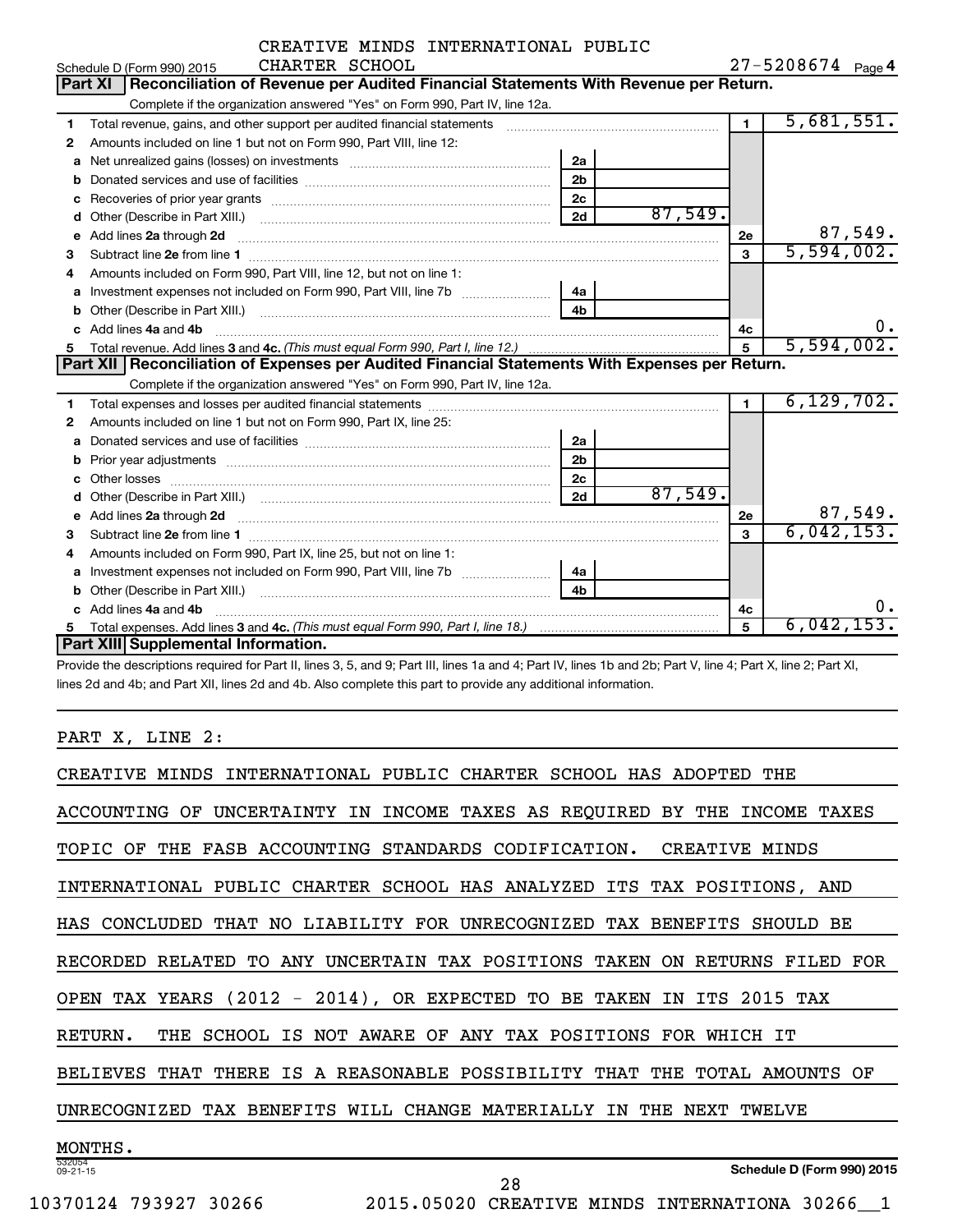|              | CREATIVE MINDS INTERNATIONAL PUBLIC                                                                                                                                                                                                 |                |         |                   |              |         |
|--------------|-------------------------------------------------------------------------------------------------------------------------------------------------------------------------------------------------------------------------------------|----------------|---------|-------------------|--------------|---------|
|              | CHARTER SCHOOL<br>Schedule D (Form 990) 2015                                                                                                                                                                                        |                |         | 27-5208674 Page 4 |              |         |
|              | Part XI   Reconciliation of Revenue per Audited Financial Statements With Revenue per Return.                                                                                                                                       |                |         |                   |              |         |
|              | Complete if the organization answered "Yes" on Form 990, Part IV, line 12a.                                                                                                                                                         |                |         |                   |              |         |
| 1            | Total revenue, gains, and other support per audited financial statements [[[[[[[[[[[[[[[[[[[[[[[[[]]]]]]]]]]]                                                                                                                       |                |         | $\blacksquare$    | 5,681,551.   |         |
| $\mathbf{2}$ | Amounts included on line 1 but not on Form 990, Part VIII, line 12:                                                                                                                                                                 |                |         |                   |              |         |
| a            |                                                                                                                                                                                                                                     | 2a             |         |                   |              |         |
| b            |                                                                                                                                                                                                                                     | 2 <sub>b</sub> |         |                   |              |         |
| c            |                                                                                                                                                                                                                                     | 2 <sub>c</sub> |         |                   |              |         |
| d            |                                                                                                                                                                                                                                     | 2d             | 87,549. |                   |              |         |
| е            | Add lines 2a through 2d                                                                                                                                                                                                             |                |         | 2е                |              | 87,549. |
| 3            |                                                                                                                                                                                                                                     |                |         | 3                 | 5,594,002.   |         |
| 4            | Amounts included on Form 990, Part VIII, line 12, but not on line 1:                                                                                                                                                                |                |         |                   |              |         |
| a            |                                                                                                                                                                                                                                     | 4a             |         |                   |              |         |
|              |                                                                                                                                                                                                                                     |                |         |                   |              |         |
|              | c Add lines 4a and 4b                                                                                                                                                                                                               |                |         | 4c                |              | 0.      |
| 5            |                                                                                                                                                                                                                                     |                |         | 5                 | 5,594,002.   |         |
|              | Part XII   Reconciliation of Expenses per Audited Financial Statements With Expenses per Return.                                                                                                                                    |                |         |                   |              |         |
|              | Complete if the organization answered "Yes" on Form 990, Part IV, line 12a.                                                                                                                                                         |                |         |                   |              |         |
| 1            |                                                                                                                                                                                                                                     |                |         | $\mathbf{1}$      | 6, 129, 702. |         |
| $\mathbf{2}$ | Amounts included on line 1 but not on Form 990, Part IX, line 25:                                                                                                                                                                   |                |         |                   |              |         |
| a            |                                                                                                                                                                                                                                     | 2a             |         |                   |              |         |
| b            |                                                                                                                                                                                                                                     | 2 <sub>b</sub> |         |                   |              |         |
| C.           |                                                                                                                                                                                                                                     | 2c             |         |                   |              |         |
| d            |                                                                                                                                                                                                                                     | 2d             | 87,549. |                   |              |         |
| e            | Add lines 2a through 2d <b>contained a contained a contained a contained a</b> contained a contained a contained a contained a contained a contained a contained a contained a contained a contained a contained a contained a cont |                |         | 2е                |              | 87,549. |
| 3            |                                                                                                                                                                                                                                     |                |         | 3                 | 6,042,153.   |         |
| 4            | Amounts included on Form 990, Part IX, line 25, but not on line 1:                                                                                                                                                                  |                |         |                   |              |         |
| a            |                                                                                                                                                                                                                                     | 4a             |         |                   |              |         |
| b            |                                                                                                                                                                                                                                     |                |         |                   |              |         |
|              | Add lines 4a and 4b                                                                                                                                                                                                                 |                |         | 4c                |              | 0.      |
| 5            |                                                                                                                                                                                                                                     |                |         | 5                 | 6,042,153.   |         |
|              | Part XIII Supplemental Information.                                                                                                                                                                                                 |                |         |                   |              |         |

Provide the descriptions required for Part II, lines 3, 5, and 9; Part III, lines 1a and 4; Part IV, lines 1b and 2b; Part V, line 4; Part X, line 2; Part XI, lines 2d and 4b; and Part XII, lines 2d and 4b. Also complete this part to provide any additional information.

#### PART X, LINE 2:

| INTERNATIONAL PUBLIC CHARTER SCHOOL HAS ADOPTED<br>CREATIVE MINDS<br>THE.                            |
|------------------------------------------------------------------------------------------------------|
| UNCERTAINTY IN INCOME TAXES AS REQUIRED<br>ACCOUNTING<br>OF<br>BY.<br>THE<br>INCOME<br>TAXES         |
| TOPIC.<br>THE FASB ACCOUNTING STANDARDS CODIFICATION.<br>CREATIVE MINDS<br>OF                        |
| INTERNATIONAL PUBLIC CHARTER SCHOOL HAS ANALYZED<br>TAX POSITIONS,<br>ITS<br>AND                     |
| CONCLUDED THAT NO LIABILITY FOR UNRECOGNIZED TAX BENEFITS<br>SHOULD<br>BE.<br>HAS                    |
| ANY UNCERTAIN TAX POSITIONS<br>TAKEN<br>RECORDED RELATED<br>TO.<br>ON<br>RETURNS<br>FILED FOR        |
| $(2012 - 2014)$ , OR EXPECTED<br>TO<br>ВE<br>ITS 2015 TAX<br>TAX YEARS<br>TAKEN<br>IN<br><b>OPEN</b> |
| SCHOOL IS NOT AWARE OF ANY TAX POSITIONS FOR WHICH IT<br>RETURN.<br>THE.                             |
| THERE<br>IS<br>A REASONABLE POSSIBILITY<br>THAT<br>THE<br>TOTAL<br>BELIEVES<br>THAT<br>AMOUNTS<br>OF |
| TAX BENEFITS WILL CHANGE MATERIALLY<br>UNRECOGNIZED<br>ΙN<br>THE<br>NEXT<br>TWELVE                   |
| MONTHS.                                                                                              |
| 532054<br>Schedule D (Form 990) 2015<br>$09 - 21 - 15$<br>28                                         |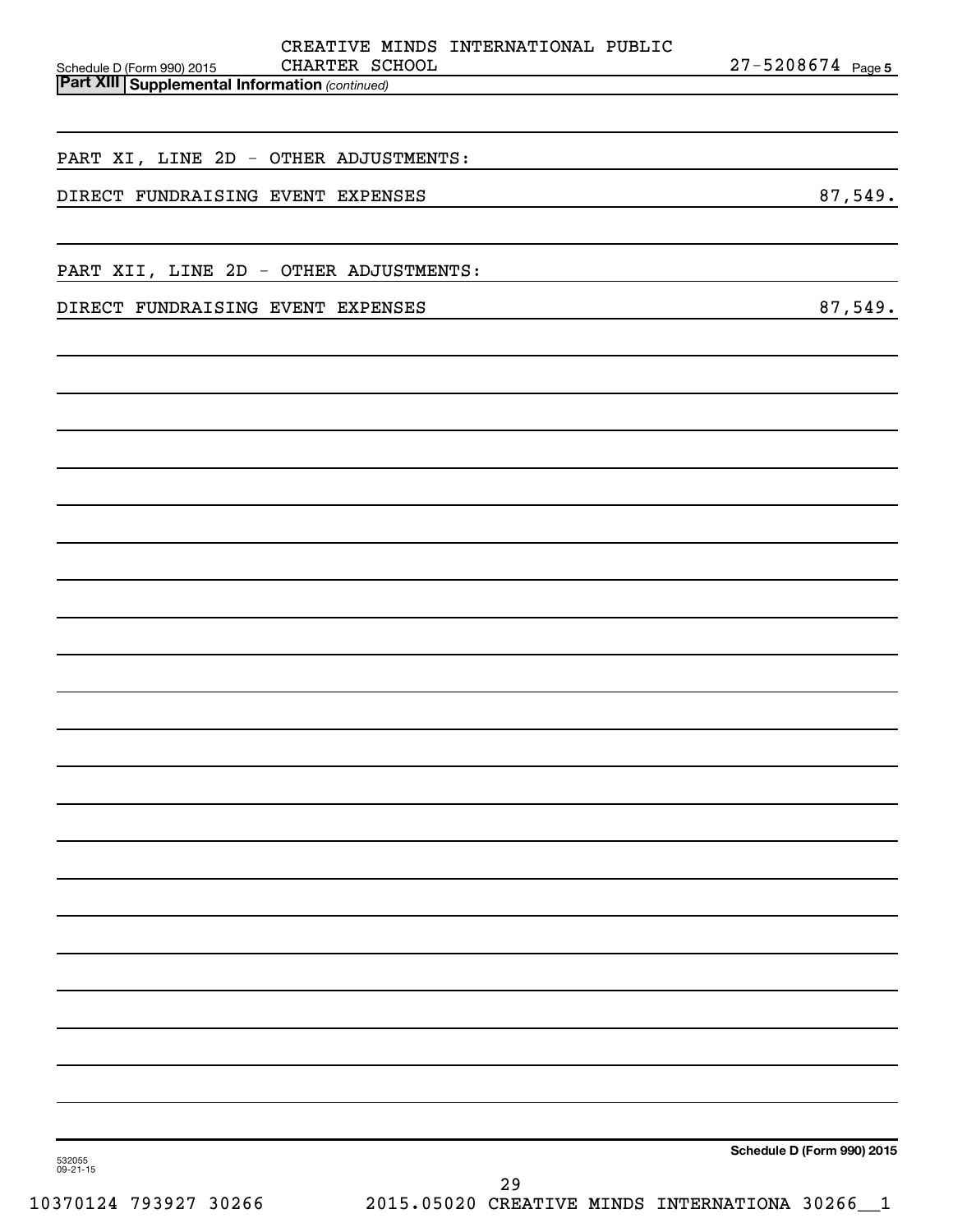| CREATIVE MINDS INTERNATIONAL PUBLIC<br>CHARTER SCHOOL<br>Schedule D (Form 990) 2015 | 27-5208674 Page 5          |
|-------------------------------------------------------------------------------------|----------------------------|
| <b>Part XIII Supplemental Information (continued)</b>                               |                            |
|                                                                                     |                            |
| PART XI, LINE 2D - OTHER ADJUSTMENTS:                                               |                            |
| DIRECT FUNDRAISING EVENT EXPENSES                                                   | 87,549.                    |
|                                                                                     |                            |
| PART XII, LINE 2D - OTHER ADJUSTMENTS:                                              |                            |
| DIRECT FUNDRAISING EVENT EXPENSES                                                   | 87,549.                    |
|                                                                                     |                            |
|                                                                                     |                            |
|                                                                                     |                            |
|                                                                                     |                            |
|                                                                                     |                            |
|                                                                                     |                            |
|                                                                                     |                            |
|                                                                                     |                            |
|                                                                                     |                            |
|                                                                                     |                            |
|                                                                                     |                            |
|                                                                                     |                            |
|                                                                                     |                            |
|                                                                                     |                            |
|                                                                                     |                            |
|                                                                                     |                            |
|                                                                                     |                            |
|                                                                                     |                            |
|                                                                                     |                            |
|                                                                                     |                            |
|                                                                                     |                            |
|                                                                                     |                            |
|                                                                                     |                            |
|                                                                                     |                            |
|                                                                                     | Schedule D (Form 990) 2015 |
| 532055<br>$09 - 21 - 15$<br>2.9                                                     |                            |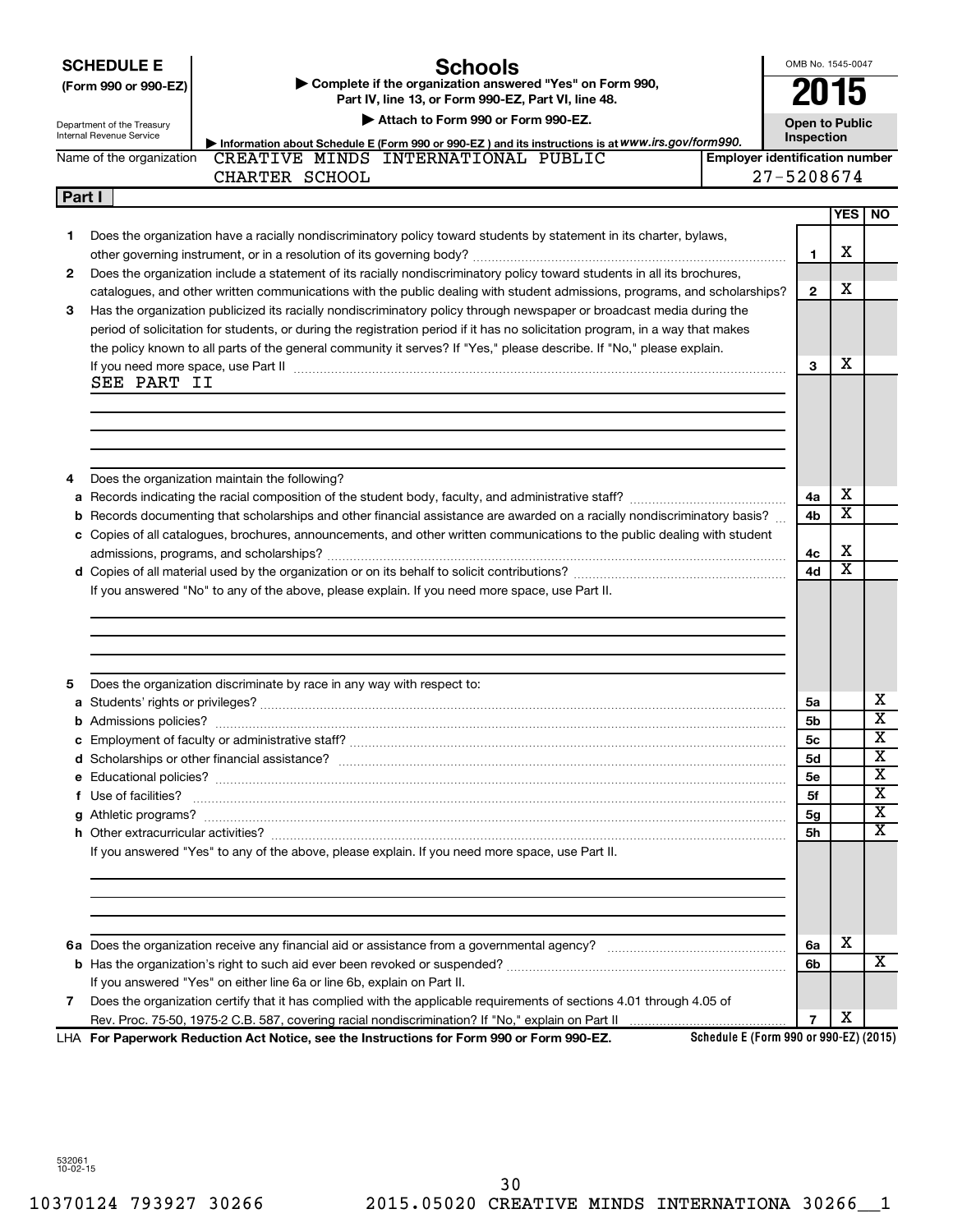**SCHEDULE E**

**(Form 990 or 990-EZ) | Complete if the organization answered "Yes" on Form 990,** 

#### **Schools**

OMB No. 1545-0047

**2015**

| Department of the Treasury |  |
|----------------------------|--|

**Part IV, line 13, or Form 990-EZ, Part VI, line 48. | Attach to Form 990 or Form 990-EZ.**

|        | Attach to Form 990 or Form 990-EZ.<br>Department of the Treasury<br>Internal Revenue Service<br>Inspection |                                                                                                                                                                          | <b>Open to Public</b>                 |                |                         |                         |
|--------|------------------------------------------------------------------------------------------------------------|--------------------------------------------------------------------------------------------------------------------------------------------------------------------------|---------------------------------------|----------------|-------------------------|-------------------------|
|        | Name of the organization                                                                                   | Information about Schedule E (Form 990 or 990-EZ) and its instructions is at WWW.irs.gov/form990.<br>CREATIVE MINDS INTERNATIONAL PUBLIC                                 | <b>Emplover identification number</b> |                |                         |                         |
|        |                                                                                                            | CHARTER SCHOOL                                                                                                                                                           |                                       | 27-5208674     |                         |                         |
|        |                                                                                                            |                                                                                                                                                                          |                                       |                |                         |                         |
| Part I |                                                                                                            |                                                                                                                                                                          |                                       |                | YES                     | NO.                     |
|        |                                                                                                            |                                                                                                                                                                          |                                       |                |                         |                         |
| 1      |                                                                                                            | Does the organization have a racially nondiscriminatory policy toward students by statement in its charter, bylaws,                                                      |                                       |                | х                       |                         |
|        |                                                                                                            |                                                                                                                                                                          |                                       | $\mathbf{1}$   |                         |                         |
| 2      |                                                                                                            | Does the organization include a statement of its racially nondiscriminatory policy toward students in all its brochures,                                                 |                                       |                |                         |                         |
|        |                                                                                                            | catalogues, and other written communications with the public dealing with student admissions, programs, and scholarships?                                                |                                       | $\overline{2}$ | х                       |                         |
| 3      |                                                                                                            | Has the organization publicized its racially nondiscriminatory policy through newspaper or broadcast media during the                                                    |                                       |                |                         |                         |
|        |                                                                                                            | period of solicitation for students, or during the registration period if it has no solicitation program, in a way that makes                                            |                                       |                |                         |                         |
|        |                                                                                                            | the policy known to all parts of the general community it serves? If "Yes," please describe. If "No," please explain.                                                    |                                       |                |                         |                         |
|        |                                                                                                            | If you need more space, use Part II manufactured and continuum contract to the Part II manufactured and the manufactured and the manufactured and the space, use Part II |                                       | 3              | х                       |                         |
|        | SEE PART II                                                                                                |                                                                                                                                                                          |                                       |                |                         |                         |
|        |                                                                                                            |                                                                                                                                                                          |                                       |                |                         |                         |
|        |                                                                                                            |                                                                                                                                                                          |                                       |                |                         |                         |
|        |                                                                                                            |                                                                                                                                                                          |                                       |                |                         |                         |
|        |                                                                                                            |                                                                                                                                                                          |                                       |                |                         |                         |
| 4      |                                                                                                            | Does the organization maintain the following?                                                                                                                            |                                       |                |                         |                         |
|        |                                                                                                            |                                                                                                                                                                          |                                       | 4a             | х                       |                         |
|        |                                                                                                            | b Records documenting that scholarships and other financial assistance are awarded on a racially nondiscriminatory basis?                                                |                                       | 4b             | $\overline{\textbf{x}}$ |                         |
|        |                                                                                                            | c Copies of all catalogues, brochures, announcements, and other written communications to the public dealing with student                                                |                                       |                |                         |                         |
|        |                                                                                                            |                                                                                                                                                                          |                                       | 4c             | X                       |                         |
|        |                                                                                                            |                                                                                                                                                                          |                                       | 4d             | $\overline{\textbf{x}}$ |                         |
|        |                                                                                                            | If you answered "No" to any of the above, please explain. If you need more space, use Part II.                                                                           |                                       |                |                         |                         |
|        |                                                                                                            |                                                                                                                                                                          |                                       |                |                         |                         |
|        |                                                                                                            |                                                                                                                                                                          |                                       |                |                         |                         |
|        |                                                                                                            |                                                                                                                                                                          |                                       |                |                         |                         |
|        |                                                                                                            |                                                                                                                                                                          |                                       |                |                         |                         |
| 5      |                                                                                                            | Does the organization discriminate by race in any way with respect to:                                                                                                   |                                       |                |                         |                         |
|        |                                                                                                            |                                                                                                                                                                          |                                       | 5a             |                         | х                       |
|        |                                                                                                            |                                                                                                                                                                          |                                       | 5b             |                         | $\overline{\textbf{x}}$ |
|        |                                                                                                            |                                                                                                                                                                          |                                       | 5с             |                         | $\overline{\textbf{x}}$ |
|        |                                                                                                            |                                                                                                                                                                          |                                       | <b>5d</b>      |                         | $\overline{\textbf{x}}$ |
|        |                                                                                                            |                                                                                                                                                                          |                                       | <b>5e</b>      |                         | $\overline{\textbf{x}}$ |
|        | f Use of facilities?                                                                                       |                                                                                                                                                                          |                                       | 5f             |                         | $\overline{\textbf{x}}$ |
|        |                                                                                                            |                                                                                                                                                                          |                                       | ьg             |                         | $\overline{\mathtt{x}}$ |
|        |                                                                                                            |                                                                                                                                                                          |                                       | 5h             |                         | x                       |
|        |                                                                                                            | If you answered "Yes" to any of the above, please explain. If you need more space, use Part II.                                                                          |                                       |                |                         |                         |
|        |                                                                                                            |                                                                                                                                                                          |                                       |                |                         |                         |
|        |                                                                                                            |                                                                                                                                                                          |                                       |                |                         |                         |
|        |                                                                                                            |                                                                                                                                                                          |                                       |                |                         |                         |
|        |                                                                                                            |                                                                                                                                                                          |                                       |                |                         |                         |
|        |                                                                                                            |                                                                                                                                                                          |                                       |                | х                       |                         |
|        |                                                                                                            |                                                                                                                                                                          |                                       | 6a             |                         |                         |
|        |                                                                                                            |                                                                                                                                                                          |                                       | 6b             |                         | x                       |
|        |                                                                                                            | If you answered "Yes" on either line 6a or line 6b, explain on Part II.                                                                                                  |                                       |                |                         |                         |
| 7      |                                                                                                            | Does the organization certify that it has complied with the applicable requirements of sections 4.01 through 4.05 of                                                     |                                       | 7              | х                       |                         |
|        |                                                                                                            |                                                                                                                                                                          |                                       |                |                         |                         |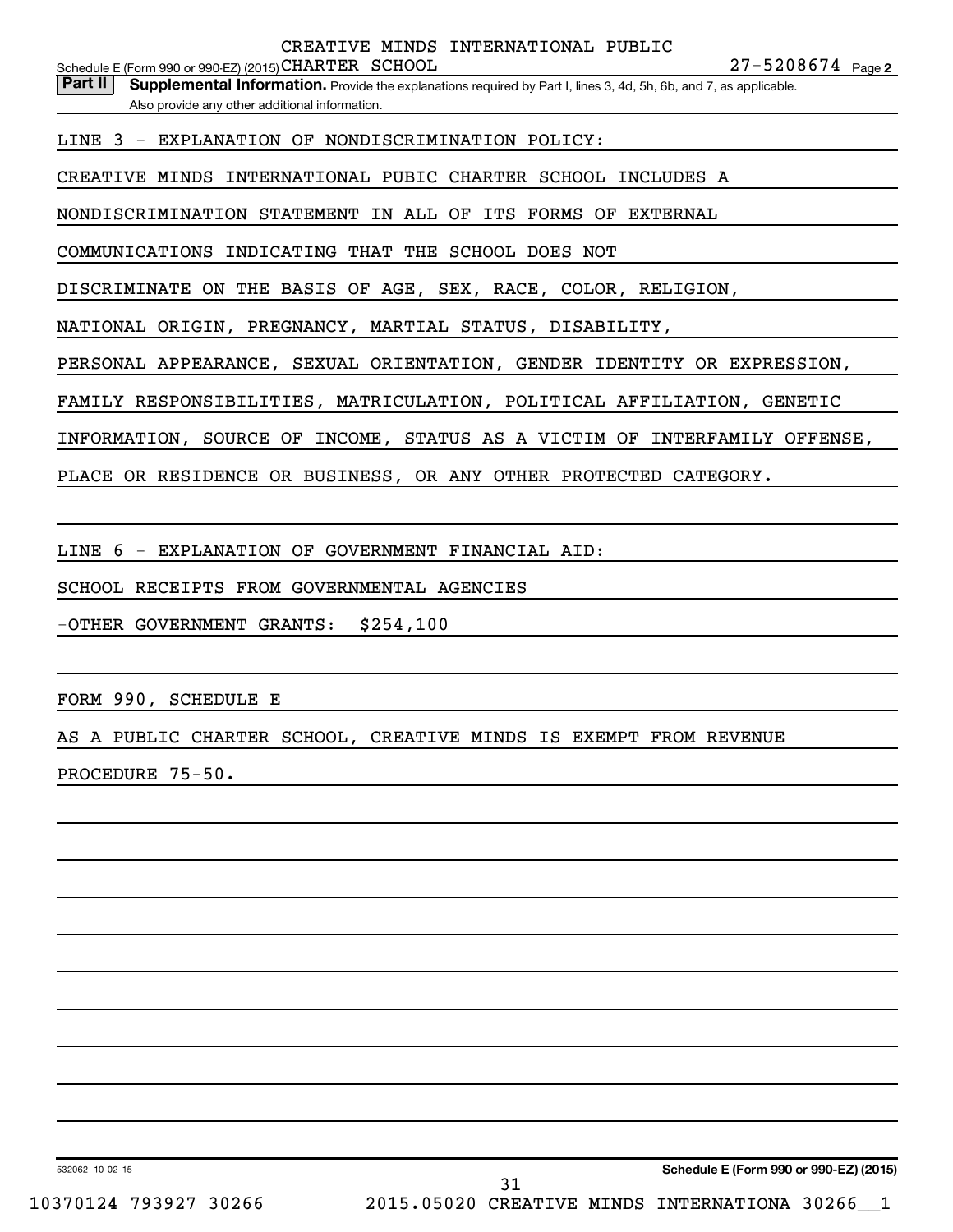Part II | Supplemental Information. Provide the explanations required by Part I, lines 3, 4d, 5h, 6b, and 7, as applicable. Also provide any other additional information.

LINE 3 - EXPLANATION OF NONDISCRIMINATION POLICY:

CREATIVE MINDS INTERNATIONAL PUBIC CHARTER SCHOOL INCLUDES A

NONDISCRIMINATION STATEMENT IN ALL OF ITS FORMS OF EXTERNAL

COMMUNICATIONS INDICATING THAT THE SCHOOL DOES NOT

DISCRIMINATE ON THE BASIS OF AGE, SEX, RACE, COLOR, RELIGION,

NATIONAL ORIGIN, PREGNANCY, MARTIAL STATUS, DISABILITY,

PERSONAL APPEARANCE, SEXUAL ORIENTATION, GENDER IDENTITY OR EXPRESSION,

FAMILY RESPONSIBILITIES, MATRICULATION, POLITICAL AFFILIATION, GENETIC

INFORMATION, SOURCE OF INCOME, STATUS AS A VICTIM OF INTERFAMILY OFFENSE,

PLACE OR RESIDENCE OR BUSINESS, OR ANY OTHER PROTECTED CATEGORY.

LINE 6 - EXPLANATION OF GOVERNMENT FINANCIAL AID:

SCHOOL RECEIPTS FROM GOVERNMENTAL AGENCIES

-OTHER GOVERNMENT GRANTS: \$254,100

FORM 990, SCHEDULE E

AS A PUBLIC CHARTER SCHOOL, CREATIVE MINDS IS EXEMPT FROM REVENUE

PROCEDURE 75-50.

532062 10-02-15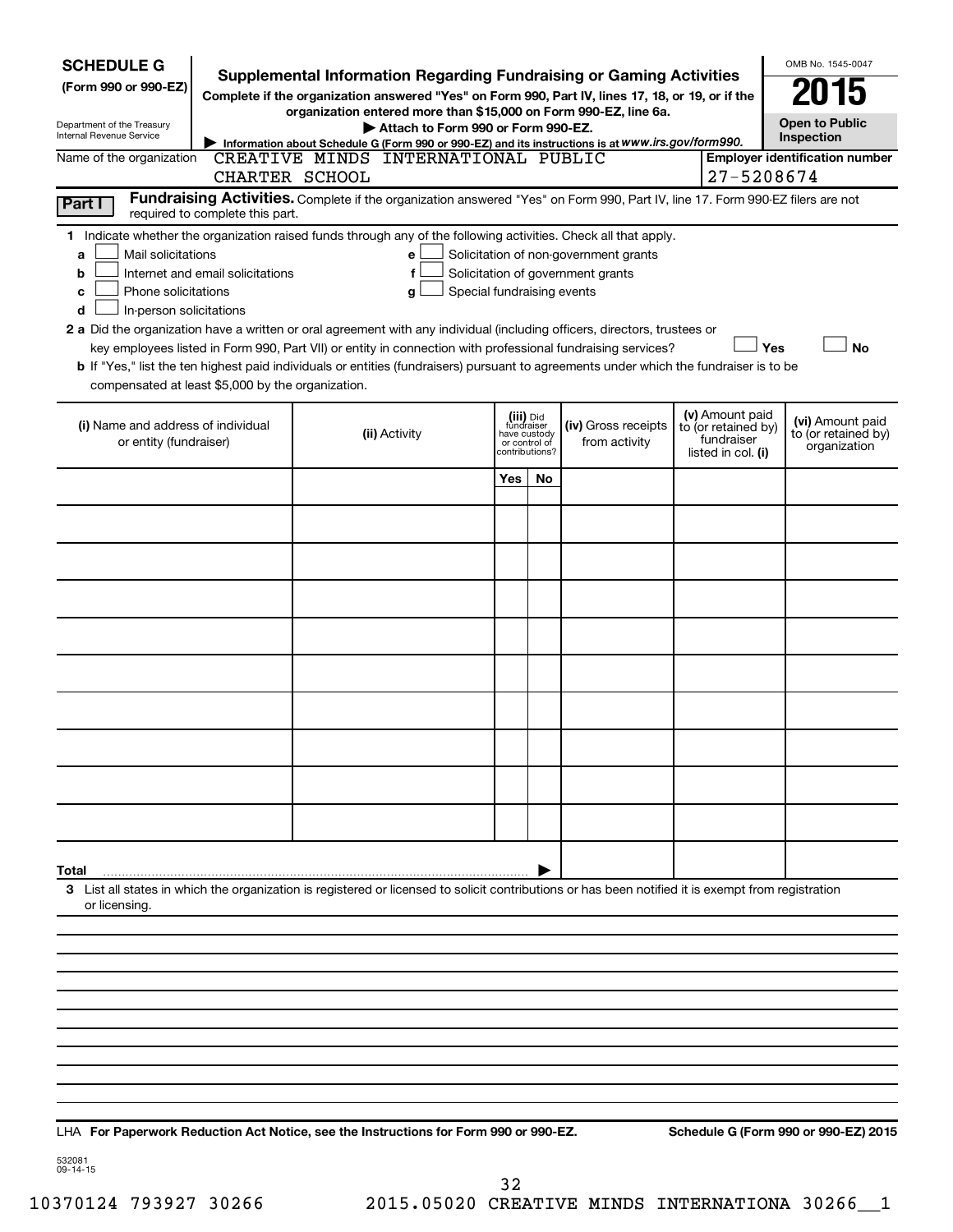| <b>SCHEDULE G</b><br><b>Supplemental Information Regarding Fundraising or Gaming Activities</b><br>(Form 990 or 990-EZ)<br>Complete if the organization answered "Yes" on Form 990, Part IV, lines 17, 18, or 19, or if the<br>organization entered more than \$15,000 on Form 990-EZ, line 6a.<br>Department of the Treasury<br>Attach to Form 990 or Form 990-EZ.<br>Internal Revenue Service<br>Information about Schedule G (Form 990 or 990-EZ) and its instructions is at WWW.irs.gov/form990.                                                                                                                                                                                                                                                                                                                                                                         |                |                                                                                                                                                    |                                                                            |     |                                      |  |                                                                            | OMB No. 1545-0047<br>N 15<br><b>Open to Public</b><br>Inspection |                                                         |  |
|------------------------------------------------------------------------------------------------------------------------------------------------------------------------------------------------------------------------------------------------------------------------------------------------------------------------------------------------------------------------------------------------------------------------------------------------------------------------------------------------------------------------------------------------------------------------------------------------------------------------------------------------------------------------------------------------------------------------------------------------------------------------------------------------------------------------------------------------------------------------------|----------------|----------------------------------------------------------------------------------------------------------------------------------------------------|----------------------------------------------------------------------------|-----|--------------------------------------|--|----------------------------------------------------------------------------|------------------------------------------------------------------|---------------------------------------------------------|--|
| Name of the organization                                                                                                                                                                                                                                                                                                                                                                                                                                                                                                                                                                                                                                                                                                                                                                                                                                                     | CHARTER SCHOOL | CREATIVE MINDS INTERNATIONAL PUBLIC                                                                                                                |                                                                            |     |                                      |  | 27-5208674                                                                 |                                                                  | <b>Employer identification number</b>                   |  |
| Part I                                                                                                                                                                                                                                                                                                                                                                                                                                                                                                                                                                                                                                                                                                                                                                                                                                                                       |                | Fundraising Activities. Complete if the organization answered "Yes" on Form 990, Part IV, line 17. Form 990-EZ filers are not                      |                                                                            |     |                                      |  |                                                                            |                                                                  |                                                         |  |
| required to complete this part.<br>1 Indicate whether the organization raised funds through any of the following activities. Check all that apply.<br>Mail solicitations<br>Solicitation of non-government grants<br>a<br>е<br>Internet and email solicitations<br>Solicitation of government grants<br>f<br>b<br>Phone solicitations<br>Special fundraising events<br>c<br>g<br>In-person solicitations<br>d<br>2 a Did the organization have a written or oral agreement with any individual (including officers, directors, trustees or<br>key employees listed in Form 990, Part VII) or entity in connection with professional fundraising services?<br>Yes<br><b>No</b><br>b If "Yes," list the ten highest paid individuals or entities (fundraisers) pursuant to agreements under which the fundraiser is to be<br>compensated at least \$5,000 by the organization. |                |                                                                                                                                                    |                                                                            |     |                                      |  |                                                                            |                                                                  |                                                         |  |
| (i) Name and address of individual<br>or entity (fundraiser)                                                                                                                                                                                                                                                                                                                                                                                                                                                                                                                                                                                                                                                                                                                                                                                                                 |                | (ii) Activity                                                                                                                                      | (iii) Did<br>fundraiser<br>have custody<br>or control of<br>contributions? |     | (iv) Gross receipts<br>from activity |  | (v) Amount paid<br>to (or retained by)<br>fundraiser<br>listed in col. (i) |                                                                  | (vi) Amount paid<br>to (or retained by)<br>organization |  |
|                                                                                                                                                                                                                                                                                                                                                                                                                                                                                                                                                                                                                                                                                                                                                                                                                                                                              |                |                                                                                                                                                    | Yes                                                                        | No. |                                      |  |                                                                            |                                                                  |                                                         |  |
|                                                                                                                                                                                                                                                                                                                                                                                                                                                                                                                                                                                                                                                                                                                                                                                                                                                                              |                |                                                                                                                                                    |                                                                            |     |                                      |  |                                                                            |                                                                  |                                                         |  |
|                                                                                                                                                                                                                                                                                                                                                                                                                                                                                                                                                                                                                                                                                                                                                                                                                                                                              |                |                                                                                                                                                    |                                                                            |     |                                      |  |                                                                            |                                                                  |                                                         |  |
|                                                                                                                                                                                                                                                                                                                                                                                                                                                                                                                                                                                                                                                                                                                                                                                                                                                                              |                |                                                                                                                                                    |                                                                            |     |                                      |  |                                                                            |                                                                  |                                                         |  |
|                                                                                                                                                                                                                                                                                                                                                                                                                                                                                                                                                                                                                                                                                                                                                                                                                                                                              |                |                                                                                                                                                    |                                                                            |     |                                      |  |                                                                            |                                                                  |                                                         |  |
|                                                                                                                                                                                                                                                                                                                                                                                                                                                                                                                                                                                                                                                                                                                                                                                                                                                                              |                |                                                                                                                                                    |                                                                            |     |                                      |  |                                                                            |                                                                  |                                                         |  |
|                                                                                                                                                                                                                                                                                                                                                                                                                                                                                                                                                                                                                                                                                                                                                                                                                                                                              |                |                                                                                                                                                    |                                                                            |     |                                      |  |                                                                            |                                                                  |                                                         |  |
|                                                                                                                                                                                                                                                                                                                                                                                                                                                                                                                                                                                                                                                                                                                                                                                                                                                                              |                |                                                                                                                                                    |                                                                            |     |                                      |  |                                                                            |                                                                  |                                                         |  |
|                                                                                                                                                                                                                                                                                                                                                                                                                                                                                                                                                                                                                                                                                                                                                                                                                                                                              |                |                                                                                                                                                    |                                                                            |     |                                      |  |                                                                            |                                                                  |                                                         |  |
|                                                                                                                                                                                                                                                                                                                                                                                                                                                                                                                                                                                                                                                                                                                                                                                                                                                                              |                |                                                                                                                                                    |                                                                            |     |                                      |  |                                                                            |                                                                  |                                                         |  |
|                                                                                                                                                                                                                                                                                                                                                                                                                                                                                                                                                                                                                                                                                                                                                                                                                                                                              |                |                                                                                                                                                    |                                                                            |     |                                      |  |                                                                            |                                                                  |                                                         |  |
| Total<br>or licensing.                                                                                                                                                                                                                                                                                                                                                                                                                                                                                                                                                                                                                                                                                                                                                                                                                                                       |                | 3 List all states in which the organization is registered or licensed to solicit contributions or has been notified it is exempt from registration |                                                                            |     |                                      |  |                                                                            |                                                                  |                                                         |  |
|                                                                                                                                                                                                                                                                                                                                                                                                                                                                                                                                                                                                                                                                                                                                                                                                                                                                              |                |                                                                                                                                                    |                                                                            |     |                                      |  |                                                                            |                                                                  |                                                         |  |
|                                                                                                                                                                                                                                                                                                                                                                                                                                                                                                                                                                                                                                                                                                                                                                                                                                                                              |                |                                                                                                                                                    |                                                                            |     |                                      |  |                                                                            |                                                                  |                                                         |  |
|                                                                                                                                                                                                                                                                                                                                                                                                                                                                                                                                                                                                                                                                                                                                                                                                                                                                              |                |                                                                                                                                                    |                                                                            |     |                                      |  |                                                                            |                                                                  |                                                         |  |
|                                                                                                                                                                                                                                                                                                                                                                                                                                                                                                                                                                                                                                                                                                                                                                                                                                                                              |                |                                                                                                                                                    |                                                                            |     |                                      |  |                                                                            |                                                                  |                                                         |  |
|                                                                                                                                                                                                                                                                                                                                                                                                                                                                                                                                                                                                                                                                                                                                                                                                                                                                              |                |                                                                                                                                                    |                                                                            |     |                                      |  |                                                                            |                                                                  |                                                         |  |
|                                                                                                                                                                                                                                                                                                                                                                                                                                                                                                                                                                                                                                                                                                                                                                                                                                                                              |                |                                                                                                                                                    |                                                                            |     |                                      |  |                                                                            |                                                                  |                                                         |  |
|                                                                                                                                                                                                                                                                                                                                                                                                                                                                                                                                                                                                                                                                                                                                                                                                                                                                              |                |                                                                                                                                                    |                                                                            |     |                                      |  |                                                                            |                                                                  |                                                         |  |

**For Paperwork Reduction Act Notice, see the Instructions for Form 990 or 990-EZ. Schedule G (Form 990 or 990-EZ) 2015** LHA

532081 09-14-15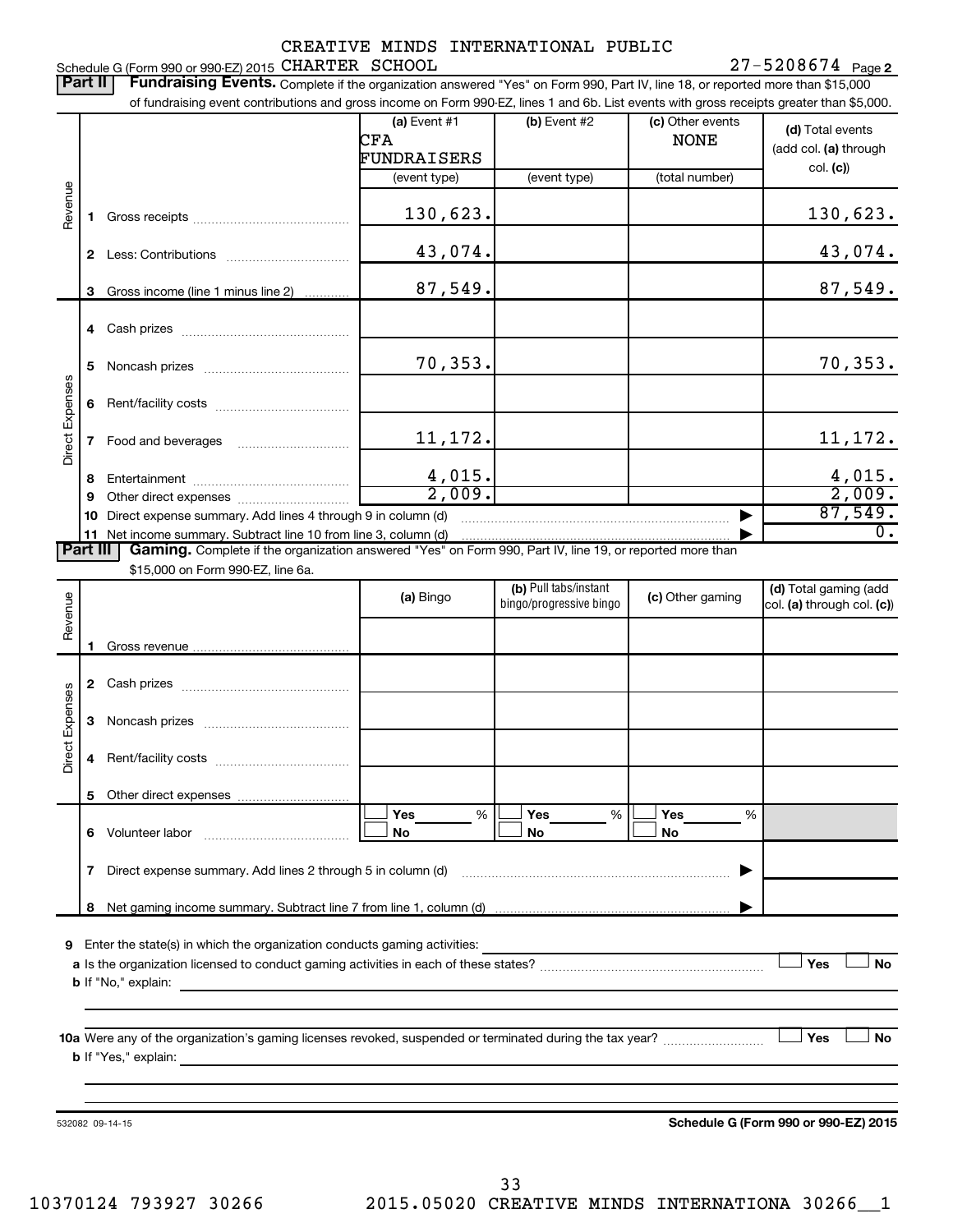#### 27-5208674 Page 2 Schedule G (Form 990 or 990-EZ) 2015 CHARTER SCHOOL Network and the second state of the Page of Page 1990 or 990-EZ) 2015 Of the SCHOOL SCHOOL SCHOOL SCHOOL SCHOOL SCHOOL SCHOOL SCHOOL SCHOOL SCHOOL SCHOOL SCHOOL SCHOOL SC CHARTER SCHOOL 27-5208674

| of fundraising event contributions and gross income on Form 990-EZ, lines 1 and 6b. List events with gross receipts greater than \$5,000.<br>$(b)$ Event #2<br>(a) Event #1<br>(c) Other events<br>(d) Total events<br>CFA<br><b>NONE</b><br>FUNDRAISERS<br>col. (c)<br>(total number)<br>(event type)<br>(event type)<br>Revenue<br>130,623.<br>1.<br>43,074.<br>$\mathbf{2}$<br>87,549.<br>Gross income (line 1 minus line 2)<br>3<br>70, 353.<br>5<br><b>Direct Expenses</b><br>6<br>11, 172.<br>7<br>$\frac{4,015.}{2,009.}$<br>8<br>9<br>87,549.<br>Direct expense summary. Add lines 4 through 9 in column (d)<br>10<br>11 Net income summary. Subtract line 10 from line 3, column (d)<br><b>Part III</b><br>Gaming. Complete if the organization answered "Yes" on Form 990, Part IV, line 19, or reported more than<br>\$15,000 on Form 990-EZ, line 6a.<br>(b) Pull tabs/instant<br>Revenue<br>(a) Bingo<br>(c) Other gaming<br>bingo/progressive bingo<br>Direct Expenses<br>3<br>5<br>Yes<br>%<br>Yes<br>%<br><b>Yes</b><br>%<br>No<br>No<br>No<br>7.<br>8<br>9 Enter the state(s) in which the organization conducts gaming activities:<br><b>Yes</b><br>Yes<br><b>b</b> If "Yes," explain:<br>Schedule G (Form 990 or 990-EZ) 2015<br>532082 09-14-15 | Part II | Fundraising Events. Complete if the organization answered "Yes" on Form 990, Part IV, line 18, or reported more than \$15,000 |  |                                                     |
|---------------------------------------------------------------------------------------------------------------------------------------------------------------------------------------------------------------------------------------------------------------------------------------------------------------------------------------------------------------------------------------------------------------------------------------------------------------------------------------------------------------------------------------------------------------------------------------------------------------------------------------------------------------------------------------------------------------------------------------------------------------------------------------------------------------------------------------------------------------------------------------------------------------------------------------------------------------------------------------------------------------------------------------------------------------------------------------------------------------------------------------------------------------------------------------------------------------------------------------------------------------------|---------|-------------------------------------------------------------------------------------------------------------------------------|--|-----------------------------------------------------|
|                                                                                                                                                                                                                                                                                                                                                                                                                                                                                                                                                                                                                                                                                                                                                                                                                                                                                                                                                                                                                                                                                                                                                                                                                                                                     |         |                                                                                                                               |  | (add col. (a) through                               |
|                                                                                                                                                                                                                                                                                                                                                                                                                                                                                                                                                                                                                                                                                                                                                                                                                                                                                                                                                                                                                                                                                                                                                                                                                                                                     |         |                                                                                                                               |  |                                                     |
|                                                                                                                                                                                                                                                                                                                                                                                                                                                                                                                                                                                                                                                                                                                                                                                                                                                                                                                                                                                                                                                                                                                                                                                                                                                                     |         |                                                                                                                               |  | 130,623.                                            |
|                                                                                                                                                                                                                                                                                                                                                                                                                                                                                                                                                                                                                                                                                                                                                                                                                                                                                                                                                                                                                                                                                                                                                                                                                                                                     |         |                                                                                                                               |  | 43,074.                                             |
|                                                                                                                                                                                                                                                                                                                                                                                                                                                                                                                                                                                                                                                                                                                                                                                                                                                                                                                                                                                                                                                                                                                                                                                                                                                                     |         |                                                                                                                               |  | 87,549.                                             |
|                                                                                                                                                                                                                                                                                                                                                                                                                                                                                                                                                                                                                                                                                                                                                                                                                                                                                                                                                                                                                                                                                                                                                                                                                                                                     |         |                                                                                                                               |  |                                                     |
|                                                                                                                                                                                                                                                                                                                                                                                                                                                                                                                                                                                                                                                                                                                                                                                                                                                                                                                                                                                                                                                                                                                                                                                                                                                                     |         |                                                                                                                               |  | 70, 353.                                            |
|                                                                                                                                                                                                                                                                                                                                                                                                                                                                                                                                                                                                                                                                                                                                                                                                                                                                                                                                                                                                                                                                                                                                                                                                                                                                     |         |                                                                                                                               |  |                                                     |
|                                                                                                                                                                                                                                                                                                                                                                                                                                                                                                                                                                                                                                                                                                                                                                                                                                                                                                                                                                                                                                                                                                                                                                                                                                                                     |         |                                                                                                                               |  | 11,172.                                             |
|                                                                                                                                                                                                                                                                                                                                                                                                                                                                                                                                                                                                                                                                                                                                                                                                                                                                                                                                                                                                                                                                                                                                                                                                                                                                     |         |                                                                                                                               |  | $\frac{4,015}{2,009}$                               |
|                                                                                                                                                                                                                                                                                                                                                                                                                                                                                                                                                                                                                                                                                                                                                                                                                                                                                                                                                                                                                                                                                                                                                                                                                                                                     |         |                                                                                                                               |  |                                                     |
|                                                                                                                                                                                                                                                                                                                                                                                                                                                                                                                                                                                                                                                                                                                                                                                                                                                                                                                                                                                                                                                                                                                                                                                                                                                                     |         |                                                                                                                               |  | $\overline{0}$ .                                    |
|                                                                                                                                                                                                                                                                                                                                                                                                                                                                                                                                                                                                                                                                                                                                                                                                                                                                                                                                                                                                                                                                                                                                                                                                                                                                     |         |                                                                                                                               |  |                                                     |
|                                                                                                                                                                                                                                                                                                                                                                                                                                                                                                                                                                                                                                                                                                                                                                                                                                                                                                                                                                                                                                                                                                                                                                                                                                                                     |         |                                                                                                                               |  |                                                     |
|                                                                                                                                                                                                                                                                                                                                                                                                                                                                                                                                                                                                                                                                                                                                                                                                                                                                                                                                                                                                                                                                                                                                                                                                                                                                     |         |                                                                                                                               |  | (d) Total gaming (add<br>col. (a) through col. (c)) |
|                                                                                                                                                                                                                                                                                                                                                                                                                                                                                                                                                                                                                                                                                                                                                                                                                                                                                                                                                                                                                                                                                                                                                                                                                                                                     |         |                                                                                                                               |  |                                                     |
|                                                                                                                                                                                                                                                                                                                                                                                                                                                                                                                                                                                                                                                                                                                                                                                                                                                                                                                                                                                                                                                                                                                                                                                                                                                                     |         |                                                                                                                               |  |                                                     |
|                                                                                                                                                                                                                                                                                                                                                                                                                                                                                                                                                                                                                                                                                                                                                                                                                                                                                                                                                                                                                                                                                                                                                                                                                                                                     |         |                                                                                                                               |  |                                                     |
|                                                                                                                                                                                                                                                                                                                                                                                                                                                                                                                                                                                                                                                                                                                                                                                                                                                                                                                                                                                                                                                                                                                                                                                                                                                                     |         |                                                                                                                               |  |                                                     |
|                                                                                                                                                                                                                                                                                                                                                                                                                                                                                                                                                                                                                                                                                                                                                                                                                                                                                                                                                                                                                                                                                                                                                                                                                                                                     |         |                                                                                                                               |  |                                                     |
|                                                                                                                                                                                                                                                                                                                                                                                                                                                                                                                                                                                                                                                                                                                                                                                                                                                                                                                                                                                                                                                                                                                                                                                                                                                                     |         |                                                                                                                               |  |                                                     |
|                                                                                                                                                                                                                                                                                                                                                                                                                                                                                                                                                                                                                                                                                                                                                                                                                                                                                                                                                                                                                                                                                                                                                                                                                                                                     |         |                                                                                                                               |  |                                                     |
|                                                                                                                                                                                                                                                                                                                                                                                                                                                                                                                                                                                                                                                                                                                                                                                                                                                                                                                                                                                                                                                                                                                                                                                                                                                                     |         |                                                                                                                               |  |                                                     |
|                                                                                                                                                                                                                                                                                                                                                                                                                                                                                                                                                                                                                                                                                                                                                                                                                                                                                                                                                                                                                                                                                                                                                                                                                                                                     |         |                                                                                                                               |  |                                                     |
|                                                                                                                                                                                                                                                                                                                                                                                                                                                                                                                                                                                                                                                                                                                                                                                                                                                                                                                                                                                                                                                                                                                                                                                                                                                                     |         |                                                                                                                               |  | <b>No</b>                                           |
|                                                                                                                                                                                                                                                                                                                                                                                                                                                                                                                                                                                                                                                                                                                                                                                                                                                                                                                                                                                                                                                                                                                                                                                                                                                                     |         |                                                                                                                               |  |                                                     |
|                                                                                                                                                                                                                                                                                                                                                                                                                                                                                                                                                                                                                                                                                                                                                                                                                                                                                                                                                                                                                                                                                                                                                                                                                                                                     |         |                                                                                                                               |  | <b>No</b>                                           |
|                                                                                                                                                                                                                                                                                                                                                                                                                                                                                                                                                                                                                                                                                                                                                                                                                                                                                                                                                                                                                                                                                                                                                                                                                                                                     |         |                                                                                                                               |  |                                                     |

33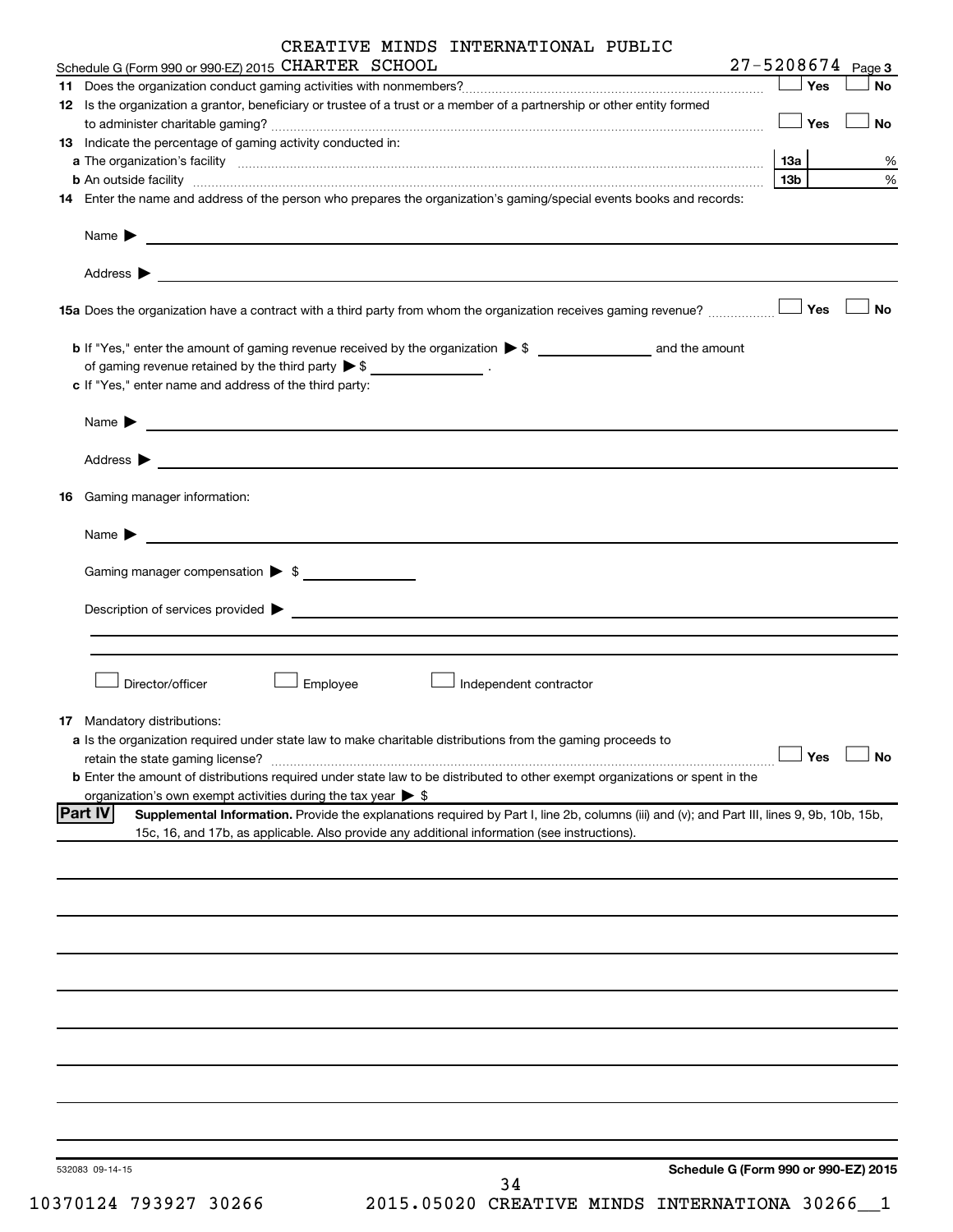|    | CREATIVE MINDS INTERNATIONAL PUBLIC                                                                                                                                                                                                           |                 |     |                       |
|----|-----------------------------------------------------------------------------------------------------------------------------------------------------------------------------------------------------------------------------------------------|-----------------|-----|-----------------------|
|    | Schedule G (Form 990 or 990-EZ) 2015 CHARTER SCHOOL                                                                                                                                                                                           |                 |     | $27 - 5208674$ Page 3 |
|    |                                                                                                                                                                                                                                               |                 | Yes | No                    |
|    | 12 Is the organization a grantor, beneficiary or trustee of a trust or a member of a partnership or other entity formed                                                                                                                       |                 | Yes | No                    |
|    | <b>13</b> Indicate the percentage of gaming activity conducted in:                                                                                                                                                                            |                 |     |                       |
|    | a The organization's facility www.communication.communications are produced as the organization's facility www.communications and a strategy of the strategy of the strategy of the strategy of the strategy of the strategy o                | <b>13a</b>      |     | %                     |
|    |                                                                                                                                                                                                                                               | 13 <sub>b</sub> |     | %                     |
|    | 14 Enter the name and address of the person who prepares the organization's gaming/special events books and records:                                                                                                                          |                 |     |                       |
|    | Name $\blacktriangleright$<br><u> 1989 - Johann Barbara, martin amerikan basal dan berasal dan berasal dan berasal dari berasal dan berasal dan</u>                                                                                           |                 |     |                       |
|    |                                                                                                                                                                                                                                               |                 |     | <b>No</b>             |
|    |                                                                                                                                                                                                                                               |                 |     |                       |
|    | of gaming revenue retained by the third party $\triangleright$ \$ __________________.                                                                                                                                                         |                 |     |                       |
|    | c If "Yes," enter name and address of the third party:                                                                                                                                                                                        |                 |     |                       |
|    |                                                                                                                                                                                                                                               |                 |     |                       |
|    | Name $\blacktriangleright$<br><u> 1989 - Johann John Stone, markin f</u>                                                                                                                                                                      |                 |     |                       |
|    |                                                                                                                                                                                                                                               |                 |     |                       |
| 16 | Gaming manager information:                                                                                                                                                                                                                   |                 |     |                       |
|    | Name $\blacktriangleright$<br><u> 1980 - Johann Barbara, martin amerikan basal dan berasal dan berasal dalam basal dan berasal dan berasal dan</u>                                                                                            |                 |     |                       |
|    | Gaming manager compensation > \$                                                                                                                                                                                                              |                 |     |                       |
|    | Description of services provided > example and the contract of the services provided > example and the contract of the contract of the contract of the contract of the contract of the contract of the contract of the contrac                |                 |     |                       |
|    |                                                                                                                                                                                                                                               |                 |     |                       |
|    | Director/officer<br>Employee<br>Independent contractor                                                                                                                                                                                        |                 |     |                       |
|    | <b>17</b> Mandatory distributions:                                                                                                                                                                                                            |                 |     |                       |
|    | a Is the organization required under state law to make charitable distributions from the gaming proceeds to                                                                                                                                   |                 |     |                       |
|    | retain the state gaming license?                                                                                                                                                                                                              |                 | Yes | No                    |
|    | b Enter the amount of distributions required under state law to be distributed to other exempt organizations or spent in the                                                                                                                  |                 |     |                       |
|    | organization's own exempt activities during the tax year $\triangleright$ \$<br><b>Part IV</b><br>Supplemental Information. Provide the explanations required by Part I, line 2b, columns (iii) and (v); and Part III, lines 9, 9b, 10b, 15b, |                 |     |                       |
|    | 15c, 16, and 17b, as applicable. Also provide any additional information (see instructions).                                                                                                                                                  |                 |     |                       |
|    |                                                                                                                                                                                                                                               |                 |     |                       |
|    |                                                                                                                                                                                                                                               |                 |     |                       |
|    |                                                                                                                                                                                                                                               |                 |     |                       |
|    |                                                                                                                                                                                                                                               |                 |     |                       |
|    |                                                                                                                                                                                                                                               |                 |     |                       |
|    |                                                                                                                                                                                                                                               |                 |     |                       |
|    |                                                                                                                                                                                                                                               |                 |     |                       |
|    |                                                                                                                                                                                                                                               |                 |     |                       |
|    |                                                                                                                                                                                                                                               |                 |     |                       |
|    | Schedule G (Form 990 or 990-EZ) 2015<br>532083 09-14-15<br>ו כ                                                                                                                                                                                |                 |     |                       |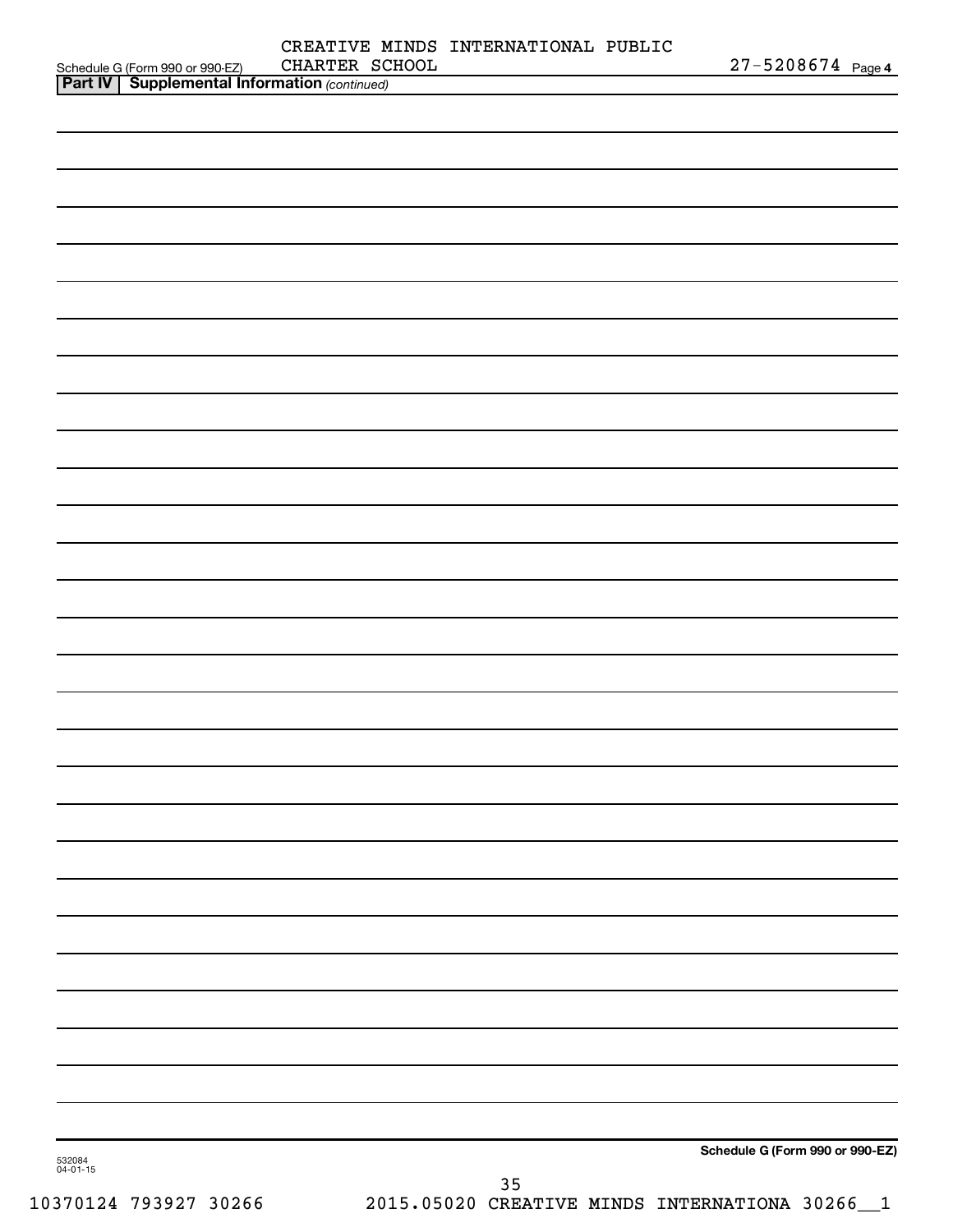|                                                                                                      | CHARTER SCHOOL | CREATIVE MINDS INTERNATIONAL PUBLIC |                                 |
|------------------------------------------------------------------------------------------------------|----------------|-------------------------------------|---------------------------------|
| Schedule G (Form 990 or 990-EZ) CHARTER SC.<br><b>Part IV   Supplemental Information</b> (continued) |                |                                     | $27 - 5208674$ Page 4           |
|                                                                                                      |                |                                     |                                 |
|                                                                                                      |                |                                     |                                 |
|                                                                                                      |                |                                     |                                 |
|                                                                                                      |                |                                     |                                 |
|                                                                                                      |                |                                     |                                 |
|                                                                                                      |                |                                     |                                 |
|                                                                                                      |                |                                     |                                 |
|                                                                                                      |                |                                     |                                 |
|                                                                                                      |                |                                     |                                 |
|                                                                                                      |                |                                     |                                 |
|                                                                                                      |                |                                     |                                 |
|                                                                                                      |                |                                     |                                 |
|                                                                                                      |                |                                     |                                 |
|                                                                                                      |                |                                     |                                 |
|                                                                                                      |                |                                     |                                 |
|                                                                                                      |                |                                     |                                 |
|                                                                                                      |                |                                     |                                 |
|                                                                                                      |                |                                     |                                 |
|                                                                                                      |                |                                     |                                 |
|                                                                                                      |                |                                     |                                 |
|                                                                                                      |                |                                     |                                 |
|                                                                                                      |                |                                     |                                 |
|                                                                                                      |                |                                     |                                 |
|                                                                                                      |                |                                     |                                 |
|                                                                                                      |                |                                     |                                 |
|                                                                                                      |                |                                     |                                 |
|                                                                                                      |                |                                     |                                 |
|                                                                                                      |                |                                     |                                 |
|                                                                                                      |                |                                     |                                 |
|                                                                                                      |                |                                     |                                 |
|                                                                                                      |                |                                     |                                 |
|                                                                                                      |                |                                     |                                 |
|                                                                                                      |                |                                     |                                 |
|                                                                                                      |                |                                     |                                 |
|                                                                                                      |                |                                     |                                 |
|                                                                                                      |                |                                     |                                 |
|                                                                                                      |                |                                     |                                 |
|                                                                                                      |                |                                     |                                 |
|                                                                                                      |                |                                     |                                 |
|                                                                                                      |                |                                     |                                 |
|                                                                                                      |                |                                     |                                 |
|                                                                                                      |                |                                     | Schedule G (Form 990 or 990-EZ) |
| 532084<br>$04 - 01 - 15$                                                                             |                |                                     |                                 |
|                                                                                                      |                | 35                                  |                                 |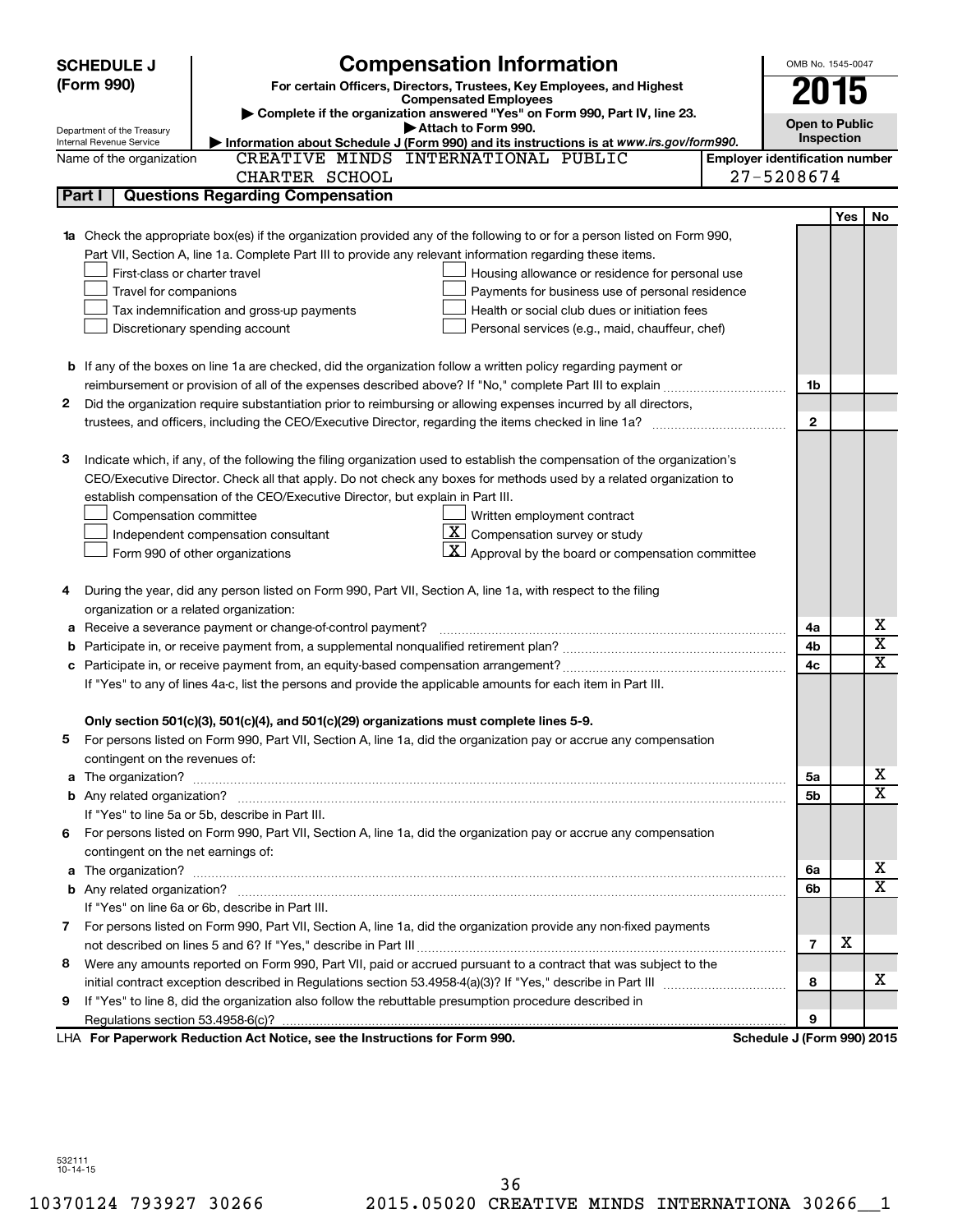|    | <b>Compensation Information</b><br><b>SCHEDULE J</b> |                                                                                                                           |                                       | OMB No. 1545-0047          |     |             |
|----|------------------------------------------------------|---------------------------------------------------------------------------------------------------------------------------|---------------------------------------|----------------------------|-----|-------------|
|    | (Form 990)                                           | For certain Officers, Directors, Trustees, Key Employees, and Highest                                                     |                                       | 2015                       |     |             |
|    |                                                      | <b>Compensated Employees</b><br>Complete if the organization answered "Yes" on Form 990, Part IV, line 23.                |                                       |                            |     |             |
|    | Department of the Treasury                           | Attach to Form 990.                                                                                                       |                                       | <b>Open to Public</b>      |     |             |
|    | Internal Revenue Service                             | Information about Schedule J (Form 990) and its instructions is at www.irs.gov/form990.                                   |                                       | Inspection                 |     |             |
|    | Name of the organization                             | CREATIVE MINDS INTERNATIONAL PUBLIC                                                                                       | <b>Employer identification number</b> |                            |     |             |
|    |                                                      | CHARTER SCHOOL                                                                                                            |                                       | 27-5208674                 |     |             |
|    | Part I                                               | <b>Questions Regarding Compensation</b>                                                                                   |                                       |                            |     |             |
|    |                                                      |                                                                                                                           |                                       |                            | Yes | No          |
|    |                                                      | 1a Check the appropriate box(es) if the organization provided any of the following to or for a person listed on Form 990, |                                       |                            |     |             |
|    |                                                      | Part VII, Section A, line 1a. Complete Part III to provide any relevant information regarding these items.                |                                       |                            |     |             |
|    | First-class or charter travel                        | Housing allowance or residence for personal use                                                                           |                                       |                            |     |             |
|    | Travel for companions                                | Payments for business use of personal residence                                                                           |                                       |                            |     |             |
|    |                                                      | Tax indemnification and gross-up payments<br>Health or social club dues or initiation fees                                |                                       |                            |     |             |
|    |                                                      | Discretionary spending account<br>Personal services (e.g., maid, chauffeur, chef)                                         |                                       |                            |     |             |
|    |                                                      |                                                                                                                           |                                       |                            |     |             |
|    |                                                      | <b>b</b> If any of the boxes on line 1a are checked, did the organization follow a written policy regarding payment or    |                                       |                            |     |             |
|    |                                                      |                                                                                                                           |                                       | 1b                         |     |             |
| 2  |                                                      | Did the organization require substantiation prior to reimbursing or allowing expenses incurred by all directors,          |                                       |                            |     |             |
|    |                                                      |                                                                                                                           |                                       | $\mathbf{2}$               |     |             |
|    |                                                      |                                                                                                                           |                                       |                            |     |             |
| з  |                                                      | Indicate which, if any, of the following the filing organization used to establish the compensation of the organization's |                                       |                            |     |             |
|    |                                                      | CEO/Executive Director. Check all that apply. Do not check any boxes for methods used by a related organization to        |                                       |                            |     |             |
|    |                                                      | establish compensation of the CEO/Executive Director, but explain in Part III.                                            |                                       |                            |     |             |
|    | Compensation committee                               | Written employment contract                                                                                               |                                       |                            |     |             |
|    |                                                      | $ \mathbf{X} $ Compensation survey or study<br>Independent compensation consultant                                        |                                       |                            |     |             |
|    |                                                      | $ \mathbf{X} $ Approval by the board or compensation committee<br>Form 990 of other organizations                         |                                       |                            |     |             |
| 4  |                                                      | During the year, did any person listed on Form 990, Part VII, Section A, line 1a, with respect to the filing              |                                       |                            |     |             |
|    | organization or a related organization:              |                                                                                                                           |                                       |                            |     |             |
| а  |                                                      | Receive a severance payment or change-of-control payment?                                                                 |                                       | 4a                         |     | х           |
| b  |                                                      |                                                                                                                           |                                       | 4b                         |     | х           |
|    |                                                      |                                                                                                                           |                                       | 4c                         |     | $\mathbf x$ |
|    |                                                      | If "Yes" to any of lines 4a-c, list the persons and provide the applicable amounts for each item in Part III.             |                                       |                            |     |             |
|    |                                                      |                                                                                                                           |                                       |                            |     |             |
|    |                                                      | Only section 501(c)(3), 501(c)(4), and 501(c)(29) organizations must complete lines 5-9.                                  |                                       |                            |     |             |
|    |                                                      | For persons listed on Form 990, Part VII, Section A, line 1a, did the organization pay or accrue any compensation         |                                       |                            |     |             |
|    | contingent on the revenues of:                       |                                                                                                                           |                                       |                            |     |             |
|    |                                                      |                                                                                                                           |                                       | 5а                         |     | х           |
|    |                                                      |                                                                                                                           |                                       | 5b                         |     | x           |
|    |                                                      | If "Yes" to line 5a or 5b, describe in Part III.                                                                          |                                       |                            |     |             |
| 6. |                                                      | For persons listed on Form 990, Part VII, Section A, line 1a, did the organization pay or accrue any compensation         |                                       |                            |     |             |
|    | contingent on the net earnings of:                   |                                                                                                                           |                                       |                            |     |             |
|    |                                                      |                                                                                                                           |                                       | 6a                         |     | х           |
|    |                                                      |                                                                                                                           |                                       | 6b                         |     | x           |
|    |                                                      | If "Yes" on line 6a or 6b, describe in Part III.                                                                          |                                       |                            |     |             |
|    |                                                      | 7 For persons listed on Form 990, Part VII, Section A, line 1a, did the organization provide any non-fixed payments       |                                       |                            |     |             |
|    |                                                      |                                                                                                                           |                                       | $\overline{7}$             | х   |             |
| 8  |                                                      | Were any amounts reported on Form 990, Part VII, paid or accrued pursuant to a contract that was subject to the           |                                       |                            |     |             |
|    |                                                      |                                                                                                                           |                                       | 8                          |     | х           |
| 9  |                                                      | If "Yes" to line 8, did the organization also follow the rebuttable presumption procedure described in                    |                                       |                            |     |             |
|    |                                                      |                                                                                                                           |                                       | 9                          |     |             |
|    |                                                      | LHA For Paperwork Reduction Act Notice, see the Instructions for Form 990.                                                |                                       | Schedule J (Form 990) 2015 |     |             |

532111 10-14-15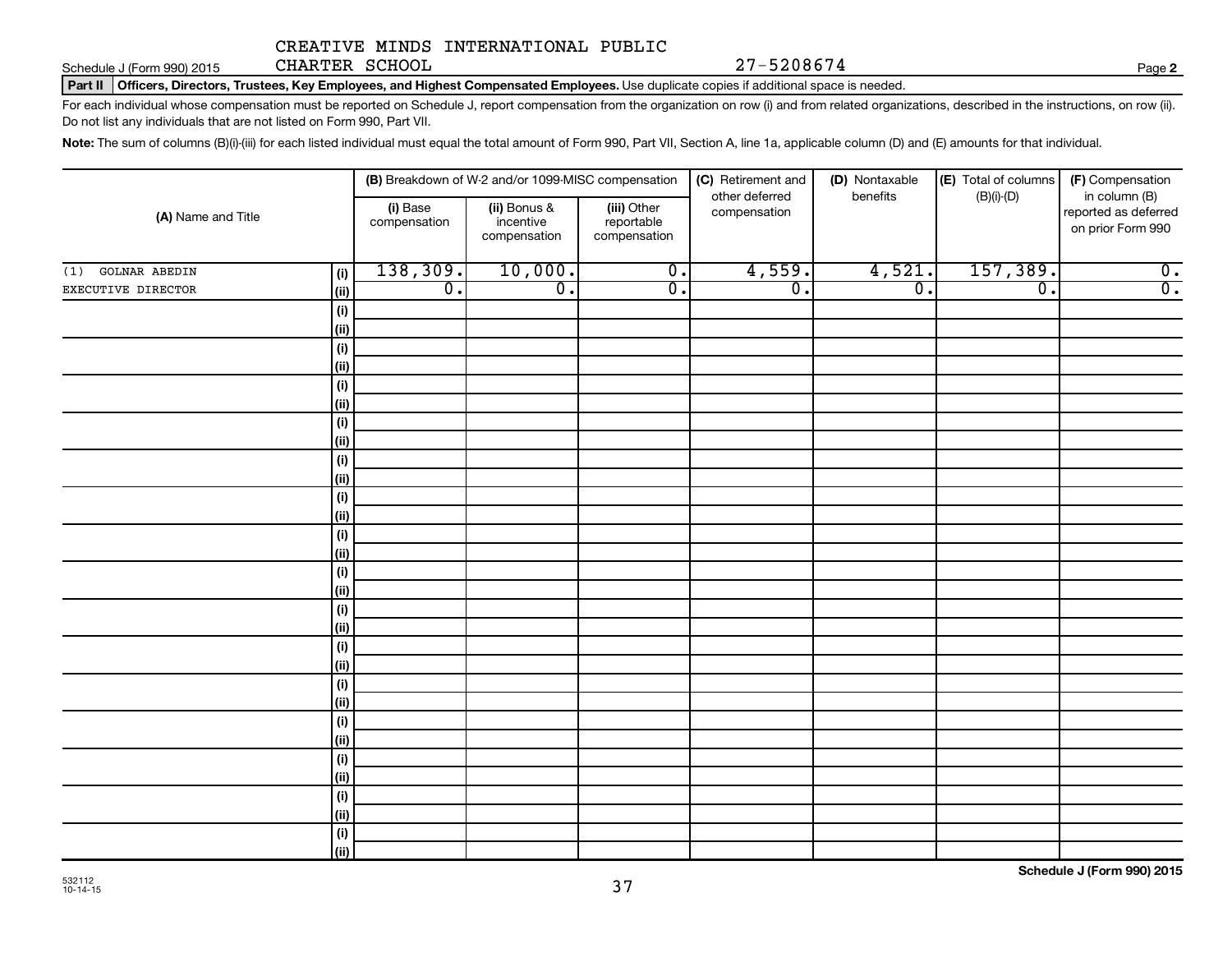Schedule J (Form 990) 2015 CHARTER SCHOOL Page Page 27-5208674

**2**

Part II | Officers, Directors, Trustees, Key Employees, and Highest Compensated Employees. Use duplicate copies if additional space is needed.

For each individual whose compensation must be reported on Schedule J, report compensation from the organization on row (i) and from related organizations, described in the instructions, on row (ii). Do not list any individuals that are not listed on Form 990, Part VII.

Note: The sum of columns (B)(i)-(iii) for each listed individual must equal the total amount of Form 990, Part VII, Section A, line 1a, applicable column (D) and (E) amounts for that individual.

|                                    | (B) Breakdown of W-2 and/or 1099-MISC compensation |                                           |                                           | (C) Retirement and             | (D) Nontaxable   | (E) Total of columns | (F) Compensation                                           |
|------------------------------------|----------------------------------------------------|-------------------------------------------|-------------------------------------------|--------------------------------|------------------|----------------------|------------------------------------------------------------|
| (A) Name and Title                 | (i) Base<br>compensation                           | (ii) Bonus &<br>incentive<br>compensation | (iii) Other<br>reportable<br>compensation | other deferred<br>compensation | benefits         | $(B)(i)-(D)$         | in column (B)<br>reported as deferred<br>on prior Form 990 |
| <b>GOLNAR ABEDIN</b><br>(i)<br>(1) | 138,309.                                           | 10,000.                                   | $\overline{0}$ .                          | 4,559.                         | 4,521.           | 157,389.             | $\overline{0}$ .                                           |
| EXECUTIVE DIRECTOR<br>(ii)         | $\overline{0}$ .                                   | $\overline{\mathfrak{o}}$ .               | $\overline{0}$ .                          | $\overline{0}$ .               | $\overline{0}$ . | $\overline{0}$ .     | $\overline{0}$ .                                           |
| (i)                                |                                                    |                                           |                                           |                                |                  |                      |                                                            |
| (ii)                               |                                                    |                                           |                                           |                                |                  |                      |                                                            |
| (i)                                |                                                    |                                           |                                           |                                |                  |                      |                                                            |
| (ii)                               |                                                    |                                           |                                           |                                |                  |                      |                                                            |
| (i)                                |                                                    |                                           |                                           |                                |                  |                      |                                                            |
| (ii)                               |                                                    |                                           |                                           |                                |                  |                      |                                                            |
| (i)                                |                                                    |                                           |                                           |                                |                  |                      |                                                            |
| (ii)                               |                                                    |                                           |                                           |                                |                  |                      |                                                            |
| (i)                                |                                                    |                                           |                                           |                                |                  |                      |                                                            |
| (ii)                               |                                                    |                                           |                                           |                                |                  |                      |                                                            |
| (i)                                |                                                    |                                           |                                           |                                |                  |                      |                                                            |
| (ii)                               |                                                    |                                           |                                           |                                |                  |                      |                                                            |
| (i)                                |                                                    |                                           |                                           |                                |                  |                      |                                                            |
| (ii)                               |                                                    |                                           |                                           |                                |                  |                      |                                                            |
| (i)                                |                                                    |                                           |                                           |                                |                  |                      |                                                            |
| $\vert$ (ii)                       |                                                    |                                           |                                           |                                |                  |                      |                                                            |
| (i)                                |                                                    |                                           |                                           |                                |                  |                      |                                                            |
| $\vert$ (ii)                       |                                                    |                                           |                                           |                                |                  |                      |                                                            |
| (i)<br>$\vert$ (ii)                |                                                    |                                           |                                           |                                |                  |                      |                                                            |
| (i)                                |                                                    |                                           |                                           |                                |                  |                      |                                                            |
| $\vert$ (ii)                       |                                                    |                                           |                                           |                                |                  |                      |                                                            |
| (i)                                |                                                    |                                           |                                           |                                |                  |                      |                                                            |
| $\vert$ (ii)                       |                                                    |                                           |                                           |                                |                  |                      |                                                            |
| (i)                                |                                                    |                                           |                                           |                                |                  |                      |                                                            |
| $\vert$ (ii)                       |                                                    |                                           |                                           |                                |                  |                      |                                                            |
| (i)                                |                                                    |                                           |                                           |                                |                  |                      |                                                            |
| (ii)                               |                                                    |                                           |                                           |                                |                  |                      |                                                            |
| (i)                                |                                                    |                                           |                                           |                                |                  |                      |                                                            |
| (iii)                              |                                                    |                                           |                                           |                                |                  |                      |                                                            |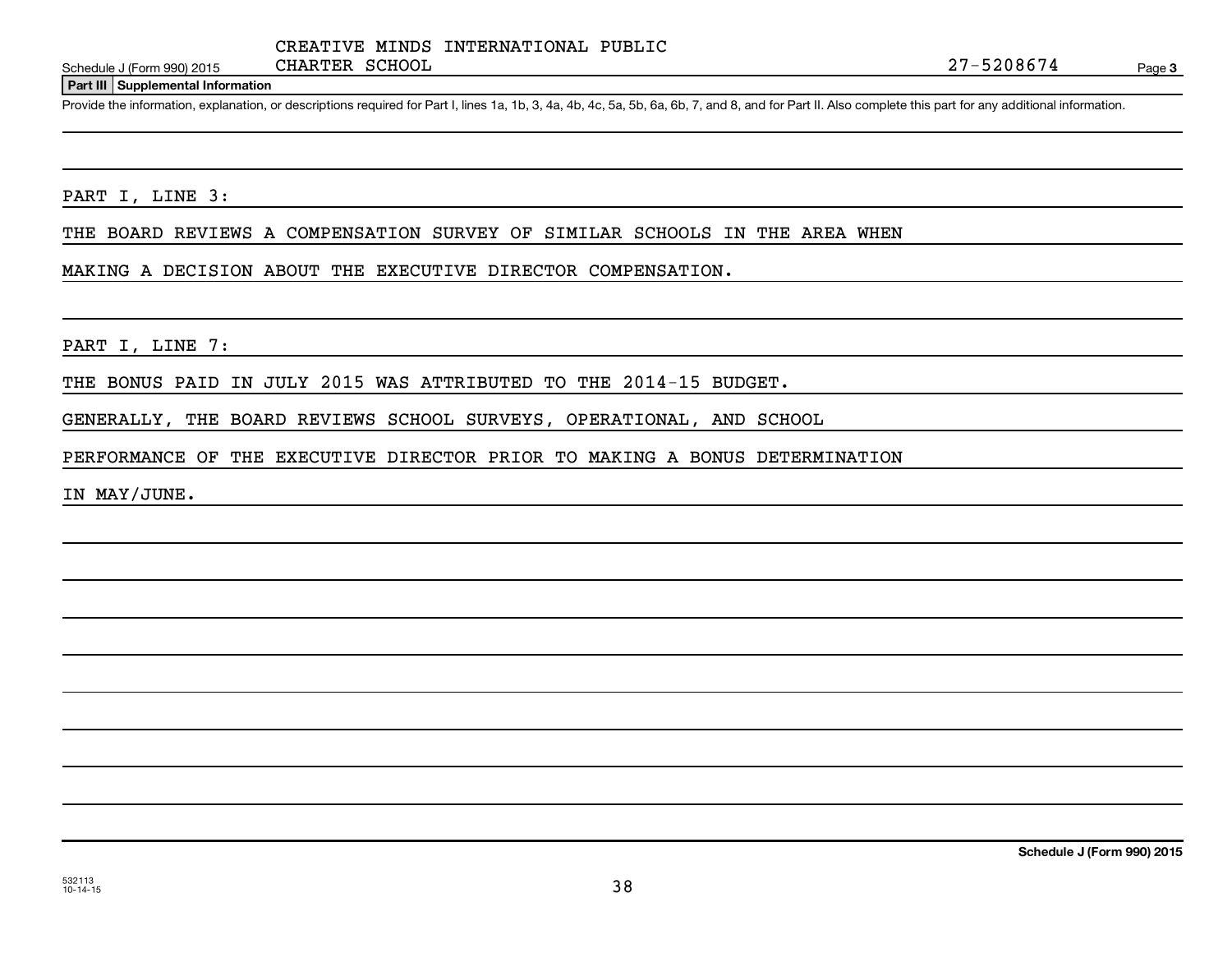#### **Part III Supplemental Information**

Provide the information, explanation, or descriptions required for Part I, lines 1a, 1b, 3, 4a, 4b, 4c, 5a, 5b, 6a, 6b, 7, and 8, and for Part II. Also complete this part for any additional information.

#### PART I, LINE 3:

THE BOARD REVIEWS A COMPENSATION SURVEY OF SIMILAR SCHOOLS IN THE AREA WHEN

#### MAKING A DECISION ABOUT THE EXECUTIVE DIRECTOR COMPENSATION.

#### PART I, LINE 7:

THE BONUS PAID IN JULY 2015 WAS ATTRIBUTED TO THE 2014-15 BUDGET.

GENERALLY, THE BOARD REVIEWS SCHOOL SURVEYS, OPERATIONAL, AND SCHOOL

PERFORMANCE OF THE EXECUTIVE DIRECTOR PRIOR TO MAKING A BONUS DETERMINATION

IN MAY/JUNE.

**Schedule J (Form 990) 2015**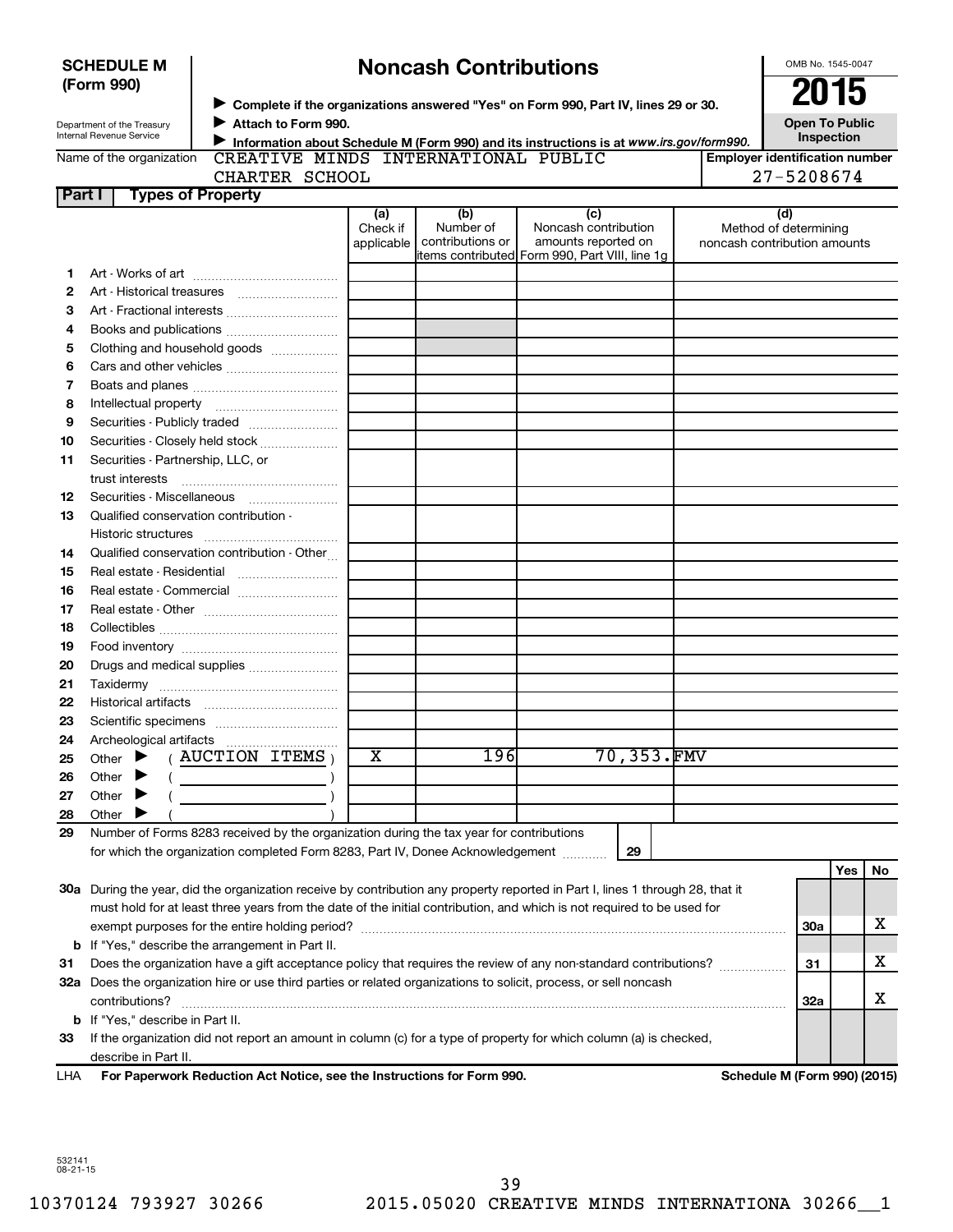|          | (Form 990)                                                                                                                                                 |                                                                                                                                |                         |                               |                                                                                                |                                                     | 2015                                                  |     |                       |
|----------|------------------------------------------------------------------------------------------------------------------------------------------------------------|--------------------------------------------------------------------------------------------------------------------------------|-------------------------|-------------------------------|------------------------------------------------------------------------------------------------|-----------------------------------------------------|-------------------------------------------------------|-----|-----------------------|
|          |                                                                                                                                                            |                                                                                                                                |                         |                               | Complete if the organizations answered "Yes" on Form 990, Part IV, lines 29 or 30.             |                                                     |                                                       |     |                       |
|          | Attach to Form 990.<br>Department of the Treasury<br><b>Internal Revenue Service</b>                                                                       |                                                                                                                                |                         |                               |                                                                                                |                                                     |                                                       |     | <b>Open To Public</b> |
|          | Information about Schedule M (Form 990) and its instructions is at www.irs.gov/form990.<br>CREATIVE MINDS INTERNATIONAL PUBLIC<br>Name of the organization |                                                                                                                                |                         |                               |                                                                                                |                                                     | Inspection                                            |     |                       |
|          |                                                                                                                                                            |                                                                                                                                |                         |                               |                                                                                                | <b>Employer identification number</b><br>27-5208674 |                                                       |     |                       |
| Part I   |                                                                                                                                                            | CHARTER SCHOOL<br><b>Types of Property</b>                                                                                     |                         |                               |                                                                                                |                                                     |                                                       |     |                       |
|          |                                                                                                                                                            |                                                                                                                                | (a)                     | (b)                           | (c)                                                                                            |                                                     | (d)                                                   |     |                       |
|          |                                                                                                                                                            |                                                                                                                                | Check if<br>applicable  | Number of<br>contributions or | Noncash contribution<br>amounts reported on<br>litems contributed Form 990, Part VIII, line 1g |                                                     | Method of determining<br>noncash contribution amounts |     |                       |
| 1.       |                                                                                                                                                            |                                                                                                                                |                         |                               |                                                                                                |                                                     |                                                       |     |                       |
| 2        |                                                                                                                                                            |                                                                                                                                |                         |                               |                                                                                                |                                                     |                                                       |     |                       |
| з        |                                                                                                                                                            |                                                                                                                                |                         |                               |                                                                                                |                                                     |                                                       |     |                       |
| 4        |                                                                                                                                                            |                                                                                                                                |                         |                               |                                                                                                |                                                     |                                                       |     |                       |
| 5        |                                                                                                                                                            | Clothing and household goods                                                                                                   |                         |                               |                                                                                                |                                                     |                                                       |     |                       |
| 6        |                                                                                                                                                            |                                                                                                                                |                         |                               |                                                                                                |                                                     |                                                       |     |                       |
| 7        |                                                                                                                                                            |                                                                                                                                |                         |                               |                                                                                                |                                                     |                                                       |     |                       |
| 8        |                                                                                                                                                            |                                                                                                                                |                         |                               |                                                                                                |                                                     |                                                       |     |                       |
| 9        |                                                                                                                                                            |                                                                                                                                |                         |                               |                                                                                                |                                                     |                                                       |     |                       |
| 10       |                                                                                                                                                            | Securities - Closely held stock                                                                                                |                         |                               |                                                                                                |                                                     |                                                       |     |                       |
| 11       |                                                                                                                                                            | Securities - Partnership, LLC, or                                                                                              |                         |                               |                                                                                                |                                                     |                                                       |     |                       |
|          | trust interests                                                                                                                                            |                                                                                                                                |                         |                               |                                                                                                |                                                     |                                                       |     |                       |
| 12       |                                                                                                                                                            | Securities - Miscellaneous                                                                                                     |                         |                               |                                                                                                |                                                     |                                                       |     |                       |
| 13       |                                                                                                                                                            | Qualified conservation contribution -                                                                                          |                         |                               |                                                                                                |                                                     |                                                       |     |                       |
|          |                                                                                                                                                            |                                                                                                                                |                         |                               |                                                                                                |                                                     |                                                       |     |                       |
| 14       |                                                                                                                                                            | Qualified conservation contribution - Other                                                                                    |                         |                               |                                                                                                |                                                     |                                                       |     |                       |
| 15       |                                                                                                                                                            |                                                                                                                                |                         |                               |                                                                                                |                                                     |                                                       |     |                       |
| 16       |                                                                                                                                                            |                                                                                                                                |                         |                               |                                                                                                |                                                     |                                                       |     |                       |
| 17       |                                                                                                                                                            |                                                                                                                                |                         |                               |                                                                                                |                                                     |                                                       |     |                       |
| 18       |                                                                                                                                                            |                                                                                                                                |                         |                               |                                                                                                |                                                     |                                                       |     |                       |
| 19<br>20 |                                                                                                                                                            |                                                                                                                                |                         |                               |                                                                                                |                                                     |                                                       |     |                       |
| 21       |                                                                                                                                                            | Drugs and medical supplies                                                                                                     |                         |                               |                                                                                                |                                                     |                                                       |     |                       |
| 22       |                                                                                                                                                            |                                                                                                                                |                         |                               |                                                                                                |                                                     |                                                       |     |                       |
| 23       |                                                                                                                                                            |                                                                                                                                |                         |                               |                                                                                                |                                                     |                                                       |     |                       |
| 24       |                                                                                                                                                            |                                                                                                                                |                         |                               |                                                                                                |                                                     |                                                       |     |                       |
| 25       |                                                                                                                                                            | Other $\blacktriangleright$ ( AUCTION ITEMS )                                                                                  | $\overline{\textbf{x}}$ | 196                           | 70,353.FMV                                                                                     |                                                     |                                                       |     |                       |
| 26       | Other                                                                                                                                                      |                                                                                                                                |                         |                               |                                                                                                |                                                     |                                                       |     |                       |
| 27       | Other                                                                                                                                                      |                                                                                                                                |                         |                               |                                                                                                |                                                     |                                                       |     |                       |
| 28       | Other                                                                                                                                                      |                                                                                                                                |                         |                               |                                                                                                |                                                     |                                                       |     |                       |
| 29       |                                                                                                                                                            | Number of Forms 8283 received by the organization during the tax year for contributions                                        |                         |                               |                                                                                                |                                                     |                                                       |     |                       |
|          |                                                                                                                                                            | for which the organization completed Form 8283, Part IV, Donee Acknowledgement                                                 |                         |                               | 29                                                                                             |                                                     |                                                       |     |                       |
|          |                                                                                                                                                            |                                                                                                                                |                         |                               |                                                                                                |                                                     |                                                       | Yes | No                    |
|          |                                                                                                                                                            | 30a During the year, did the organization receive by contribution any property reported in Part I, lines 1 through 28, that it |                         |                               |                                                                                                |                                                     |                                                       |     |                       |
|          |                                                                                                                                                            | must hold for at least three years from the date of the initial contribution, and which is not required to be used for         |                         |                               |                                                                                                |                                                     |                                                       |     |                       |
|          |                                                                                                                                                            |                                                                                                                                |                         |                               |                                                                                                |                                                     | <b>30a</b>                                            |     | х                     |
|          |                                                                                                                                                            | <b>b</b> If "Yes," describe the arrangement in Part II.                                                                        |                         |                               |                                                                                                |                                                     |                                                       |     |                       |
| 31       | Does the organization have a gift acceptance policy that requires the review of any non-standard contributions?<br>31                                      |                                                                                                                                |                         |                               |                                                                                                | х                                                   |                                                       |     |                       |
|          | 32a Does the organization hire or use third parties or related organizations to solicit, process, or sell noncash                                          |                                                                                                                                |                         |                               |                                                                                                |                                                     |                                                       |     |                       |
|          | contributions?<br>32a                                                                                                                                      |                                                                                                                                |                         |                               |                                                                                                |                                                     | х                                                     |     |                       |
|          | <b>b</b> If "Yes," describe in Part II.                                                                                                                    |                                                                                                                                |                         |                               |                                                                                                |                                                     |                                                       |     |                       |
| 33       |                                                                                                                                                            | If the organization did not report an amount in column (c) for a type of property for which column (a) is checked,             |                         |                               |                                                                                                |                                                     |                                                       |     |                       |
|          | describe in Part II.                                                                                                                                       |                                                                                                                                |                         |                               |                                                                                                |                                                     |                                                       |     |                       |

**Noncash Contributions**

| LHA For Paperwork Reduction Act Notice, see the Instructions for Form 990. | Schedule M (Form 990) (2015) |
|----------------------------------------------------------------------------|------------------------------|
|                                                                            |                              |

OMB No. 1545-0047

532141 08-21-15

**SCHEDULE M**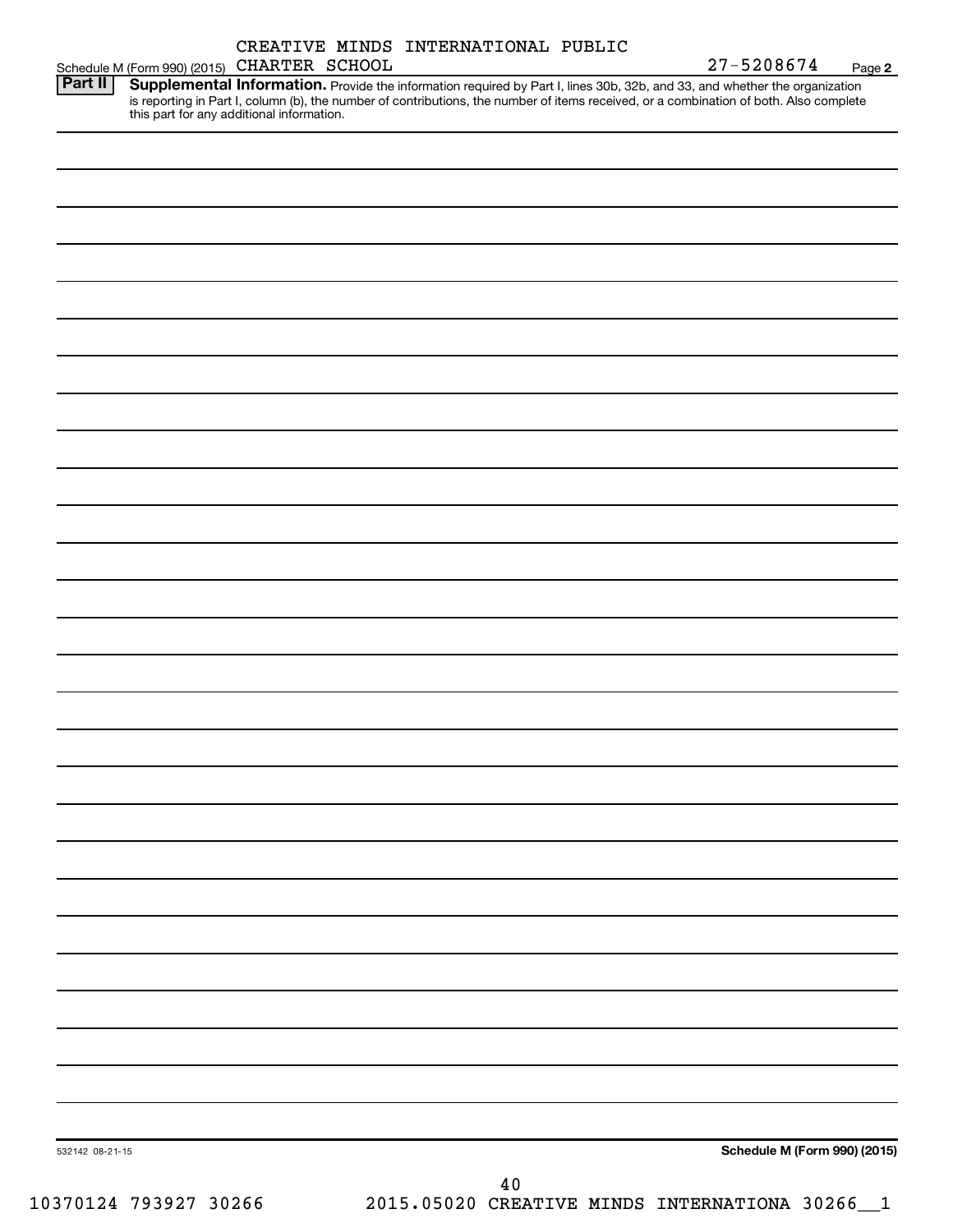|                     | CREATIVE MINDS INTERNATIONAL PUBLIC |  |
|---------------------|-------------------------------------|--|
| 015) CHARTER SCHOOL |                                     |  |

Schedule M (Form 990) (2015) Part II Provide the information required by Part I, lines 30b, 32b, and 33, and whether the organization is reporting in Part I, column (b), the number of contributions, the number of items received, or a combination of both. Also complete this part for any additional information. **Part II Supplemental Information.** 

| 532142 08-21-15 |        | Schedule M (Form 990) (2015) |
|-----------------|--------|------------------------------|
|                 | $40\,$ |                              |

10370124 793927 30266 2015.05020 CREATIVE MINDS INTERNATIONA 30266\_\_1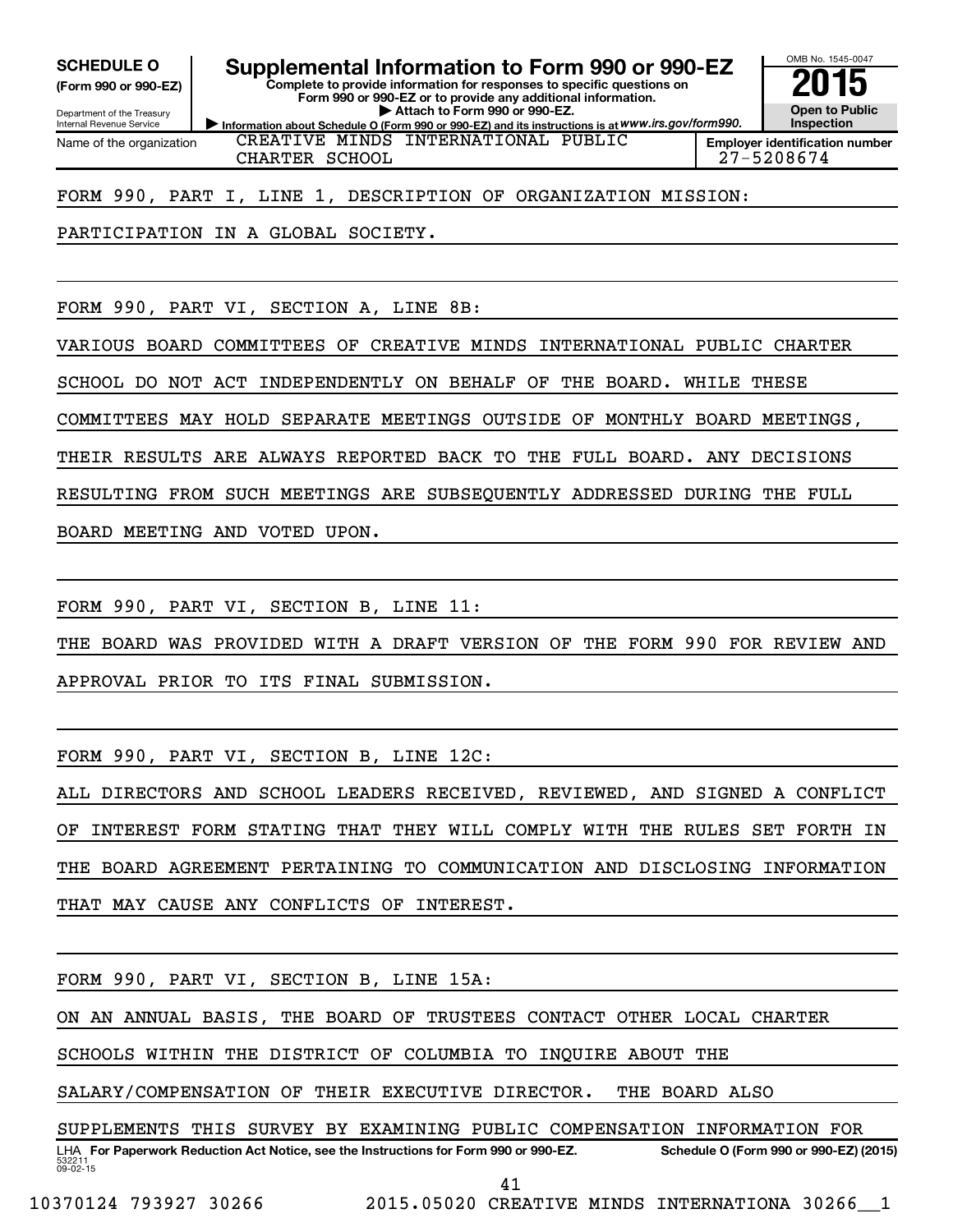**(Form 990 or 990-EZ)**

Department of the Treasury Internal Revenue Service Name of the organization

SCHEDULE O **Supplemental Information to Form 990 or 990-EZ** 2015<br>(Form 990 or 990-EZ) Complete to provide information for responses to specific questions on

**Information about Schedule O (Form 990 or 990-EZ) and its instructions is at WWW.irs.gov/form990. Complete to provide information for responses to specific questions on Form 990 or 990-EZ or to provide any additional information. | Attach to Form 990 or 990-EZ.**



CREATIVE MINDS INTERNATIONAL PUBLIC CHARTER SCHOOL 27-5208674

FORM 990, PART I, LINE 1, DESCRIPTION OF ORGANIZATION MISSION:

PARTICIPATION IN A GLOBAL SOCIETY.

FORM 990, PART VI, SECTION A, LINE 8B:

VARIOUS BOARD COMMITTEES OF CREATIVE MINDS INTERNATIONAL PUBLIC CHARTER

SCHOOL DO NOT ACT INDEPENDENTLY ON BEHALF OF THE BOARD. WHILE THESE

COMMITTEES MAY HOLD SEPARATE MEETINGS OUTSIDE OF MONTHLY BOARD MEETINGS,

THEIR RESULTS ARE ALWAYS REPORTED BACK TO THE FULL BOARD. ANY DECISIONS

RESULTING FROM SUCH MEETINGS ARE SUBSEQUENTLY ADDRESSED DURING THE FULL

BOARD MEETING AND VOTED UPON.

FORM 990, PART VI, SECTION B, LINE 11:

THE BOARD WAS PROVIDED WITH A DRAFT VERSION OF THE FORM 990 FOR REVIEW AND APPROVAL PRIOR TO ITS FINAL SUBMISSION.

FORM 990, PART VI, SECTION B, LINE 12C:

ALL DIRECTORS AND SCHOOL LEADERS RECEIVED, REVIEWED, AND SIGNED A CONFLICT OF INTEREST FORM STATING THAT THEY WILL COMPLY WITH THE RULES SET FORTH IN THE BOARD AGREEMENT PERTAINING TO COMMUNICATION AND DISCLOSING INFORMATION THAT MAY CAUSE ANY CONFLICTS OF INTEREST.

FORM 990, PART VI, SECTION B, LINE 15A:

ON AN ANNUAL BASIS, THE BOARD OF TRUSTEES CONTACT OTHER LOCAL CHARTER

SCHOOLS WITHIN THE DISTRICT OF COLUMBIA TO INQUIRE ABOUT THE

SALARY/COMPENSATION OF THEIR EXECUTIVE DIRECTOR. THE BOARD ALSO

532211  $09 - 02 - 15$ LHA For Paperwork Reduction Act Notice, see the Instructions for Form 990 or 990-EZ. Schedule O (Form 990 or 990-EZ) (2015) SUPPLEMENTS THIS SURVEY BY EXAMINING PUBLIC COMPENSATION INFORMATION FOR

41

10370124 793927 30266 2015.05020 CREATIVE MINDS INTERNATIONA 30266\_\_1